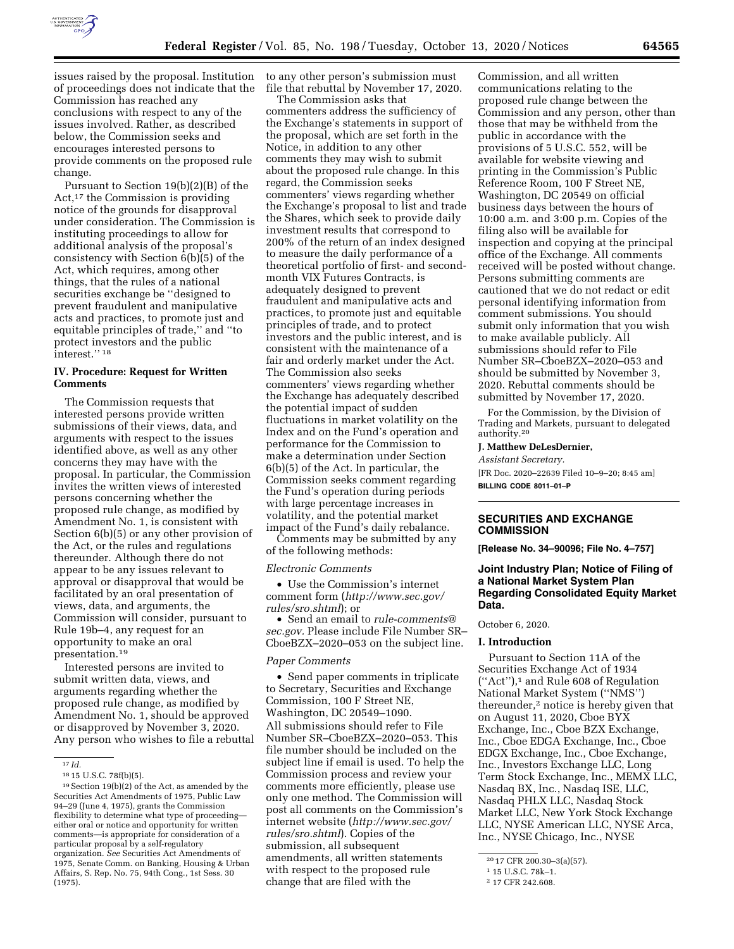

issues raised by the proposal. Institution of proceedings does not indicate that the Commission has reached any conclusions with respect to any of the issues involved. Rather, as described below, the Commission seeks and encourages interested persons to provide comments on the proposed rule change.

Pursuant to Section 19(b)(2)(B) of the Act,17 the Commission is providing notice of the grounds for disapproval under consideration. The Commission is instituting proceedings to allow for additional analysis of the proposal's consistency with Section 6(b)(5) of the Act, which requires, among other things, that the rules of a national securities exchange be ''designed to prevent fraudulent and manipulative acts and practices, to promote just and equitable principles of trade,'' and ''to protect investors and the public interest.'' 18

#### **IV. Procedure: Request for Written Comments**

The Commission requests that interested persons provide written submissions of their views, data, and arguments with respect to the issues identified above, as well as any other concerns they may have with the proposal. In particular, the Commission invites the written views of interested persons concerning whether the proposed rule change, as modified by Amendment No. 1, is consistent with Section 6(b)(5) or any other provision of the Act, or the rules and regulations thereunder. Although there do not appear to be any issues relevant to approval or disapproval that would be facilitated by an oral presentation of views, data, and arguments, the Commission will consider, pursuant to Rule 19b–4, any request for an opportunity to make an oral presentation.19

Interested persons are invited to submit written data, views, and arguments regarding whether the proposed rule change, as modified by Amendment No. 1, should be approved or disapproved by November 3, 2020. Any person who wishes to file a rebuttal to any other person's submission must file that rebuttal by November 17, 2020.

The Commission asks that commenters address the sufficiency of the Exchange's statements in support of the proposal, which are set forth in the Notice, in addition to any other comments they may wish to submit about the proposed rule change. In this regard, the Commission seeks commenters' views regarding whether the Exchange's proposal to list and trade the Shares, which seek to provide daily investment results that correspond to 200% of the return of an index designed to measure the daily performance of a theoretical portfolio of first- and secondmonth VIX Futures Contracts, is adequately designed to prevent fraudulent and manipulative acts and practices, to promote just and equitable principles of trade, and to protect investors and the public interest, and is consistent with the maintenance of a fair and orderly market under the Act. The Commission also seeks commenters' views regarding whether the Exchange has adequately described the potential impact of sudden fluctuations in market volatility on the Index and on the Fund's operation and performance for the Commission to make a determination under Section 6(b)(5) of the Act. In particular, the Commission seeks comment regarding the Fund's operation during periods with large percentage increases in volatility, and the potential market impact of the Fund's daily rebalance.

Comments may be submitted by any of the following methods:

### *Electronic Comments*

• Use the Commission's internet comment form (*[http://www.sec.gov/](http://www.sec.gov/rules/sro.shtml)  [rules/sro.shtml](http://www.sec.gov/rules/sro.shtml)*); or

• Send an email to *[rule-comments@](mailto:rule-comments@sec.gov) [sec.gov.](mailto:rule-comments@sec.gov)* Please include File Number SR– CboeBZX–2020–053 on the subject line.

#### *Paper Comments*

• Send paper comments in triplicate to Secretary, Securities and Exchange Commission, 100 F Street NE, Washington, DC 20549–1090. All submissions should refer to File Number SR–CboeBZX–2020–053. This file number should be included on the subject line if email is used. To help the Commission process and review your comments more efficiently, please use only one method. The Commission will post all comments on the Commission's internet website (*[http://www.sec.gov/](http://www.sec.gov/rules/sro.shtml)  [rules/sro.shtml](http://www.sec.gov/rules/sro.shtml)*). Copies of the submission, all subsequent amendments, all written statements with respect to the proposed rule change that are filed with the

Commission, and all written communications relating to the proposed rule change between the Commission and any person, other than those that may be withheld from the public in accordance with the provisions of 5 U.S.C. 552, will be available for website viewing and printing in the Commission's Public Reference Room, 100 F Street NE, Washington, DC 20549 on official business days between the hours of 10:00 a.m. and 3:00 p.m. Copies of the filing also will be available for inspection and copying at the principal office of the Exchange. All comments received will be posted without change. Persons submitting comments are cautioned that we do not redact or edit personal identifying information from comment submissions. You should submit only information that you wish to make available publicly. All submissions should refer to File Number SR–CboeBZX–2020–053 and should be submitted by November 3, 2020. Rebuttal comments should be submitted by November 17, 2020.

For the Commission, by the Division of Trading and Markets, pursuant to delegated authority.20

### **J. Matthew DeLesDernier,**

*Assistant Secretary.*  [FR Doc. 2020–22639 Filed 10–9–20; 8:45 am] **BILLING CODE 8011–01–P** 

### **SECURITIES AND EXCHANGE COMMISSION**

**[Release No. 34–90096; File No. 4–757]** 

### **Joint Industry Plan; Notice of Filing of a National Market System Plan Regarding Consolidated Equity Market Data.**

October 6, 2020.

#### **I. Introduction**

Pursuant to Section 11A of the Securities Exchange Act of 1934 (''Act''),1 and Rule 608 of Regulation National Market System (''NMS'') thereunder,2 notice is hereby given that on August 11, 2020, Cboe BYX Exchange, Inc., Cboe BZX Exchange, Inc., Cboe EDGA Exchange, Inc., Cboe EDGX Exchange, Inc., Cboe Exchange, Inc., Investors Exchange LLC, Long Term Stock Exchange, Inc., MEMX LLC, Nasdaq BX, Inc., Nasdaq ISE, LLC, Nasdaq PHLX LLC, Nasdaq Stock Market LLC, New York Stock Exchange LLC, NYSE American LLC, NYSE Arca, Inc., NYSE Chicago, Inc., NYSE

<sup>17</sup> *Id.* 

<sup>18</sup> 15 U.S.C. 78f(b)(5).

<sup>19</sup>Section 19(b)(2) of the Act, as amended by the Securities Act Amendments of 1975, Public Law 94–29 (June 4, 1975), grants the Commission flexibility to determine what type of proceeding either oral or notice and opportunity for written comments—is appropriate for consideration of a particular proposal by a self-regulatory organization. *See* Securities Act Amendments of 1975, Senate Comm. on Banking, Housing & Urban Affairs, S. Rep. No. 75, 94th Cong., 1st Sess. 30 (1975).

<sup>20</sup> 17 CFR 200.30–3(a)(57).

<sup>1</sup> 15 U.S.C. 78k–1.

<sup>2</sup> 17 CFR 242.608.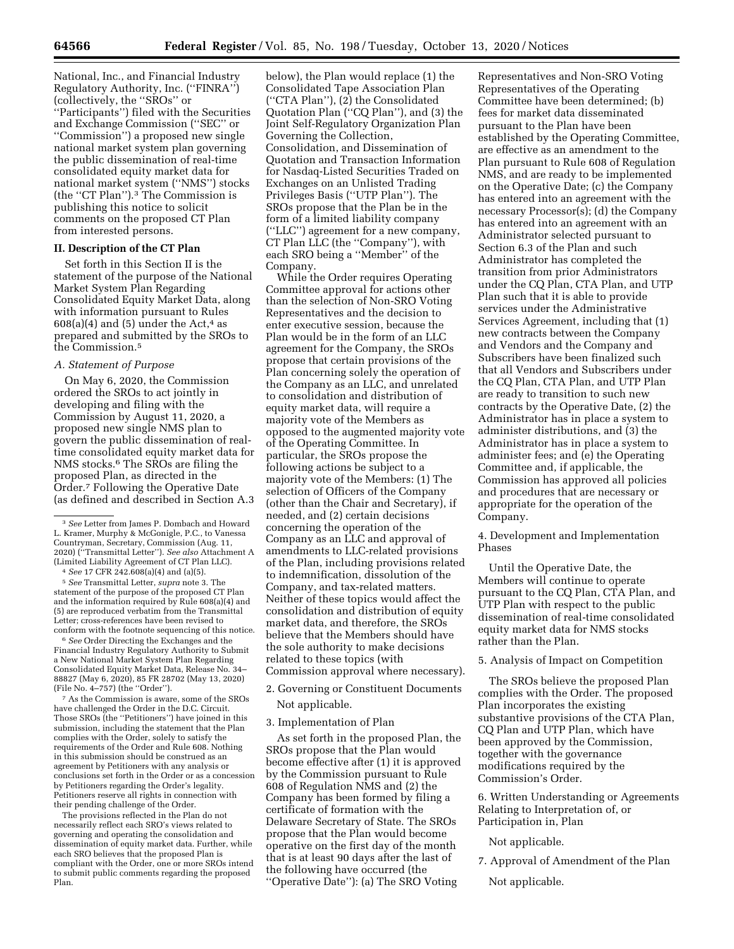National, Inc., and Financial Industry Regulatory Authority, Inc. (''FINRA'') (collectively, the ''SROs'' or ''Participants'') filed with the Securities and Exchange Commission (''SEC'' or ''Commission'') a proposed new single national market system plan governing the public dissemination of real-time consolidated equity market data for national market system (''NMS'') stocks (the ''CT Plan'').3 The Commission is publishing this notice to solicit comments on the proposed CT Plan from interested persons.

### **II. Description of the CT Plan**

Set forth in this Section II is the statement of the purpose of the National Market System Plan Regarding Consolidated Equity Market Data, along with information pursuant to Rules  $608(a)(4)$  and  $(5)$  under the Act,<sup>4</sup> as prepared and submitted by the SROs to the Commission.5

#### *A. Statement of Purpose*

On May 6, 2020, the Commission ordered the SROs to act jointly in developing and filing with the Commission by August 11, 2020, a proposed new single NMS plan to govern the public dissemination of realtime consolidated equity market data for NMS stocks.6 The SROs are filing the proposed Plan, as directed in the Order.7 Following the Operative Date (as defined and described in Section A.3

4 *See* 17 CFR 242.608(a)(4) and (a)(5).

5 *See* Transmittal Letter, *supra* note 3. The statement of the purpose of the proposed CT Plan and the information required by Rule 608(a)(4) and (5) are reproduced verbatim from the Transmittal Letter; cross-references have been revised to conform with the footnote sequencing of this notice.

6 *See* Order Directing the Exchanges and the Financial Industry Regulatory Authority to Submit a New National Market System Plan Regarding Consolidated Equity Market Data, Release No. 34– 88827 (May 6, 2020), 85 FR 28702 (May 13, 2020) (File No. 4–757) (the ''Order'').

7 As the Commission is aware, some of the SROs have challenged the Order in the D.C. Circuit. Those SROs (the ''Petitioners'') have joined in this submission, including the statement that the Plan complies with the Order, solely to satisfy the requirements of the Order and Rule 608. Nothing in this submission should be construed as an agreement by Petitioners with any analysis or conclusions set forth in the Order or as a concession by Petitioners regarding the Order's legality. Petitioners reserve all rights in connection with their pending challenge of the Order.

The provisions reflected in the Plan do not necessarily reflect each SRO's views related to governing and operating the consolidation and dissemination of equity market data. Further, while each SRO believes that the proposed Plan is compliant with the Order, one or more SROs intend to submit public comments regarding the proposed Plan.

below), the Plan would replace (1) the Consolidated Tape Association Plan (''CTA Plan''), (2) the Consolidated Quotation Plan (''CQ Plan''), and (3) the Joint Self-Regulatory Organization Plan Governing the Collection, Consolidation, and Dissemination of Quotation and Transaction Information for Nasdaq-Listed Securities Traded on Exchanges on an Unlisted Trading Privileges Basis (''UTP Plan''). The SROs propose that the Plan be in the form of a limited liability company (''LLC'') agreement for a new company, CT Plan LLC (the ''Company''), with each SRO being a ''Member'' of the Company.

While the Order requires Operating Committee approval for actions other than the selection of Non-SRO Voting Representatives and the decision to enter executive session, because the Plan would be in the form of an LLC agreement for the Company, the SROs propose that certain provisions of the Plan concerning solely the operation of the Company as an LLC, and unrelated to consolidation and distribution of equity market data, will require a majority vote of the Members as opposed to the augmented majority vote of the Operating Committee. In particular, the SROs propose the following actions be subject to a majority vote of the Members: (1) The selection of Officers of the Company (other than the Chair and Secretary), if needed, and (2) certain decisions concerning the operation of the Company as an LLC and approval of amendments to LLC-related provisions of the Plan, including provisions related to indemnification, dissolution of the Company, and tax-related matters. Neither of these topics would affect the consolidation and distribution of equity market data, and therefore, the SROs believe that the Members should have the sole authority to make decisions related to these topics (with Commission approval where necessary).

- 2. Governing or Constituent Documents Not applicable.
- 3. Implementation of Plan

As set forth in the proposed Plan, the SROs propose that the Plan would become effective after (1) it is approved by the Commission pursuant to Rule 608 of Regulation NMS and (2) the Company has been formed by filing a certificate of formation with the Delaware Secretary of State. The SROs propose that the Plan would become operative on the first day of the month that is at least 90 days after the last of the following have occurred (the ''Operative Date''): (a) The SRO Voting

Representatives and Non-SRO Voting Representatives of the Operating Committee have been determined; (b) fees for market data disseminated pursuant to the Plan have been established by the Operating Committee, are effective as an amendment to the Plan pursuant to Rule 608 of Regulation NMS, and are ready to be implemented on the Operative Date; (c) the Company has entered into an agreement with the necessary Processor(s); (d) the Company has entered into an agreement with an Administrator selected pursuant to Section 6.3 of the Plan and such Administrator has completed the transition from prior Administrators under the CQ Plan, CTA Plan, and UTP Plan such that it is able to provide services under the Administrative Services Agreement, including that (1) new contracts between the Company and Vendors and the Company and Subscribers have been finalized such that all Vendors and Subscribers under the CQ Plan, CTA Plan, and UTP Plan are ready to transition to such new contracts by the Operative Date, (2) the Administrator has in place a system to administer distributions, and (3) the Administrator has in place a system to administer fees; and (e) the Operating Committee and, if applicable, the Commission has approved all policies and procedures that are necessary or appropriate for the operation of the Company.

4. Development and Implementation Phases

Until the Operative Date, the Members will continue to operate pursuant to the CQ Plan, CTA Plan, and UTP Plan with respect to the public dissemination of real-time consolidated equity market data for NMS stocks rather than the Plan.

5. Analysis of Impact on Competition

The SROs believe the proposed Plan complies with the Order. The proposed Plan incorporates the existing substantive provisions of the CTA Plan, CQ Plan and UTP Plan, which have been approved by the Commission, together with the governance modifications required by the Commission's Order.

6. Written Understanding or Agreements Relating to Interpretation of, or Participation in, Plan

Not applicable.

7. Approval of Amendment of the Plan

Not applicable.

<sup>3</sup> *See* Letter from James P. Dombach and Howard L. Kramer, Murphy & McGonigle, P.C., to Vanessa Countryman, Secretary, Commission (Aug. 11, 2020) (''Transmittal Letter''). *See also* Attachment A (Limited Liability Agreement of CT Plan LLC).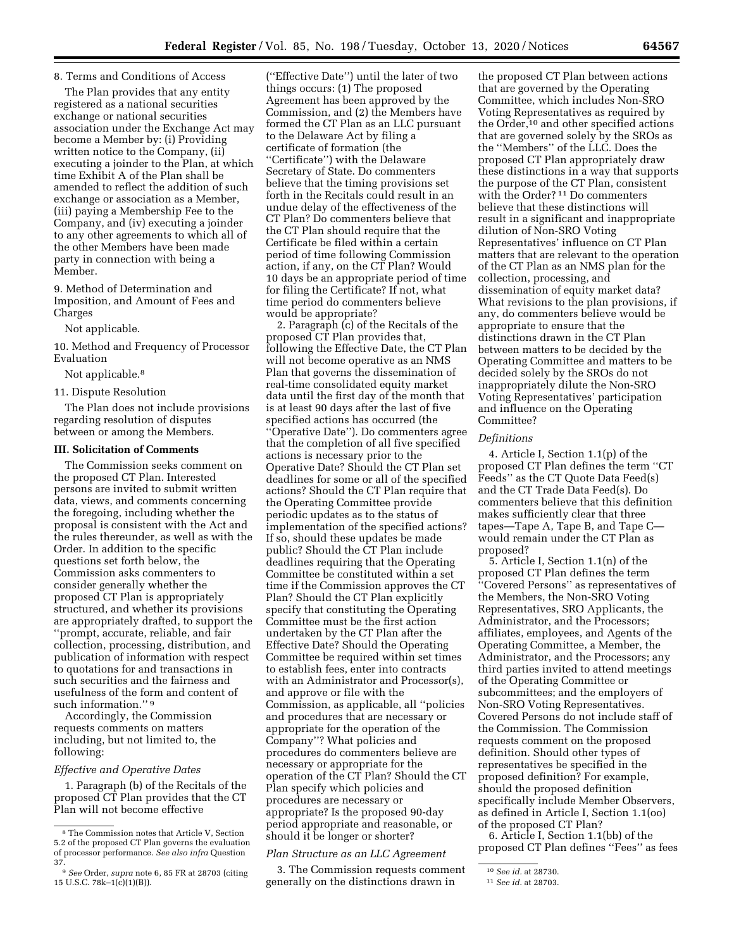The Plan provides that any entity registered as a national securities exchange or national securities association under the Exchange Act may become a Member by: (i) Providing written notice to the Company, (ii) executing a joinder to the Plan, at which time Exhibit A of the Plan shall be amended to reflect the addition of such exchange or association as a Member, (iii) paying a Membership Fee to the Company, and (iv) executing a joinder to any other agreements to which all of the other Members have been made party in connection with being a Member.

9. Method of Determination and Imposition, and Amount of Fees and Charges

#### Not applicable.

10. Method and Frequency of Processor Evaluation

Not applicable.<sup>8</sup>

#### 11. Dispute Resolution

The Plan does not include provisions regarding resolution of disputes between or among the Members.

#### **III. Solicitation of Comments**

The Commission seeks comment on the proposed CT Plan. Interested persons are invited to submit written data, views, and comments concerning the foregoing, including whether the proposal is consistent with the Act and the rules thereunder, as well as with the Order. In addition to the specific questions set forth below, the Commission asks commenters to consider generally whether the proposed CT Plan is appropriately structured, and whether its provisions are appropriately drafted, to support the ''prompt, accurate, reliable, and fair collection, processing, distribution, and publication of information with respect to quotations for and transactions in such securities and the fairness and usefulness of the form and content of such information."<sup>9</sup>

Accordingly, the Commission requests comments on matters including, but not limited to, the following:

### *Effective and Operative Dates*

1. Paragraph (b) of the Recitals of the proposed CT Plan provides that the CT Plan will not become effective

(''Effective Date'') until the later of two things occurs: (1) The proposed Agreement has been approved by the Commission, and (2) the Members have formed the CT Plan as an LLC pursuant to the Delaware Act by filing a certificate of formation (the ''Certificate'') with the Delaware Secretary of State. Do commenters believe that the timing provisions set forth in the Recitals could result in an undue delay of the effectiveness of the CT Plan? Do commenters believe that the CT Plan should require that the Certificate be filed within a certain period of time following Commission action, if any, on the CT Plan? Would 10 days be an appropriate period of time for filing the Certificate? If not, what time period do commenters believe would be appropriate?

2. Paragraph (c) of the Recitals of the proposed CT Plan provides that, following the Effective Date, the CT Plan will not become operative as an NMS Plan that governs the dissemination of real-time consolidated equity market data until the first day of the month that is at least 90 days after the last of five specified actions has occurred (the ''Operative Date''). Do commenters agree that the completion of all five specified actions is necessary prior to the Operative Date? Should the CT Plan set deadlines for some or all of the specified actions? Should the CT Plan require that the Operating Committee provide periodic updates as to the status of implementation of the specified actions? If so, should these updates be made public? Should the CT Plan include deadlines requiring that the Operating Committee be constituted within a set time if the Commission approves the CT Plan? Should the CT Plan explicitly specify that constituting the Operating Committee must be the first action undertaken by the CT Plan after the Effective Date? Should the Operating Committee be required within set times to establish fees, enter into contracts with an Administrator and Processor(s), and approve or file with the Commission, as applicable, all ''policies and procedures that are necessary or appropriate for the operation of the Company''? What policies and procedures do commenters believe are necessary or appropriate for the operation of the CT Plan? Should the CT Plan specify which policies and procedures are necessary or appropriate? Is the proposed 90-day period appropriate and reasonable, or should it be longer or shorter?

#### *Plan Structure as an LLC Agreement*

3. The Commission requests comment generally on the distinctions drawn in

the proposed CT Plan between actions that are governed by the Operating Committee, which includes Non-SRO Voting Representatives as required by the Order,<sup>10</sup> and other specified actions that are governed solely by the SROs as the ''Members'' of the LLC. Does the proposed CT Plan appropriately draw these distinctions in a way that supports the purpose of the CT Plan, consistent with the Order? 11 Do commenters believe that these distinctions will result in a significant and inappropriate dilution of Non-SRO Voting Representatives' influence on CT Plan matters that are relevant to the operation of the CT Plan as an NMS plan for the collection, processing, and dissemination of equity market data? What revisions to the plan provisions, if any, do commenters believe would be appropriate to ensure that the distinctions drawn in the CT Plan between matters to be decided by the Operating Committee and matters to be decided solely by the SROs do not inappropriately dilute the Non-SRO Voting Representatives' participation and influence on the Operating Committee?

#### *Definitions*

4. Article I, Section 1.1(p) of the proposed CT Plan defines the term ''CT Feeds'' as the CT Quote Data Feed(s) and the CT Trade Data Feed(s). Do commenters believe that this definition makes sufficiently clear that three tapes—Tape A, Tape B, and Tape C would remain under the CT Plan as proposed?

5. Article I, Section 1.1(n) of the proposed CT Plan defines the term ''Covered Persons'' as representatives of the Members, the Non-SRO Voting Representatives, SRO Applicants, the Administrator, and the Processors; affiliates, employees, and Agents of the Operating Committee, a Member, the Administrator, and the Processors; any third parties invited to attend meetings of the Operating Committee or subcommittees; and the employers of Non-SRO Voting Representatives. Covered Persons do not include staff of the Commission. The Commission requests comment on the proposed definition. Should other types of representatives be specified in the proposed definition? For example, should the proposed definition specifically include Member Observers, as defined in Article I, Section 1.1(oo) of the proposed CT Plan?

6. Article I, Section 1.1(bb) of the proposed CT Plan defines ''Fees'' as fees

<sup>8</sup> The Commission notes that Article V, Section 5.2 of the proposed CT Plan governs the evaluation of processor performance. *See also infra* Question 37.

<sup>9</sup> *See* Order, *supra* note 6, 85 FR at 28703 (citing 15 U.S.C. 78k–1(c)(1)(B)).

<sup>10</sup> *See id.* at 28730.

<sup>11</sup> *See id.* at 28703.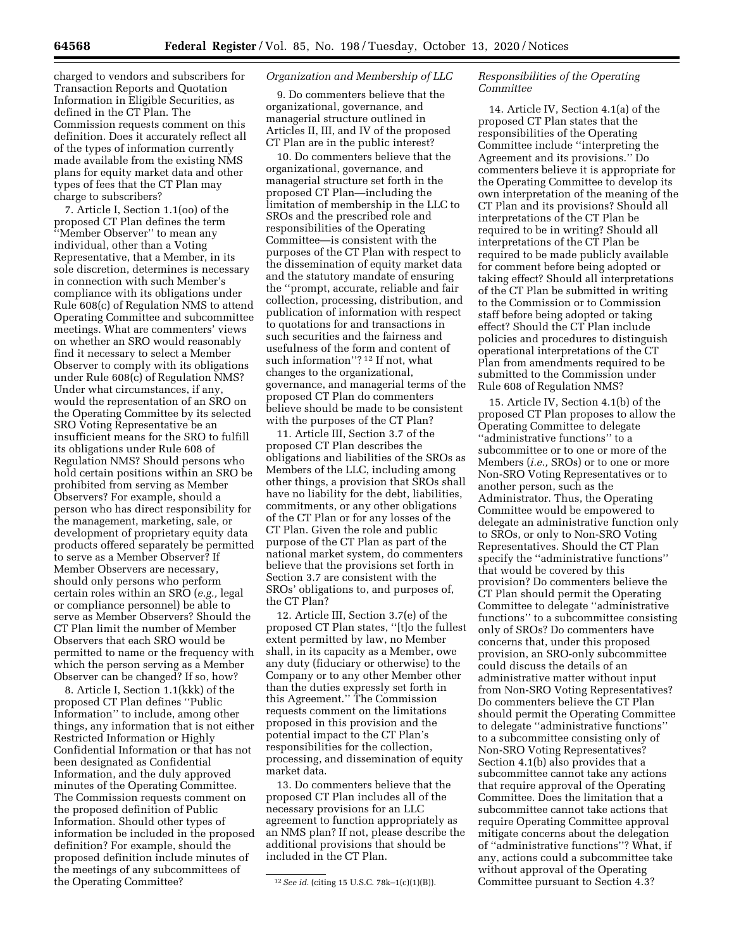charged to vendors and subscribers for Transaction Reports and Quotation Information in Eligible Securities, as defined in the CT Plan. The

Commission requests comment on this definition. Does it accurately reflect all of the types of information currently made available from the existing NMS plans for equity market data and other types of fees that the CT Plan may charge to subscribers?

7. Article I, Section 1.1(oo) of the proposed CT Plan defines the term ''Member Observer'' to mean any individual, other than a Voting Representative, that a Member, in its sole discretion, determines is necessary in connection with such Member's compliance with its obligations under Rule 608(c) of Regulation NMS to attend Operating Committee and subcommittee meetings. What are commenters' views on whether an SRO would reasonably find it necessary to select a Member Observer to comply with its obligations under Rule 608(c) of Regulation NMS? Under what circumstances, if any, would the representation of an SRO on the Operating Committee by its selected SRO Voting Representative be an insufficient means for the SRO to fulfill its obligations under Rule 608 of Regulation NMS? Should persons who hold certain positions within an SRO be prohibited from serving as Member Observers? For example, should a person who has direct responsibility for the management, marketing, sale, or development of proprietary equity data products offered separately be permitted to serve as a Member Observer? If Member Observers are necessary, should only persons who perform certain roles within an SRO (*e.g.,* legal or compliance personnel) be able to serve as Member Observers? Should the CT Plan limit the number of Member Observers that each SRO would be permitted to name or the frequency with which the person serving as a Member Observer can be changed? If so, how?

8. Article I, Section 1.1(kkk) of the proposed CT Plan defines ''Public Information'' to include, among other things, any information that is not either Restricted Information or Highly Confidential Information or that has not been designated as Confidential Information, and the duly approved minutes of the Operating Committee. The Commission requests comment on the proposed definition of Public Information. Should other types of information be included in the proposed definition? For example, should the proposed definition include minutes of the meetings of any subcommittees of the Operating Committee?

### *Organization and Membership of LLC*

9. Do commenters believe that the organizational, governance, and managerial structure outlined in Articles II, III, and IV of the proposed CT Plan are in the public interest?

10. Do commenters believe that the organizational, governance, and managerial structure set forth in the proposed CT Plan—including the limitation of membership in the LLC to SROs and the prescribed role and responsibilities of the Operating Committee—is consistent with the purposes of the CT Plan with respect to the dissemination of equity market data and the statutory mandate of ensuring the ''prompt, accurate, reliable and fair collection, processing, distribution, and publication of information with respect to quotations for and transactions in such securities and the fairness and usefulness of the form and content of such information"?<sup>12</sup> If not, what changes to the organizational, governance, and managerial terms of the proposed CT Plan do commenters believe should be made to be consistent with the purposes of the CT Plan?

11. Article III, Section 3.7 of the proposed CT Plan describes the obligations and liabilities of the SROs as Members of the LLC, including among other things, a provision that SROs shall have no liability for the debt, liabilities, commitments, or any other obligations of the CT Plan or for any losses of the CT Plan. Given the role and public purpose of the CT Plan as part of the national market system, do commenters believe that the provisions set forth in Section 3.7 are consistent with the SROs' obligations to, and purposes of, the CT Plan?

12. Article III, Section 3.7(e) of the proposed CT Plan states, ''[t]o the fullest extent permitted by law, no Member shall, in its capacity as a Member, owe any duty (fiduciary or otherwise) to the Company or to any other Member other than the duties expressly set forth in this Agreement.'' The Commission requests comment on the limitations proposed in this provision and the potential impact to the CT Plan's responsibilities for the collection, processing, and dissemination of equity market data.

13. Do commenters believe that the proposed CT Plan includes all of the necessary provisions for an LLC agreement to function appropriately as an NMS plan? If not, please describe the additional provisions that should be included in the CT Plan.

### *Responsibilities of the Operating Committee*

14. Article IV, Section 4.1(a) of the proposed CT Plan states that the responsibilities of the Operating Committee include ''interpreting the Agreement and its provisions.'' Do commenters believe it is appropriate for the Operating Committee to develop its own interpretation of the meaning of the CT Plan and its provisions? Should all interpretations of the CT Plan be required to be in writing? Should all interpretations of the CT Plan be required to be made publicly available for comment before being adopted or taking effect? Should all interpretations of the CT Plan be submitted in writing to the Commission or to Commission staff before being adopted or taking effect? Should the CT Plan include policies and procedures to distinguish operational interpretations of the CT Plan from amendments required to be submitted to the Commission under Rule 608 of Regulation NMS?

15. Article IV, Section 4.1(b) of the proposed CT Plan proposes to allow the Operating Committee to delegate ''administrative functions'' to a subcommittee or to one or more of the Members (*i.e.,* SROs) or to one or more Non-SRO Voting Representatives or to another person, such as the Administrator. Thus, the Operating Committee would be empowered to delegate an administrative function only to SROs, or only to Non-SRO Voting Representatives. Should the CT Plan specify the ''administrative functions'' that would be covered by this provision? Do commenters believe the CT Plan should permit the Operating Committee to delegate ''administrative functions'' to a subcommittee consisting only of SROs? Do commenters have concerns that, under this proposed provision, an SRO-only subcommittee could discuss the details of an administrative matter without input from Non-SRO Voting Representatives? Do commenters believe the CT Plan should permit the Operating Committee to delegate ''administrative functions'' to a subcommittee consisting only of Non-SRO Voting Representatives? Section 4.1(b) also provides that a subcommittee cannot take any actions that require approval of the Operating Committee. Does the limitation that a subcommittee cannot take actions that require Operating Committee approval mitigate concerns about the delegation of ''administrative functions''? What, if any, actions could a subcommittee take without approval of the Operating Committee pursuant to Section 4.3?

<sup>12</sup>*See id.* (citing 15 U.S.C. 78k–1(c)(1)(B)).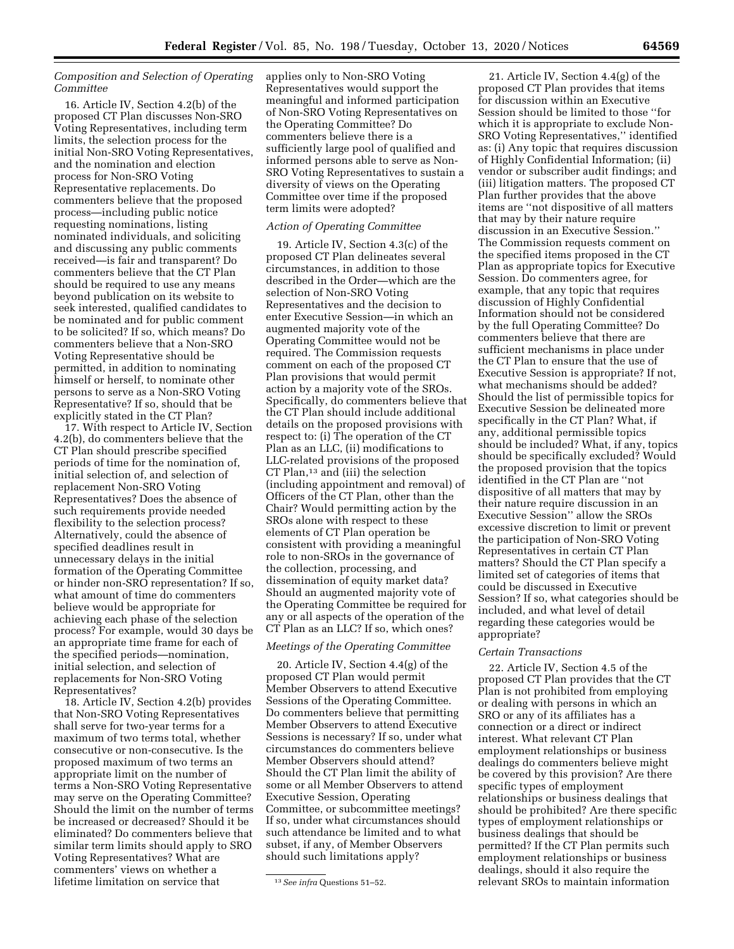### *Composition and Selection of Operating Committee*

16. Article IV, Section 4.2(b) of the proposed CT Plan discusses Non-SRO Voting Representatives, including term limits, the selection process for the initial Non-SRO Voting Representatives, and the nomination and election process for Non-SRO Voting Representative replacements. Do commenters believe that the proposed process—including public notice requesting nominations, listing nominated individuals, and soliciting and discussing any public comments received—is fair and transparent? Do commenters believe that the CT Plan should be required to use any means beyond publication on its website to seek interested, qualified candidates to be nominated and for public comment to be solicited? If so, which means? Do commenters believe that a Non-SRO Voting Representative should be permitted, in addition to nominating himself or herself, to nominate other persons to serve as a Non-SRO Voting Representative? If so, should that be explicitly stated in the CT Plan?

17. With respect to Article IV, Section 4.2(b), do commenters believe that the CT Plan should prescribe specified periods of time for the nomination of, initial selection of, and selection of replacement Non-SRO Voting Representatives? Does the absence of such requirements provide needed flexibility to the selection process? Alternatively, could the absence of specified deadlines result in unnecessary delays in the initial formation of the Operating Committee or hinder non-SRO representation? If so, what amount of time do commenters believe would be appropriate for achieving each phase of the selection process? For example, would 30 days be an appropriate time frame for each of the specified periods—nomination, initial selection, and selection of replacements for Non-SRO Voting Representatives?

18. Article IV, Section 4.2(b) provides that Non-SRO Voting Representatives shall serve for two-year terms for a maximum of two terms total, whether consecutive or non-consecutive. Is the proposed maximum of two terms an appropriate limit on the number of terms a Non-SRO Voting Representative may serve on the Operating Committee? Should the limit on the number of terms be increased or decreased? Should it be eliminated? Do commenters believe that similar term limits should apply to SRO Voting Representatives? What are commenters' views on whether a lifetime limitation on service that

applies only to Non-SRO Voting Representatives would support the meaningful and informed participation of Non-SRO Voting Representatives on the Operating Committee? Do commenters believe there is a sufficiently large pool of qualified and informed persons able to serve as Non-SRO Voting Representatives to sustain a diversity of views on the Operating Committee over time if the proposed term limits were adopted?

#### *Action of Operating Committee*

19. Article IV, Section 4.3(c) of the proposed CT Plan delineates several circumstances, in addition to those described in the Order—which are the selection of Non-SRO Voting Representatives and the decision to enter Executive Session—in which an augmented majority vote of the Operating Committee would not be required. The Commission requests comment on each of the proposed CT Plan provisions that would permit action by a majority vote of the SROs. Specifically, do commenters believe that the CT Plan should include additional details on the proposed provisions with respect to: (i) The operation of the CT Plan as an LLC, (ii) modifications to LLC-related provisions of the proposed CT Plan,<sup>13</sup> and (iii) the selection (including appointment and removal) of Officers of the CT Plan, other than the Chair? Would permitting action by the SROs alone with respect to these elements of CT Plan operation be consistent with providing a meaningful role to non-SROs in the governance of the collection, processing, and dissemination of equity market data? Should an augmented majority vote of the Operating Committee be required for any or all aspects of the operation of the CT Plan as an LLC? If so, which ones?

# *Meetings of the Operating Committee*

20. Article IV, Section 4.4(g) of the proposed CT Plan would permit Member Observers to attend Executive Sessions of the Operating Committee. Do commenters believe that permitting Member Observers to attend Executive Sessions is necessary? If so, under what circumstances do commenters believe Member Observers should attend? Should the CT Plan limit the ability of some or all Member Observers to attend Executive Session, Operating Committee, or subcommittee meetings? If so, under what circumstances should such attendance be limited and to what subset, if any, of Member Observers should such limitations apply?

21. Article IV, Section 4.4(g) of the proposed CT Plan provides that items for discussion within an Executive Session should be limited to those ''for which it is appropriate to exclude Non-SRO Voting Representatives,'' identified as: (i) Any topic that requires discussion of Highly Confidential Information; (ii) vendor or subscriber audit findings; and (iii) litigation matters. The proposed CT Plan further provides that the above items are ''not dispositive of all matters that may by their nature require discussion in an Executive Session.'' The Commission requests comment on the specified items proposed in the CT Plan as appropriate topics for Executive Session. Do commenters agree, for example, that any topic that requires discussion of Highly Confidential Information should not be considered by the full Operating Committee? Do commenters believe that there are sufficient mechanisms in place under the CT Plan to ensure that the use of Executive Session is appropriate? If not, what mechanisms should be added? Should the list of permissible topics for Executive Session be delineated more specifically in the CT Plan? What, if any, additional permissible topics should be included? What, if any, topics should be specifically excluded? Would the proposed provision that the topics identified in the CT Plan are ''not dispositive of all matters that may by their nature require discussion in an Executive Session'' allow the SROs excessive discretion to limit or prevent the participation of Non-SRO Voting Representatives in certain CT Plan matters? Should the CT Plan specify a limited set of categories of items that could be discussed in Executive Session? If so, what categories should be included, and what level of detail regarding these categories would be appropriate?

#### *Certain Transactions*

22. Article IV, Section 4.5 of the proposed CT Plan provides that the CT Plan is not prohibited from employing or dealing with persons in which an SRO or any of its affiliates has a connection or a direct or indirect interest. What relevant CT Plan employment relationships or business dealings do commenters believe might be covered by this provision? Are there specific types of employment relationships or business dealings that should be prohibited? Are there specific types of employment relationships or business dealings that should be permitted? If the CT Plan permits such employment relationships or business dealings, should it also require the relevant SROs to maintain information

<sup>13</sup>*See infra* Questions 51–52.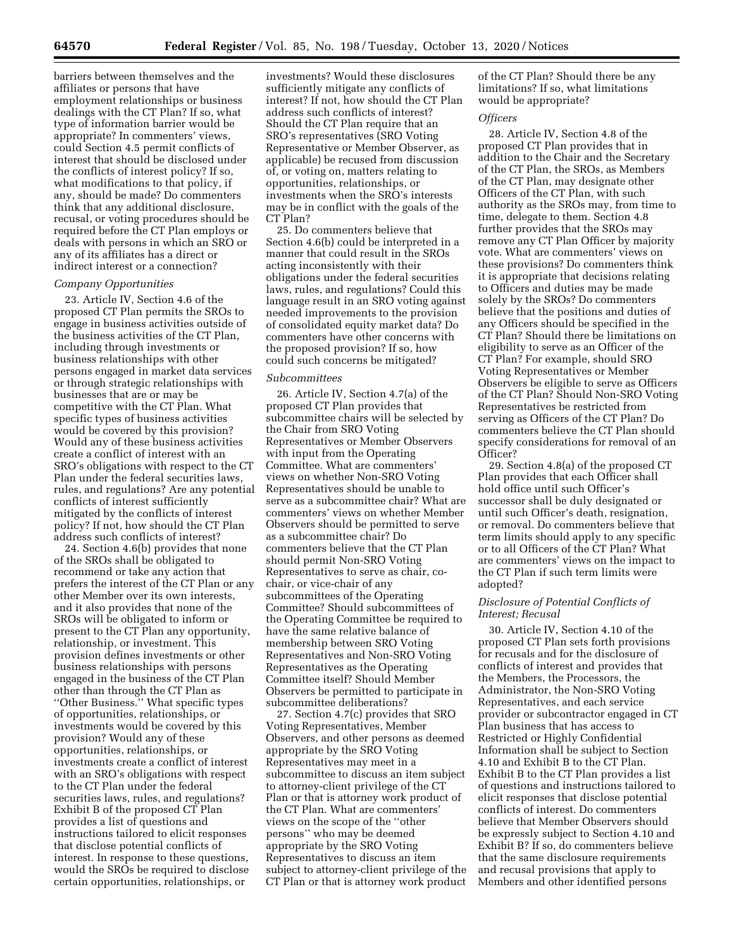barriers between themselves and the affiliates or persons that have employment relationships or business dealings with the CT Plan? If so, what type of information barrier would be appropriate? In commenters' views, could Section 4.5 permit conflicts of interest that should be disclosed under the conflicts of interest policy? If so, what modifications to that policy, if any, should be made? Do commenters think that any additional disclosure, recusal, or voting procedures should be required before the CT Plan employs or deals with persons in which an SRO or any of its affiliates has a direct or indirect interest or a connection?

#### *Company Opportunities*

23. Article IV, Section 4.6 of the proposed CT Plan permits the SROs to engage in business activities outside of the business activities of the CT Plan, including through investments or business relationships with other persons engaged in market data services or through strategic relationships with businesses that are or may be competitive with the CT Plan. What specific types of business activities would be covered by this provision? Would any of these business activities create a conflict of interest with an SRO's obligations with respect to the CT Plan under the federal securities laws, rules, and regulations? Are any potential conflicts of interest sufficiently mitigated by the conflicts of interest policy? If not, how should the CT Plan address such conflicts of interest?

24. Section 4.6(b) provides that none of the SROs shall be obligated to recommend or take any action that prefers the interest of the CT Plan or any other Member over its own interests, and it also provides that none of the SROs will be obligated to inform or present to the CT Plan any opportunity, relationship, or investment. This provision defines investments or other business relationships with persons engaged in the business of the CT Plan other than through the CT Plan as ''Other Business.'' What specific types of opportunities, relationships, or investments would be covered by this provision? Would any of these opportunities, relationships, or investments create a conflict of interest with an SRO's obligations with respect to the CT Plan under the federal securities laws, rules, and regulations? Exhibit B of the proposed CT Plan provides a list of questions and instructions tailored to elicit responses that disclose potential conflicts of interest. In response to these questions, would the SROs be required to disclose certain opportunities, relationships, or

investments? Would these disclosures sufficiently mitigate any conflicts of interest? If not, how should the CT Plan address such conflicts of interest? Should the CT Plan require that an SRO's representatives (SRO Voting Representative or Member Observer, as applicable) be recused from discussion of, or voting on, matters relating to opportunities, relationships, or investments when the SRO's interests may be in conflict with the goals of the CT Plan?

25. Do commenters believe that Section 4.6(b) could be interpreted in a manner that could result in the SROs acting inconsistently with their obligations under the federal securities laws, rules, and regulations? Could this language result in an SRO voting against needed improvements to the provision of consolidated equity market data? Do commenters have other concerns with the proposed provision? If so, how could such concerns be mitigated?

#### *Subcommittees*

26. Article IV, Section 4.7(a) of the proposed CT Plan provides that subcommittee chairs will be selected by the Chair from SRO Voting Representatives or Member Observers with input from the Operating Committee. What are commenters' views on whether Non-SRO Voting Representatives should be unable to serve as a subcommittee chair? What are commenters' views on whether Member Observers should be permitted to serve as a subcommittee chair? Do commenters believe that the CT Plan should permit Non-SRO Voting Representatives to serve as chair, cochair, or vice-chair of any subcommittees of the Operating Committee? Should subcommittees of the Operating Committee be required to have the same relative balance of membership between SRO Voting Representatives and Non-SRO Voting Representatives as the Operating Committee itself? Should Member Observers be permitted to participate in subcommittee deliberations?

27. Section 4.7(c) provides that SRO Voting Representatives, Member Observers, and other persons as deemed appropriate by the SRO Voting Representatives may meet in a subcommittee to discuss an item subject to attorney-client privilege of the CT Plan or that is attorney work product of the CT Plan. What are commenters' views on the scope of the ''other persons'' who may be deemed appropriate by the SRO Voting Representatives to discuss an item subject to attorney-client privilege of the CT Plan or that is attorney work product

of the CT Plan? Should there be any limitations? If so, what limitations would be appropriate?

### *Officers*

28. Article IV, Section 4.8 of the proposed CT Plan provides that in addition to the Chair and the Secretary of the CT Plan, the SROs, as Members of the CT Plan, may designate other Officers of the CT Plan, with such authority as the SROs may, from time to time, delegate to them. Section 4.8 further provides that the SROs may remove any CT Plan Officer by majority vote. What are commenters' views on these provisions? Do commenters think it is appropriate that decisions relating to Officers and duties may be made solely by the SROs? Do commenters believe that the positions and duties of any Officers should be specified in the CT Plan? Should there be limitations on eligibility to serve as an Officer of the CT Plan? For example, should SRO Voting Representatives or Member Observers be eligible to serve as Officers of the CT Plan? Should Non-SRO Voting Representatives be restricted from serving as Officers of the CT Plan? Do commenters believe the CT Plan should specify considerations for removal of an Officer?

29. Section 4.8(a) of the proposed CT Plan provides that each Officer shall hold office until such Officer's successor shall be duly designated or until such Officer's death, resignation, or removal. Do commenters believe that term limits should apply to any specific or to all Officers of the CT Plan? What are commenters' views on the impact to the CT Plan if such term limits were adopted?

### *Disclosure of Potential Conflicts of Interest; Recusal*

30. Article IV, Section 4.10 of the proposed CT Plan sets forth provisions for recusals and for the disclosure of conflicts of interest and provides that the Members, the Processors, the Administrator, the Non-SRO Voting Representatives, and each service provider or subcontractor engaged in CT Plan business that has access to Restricted or Highly Confidential Information shall be subject to Section 4.10 and Exhibit B to the CT Plan. Exhibit B to the CT Plan provides a list of questions and instructions tailored to elicit responses that disclose potential conflicts of interest. Do commenters believe that Member Observers should be expressly subject to Section 4.10 and Exhibit B? If so, do commenters believe that the same disclosure requirements and recusal provisions that apply to Members and other identified persons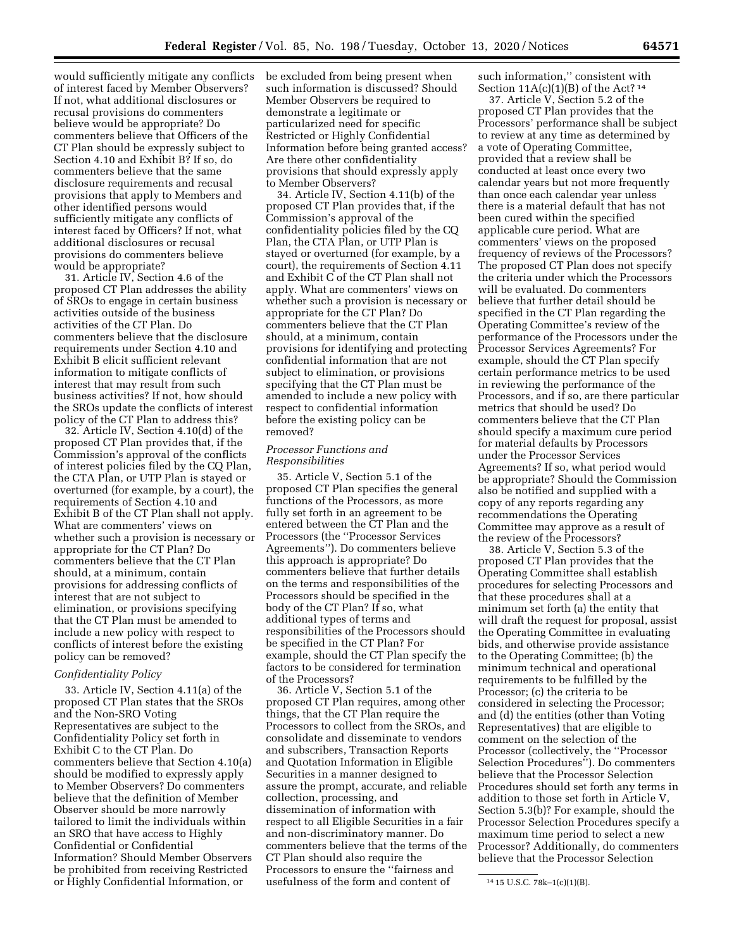would sufficiently mitigate any conflicts of interest faced by Member Observers? If not, what additional disclosures or recusal provisions do commenters believe would be appropriate? Do commenters believe that Officers of the CT Plan should be expressly subject to Section 4.10 and Exhibit B? If so, do commenters believe that the same disclosure requirements and recusal provisions that apply to Members and other identified persons would sufficiently mitigate any conflicts of interest faced by Officers? If not, what additional disclosures or recusal provisions do commenters believe would be appropriate?

31. Article IV, Section 4.6 of the proposed CT Plan addresses the ability of SROs to engage in certain business activities outside of the business activities of the CT Plan. Do commenters believe that the disclosure requirements under Section 4.10 and Exhibit B elicit sufficient relevant information to mitigate conflicts of interest that may result from such business activities? If not, how should the SROs update the conflicts of interest policy of the CT Plan to address this?

32. Article IV, Section 4.10(d) of the proposed CT Plan provides that, if the Commission's approval of the conflicts of interest policies filed by the CQ Plan, the CTA Plan, or UTP Plan is stayed or overturned (for example, by a court), the requirements of Section 4.10 and Exhibit B of the CT Plan shall not apply. What are commenters' views on whether such a provision is necessary or appropriate for the CT Plan? Do commenters believe that the CT Plan should, at a minimum, contain provisions for addressing conflicts of interest that are not subject to elimination, or provisions specifying that the CT Plan must be amended to include a new policy with respect to conflicts of interest before the existing policy can be removed?

### *Confidentiality Policy*

33. Article IV, Section 4.11(a) of the proposed CT Plan states that the SROs and the Non-SRO Voting Representatives are subject to the Confidentiality Policy set forth in Exhibit C to the CT Plan. Do commenters believe that Section 4.10(a) should be modified to expressly apply to Member Observers? Do commenters believe that the definition of Member Observer should be more narrowly tailored to limit the individuals within an SRO that have access to Highly Confidential or Confidential Information? Should Member Observers be prohibited from receiving Restricted or Highly Confidential Information, or

be excluded from being present when such information is discussed? Should Member Observers be required to demonstrate a legitimate or particularized need for specific Restricted or Highly Confidential Information before being granted access? Are there other confidentiality provisions that should expressly apply to Member Observers?

34. Article IV, Section 4.11(b) of the proposed CT Plan provides that, if the Commission's approval of the confidentiality policies filed by the CQ Plan, the CTA Plan, or UTP Plan is stayed or overturned (for example, by a court), the requirements of Section 4.11 and Exhibit C of the CT Plan shall not apply. What are commenters' views on whether such a provision is necessary or appropriate for the CT Plan? Do commenters believe that the CT Plan should, at a minimum, contain provisions for identifying and protecting confidential information that are not subject to elimination, or provisions specifying that the CT Plan must be amended to include a new policy with respect to confidential information before the existing policy can be removed?

### *Processor Functions and Responsibilities*

35. Article V, Section 5.1 of the proposed CT Plan specifies the general functions of the Processors, as more fully set forth in an agreement to be entered between the CT Plan and the Processors (the ''Processor Services Agreements''). Do commenters believe this approach is appropriate? Do commenters believe that further details on the terms and responsibilities of the Processors should be specified in the body of the CT Plan? If so, what additional types of terms and responsibilities of the Processors should be specified in the CT Plan? For example, should the CT Plan specify the factors to be considered for termination of the Processors?

36. Article V, Section 5.1 of the proposed CT Plan requires, among other things, that the CT Plan require the Processors to collect from the SROs, and consolidate and disseminate to vendors and subscribers, Transaction Reports and Quotation Information in Eligible Securities in a manner designed to assure the prompt, accurate, and reliable collection, processing, and dissemination of information with respect to all Eligible Securities in a fair and non-discriminatory manner. Do commenters believe that the terms of the CT Plan should also require the Processors to ensure the ''fairness and usefulness of the form and content of

such information,'' consistent with Section  $11A(c)(1)(B)$  of the Act?<sup>14</sup>

37. Article V, Section 5.2 of the proposed CT Plan provides that the Processors' performance shall be subject to review at any time as determined by a vote of Operating Committee, provided that a review shall be conducted at least once every two calendar years but not more frequently than once each calendar year unless there is a material default that has not been cured within the specified applicable cure period. What are commenters' views on the proposed frequency of reviews of the Processors? The proposed CT Plan does not specify the criteria under which the Processors will be evaluated. Do commenters believe that further detail should be specified in the CT Plan regarding the Operating Committee's review of the performance of the Processors under the Processor Services Agreements? For example, should the CT Plan specify certain performance metrics to be used in reviewing the performance of the Processors, and if so, are there particular metrics that should be used? Do commenters believe that the CT Plan should specify a maximum cure period for material defaults by Processors under the Processor Services Agreements? If so, what period would be appropriate? Should the Commission also be notified and supplied with a copy of any reports regarding any recommendations the Operating Committee may approve as a result of the review of the Processors?

38. Article V, Section 5.3 of the proposed CT Plan provides that the Operating Committee shall establish procedures for selecting Processors and that these procedures shall at a minimum set forth (a) the entity that will draft the request for proposal, assist the Operating Committee in evaluating bids, and otherwise provide assistance to the Operating Committee; (b) the minimum technical and operational requirements to be fulfilled by the Processor; (c) the criteria to be considered in selecting the Processor; and (d) the entities (other than Voting Representatives) that are eligible to comment on the selection of the Processor (collectively, the ''Processor Selection Procedures''). Do commenters believe that the Processor Selection Procedures should set forth any terms in addition to those set forth in Article V, Section 5.3(b)? For example, should the Processor Selection Procedures specify a maximum time period to select a new Processor? Additionally, do commenters believe that the Processor Selection

<sup>14</sup> 15 U.S.C. 78k–1(c)(1)(B).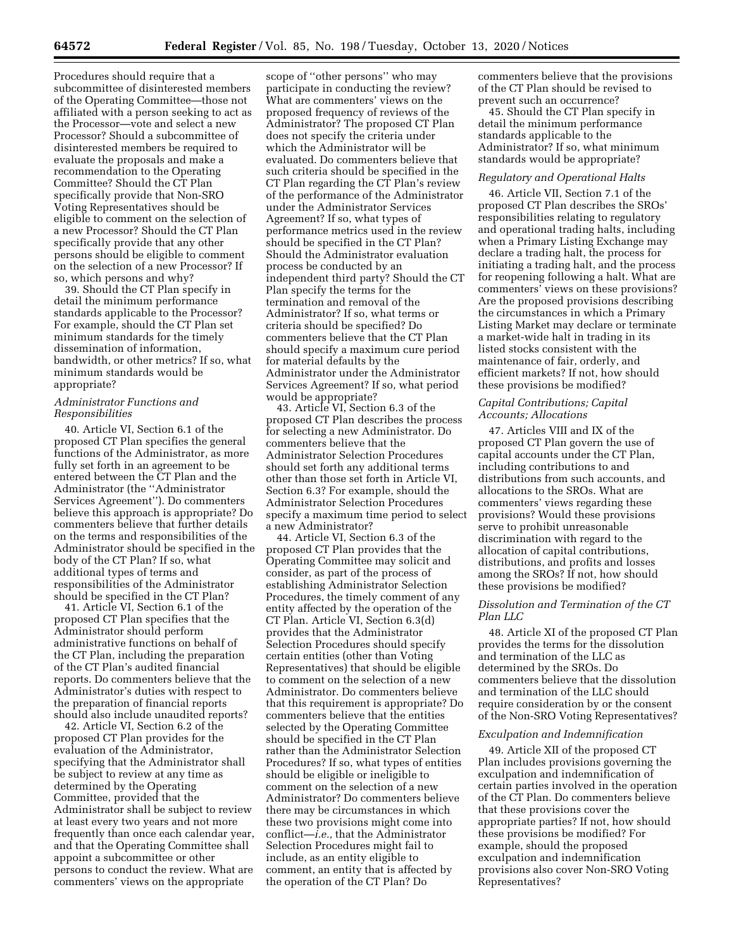Procedures should require that a subcommittee of disinterested members of the Operating Committee—those not affiliated with a person seeking to act as the Processor—vote and select a new Processor? Should a subcommittee of disinterested members be required to evaluate the proposals and make a recommendation to the Operating Committee? Should the CT Plan specifically provide that Non-SRO Voting Representatives should be eligible to comment on the selection of a new Processor? Should the CT Plan specifically provide that any other persons should be eligible to comment on the selection of a new Processor? If so, which persons and why?

39. Should the CT Plan specify in detail the minimum performance standards applicable to the Processor? For example, should the CT Plan set minimum standards for the timely dissemination of information, bandwidth, or other metrics? If so, what minimum standards would be appropriate?

### *Administrator Functions and Responsibilities*

40. Article VI, Section 6.1 of the proposed CT Plan specifies the general functions of the Administrator, as more fully set forth in an agreement to be entered between the CT Plan and the Administrator (the ''Administrator Services Agreement''). Do commenters believe this approach is appropriate? Do commenters believe that further details on the terms and responsibilities of the Administrator should be specified in the body of the CT Plan? If so, what additional types of terms and responsibilities of the Administrator should be specified in the CT Plan?

41. Article VI, Section 6.1 of the proposed CT Plan specifies that the Administrator should perform administrative functions on behalf of the CT Plan, including the preparation of the CT Plan's audited financial reports. Do commenters believe that the Administrator's duties with respect to the preparation of financial reports should also include unaudited reports?

42. Article VI, Section 6.2 of the proposed CT Plan provides for the evaluation of the Administrator, specifying that the Administrator shall be subject to review at any time as determined by the Operating Committee, provided that the Administrator shall be subject to review at least every two years and not more frequently than once each calendar year, and that the Operating Committee shall appoint a subcommittee or other persons to conduct the review. What are commenters' views on the appropriate

scope of ''other persons'' who may participate in conducting the review? What are commenters' views on the proposed frequency of reviews of the Administrator? The proposed CT Plan does not specify the criteria under which the Administrator will be evaluated. Do commenters believe that such criteria should be specified in the CT Plan regarding the CT Plan's review of the performance of the Administrator under the Administrator Services Agreement? If so, what types of performance metrics used in the review should be specified in the CT Plan? Should the Administrator evaluation process be conducted by an independent third party? Should the CT Plan specify the terms for the termination and removal of the Administrator? If so, what terms or criteria should be specified? Do commenters believe that the CT Plan should specify a maximum cure period for material defaults by the Administrator under the Administrator Services Agreement? If so, what period would be appropriate?

43. Article VI, Section 6.3 of the proposed CT Plan describes the process for selecting a new Administrator. Do commenters believe that the Administrator Selection Procedures should set forth any additional terms other than those set forth in Article VI, Section 6.3? For example, should the Administrator Selection Procedures specify a maximum time period to select a new Administrator?

44. Article VI, Section 6.3 of the proposed CT Plan provides that the Operating Committee may solicit and consider, as part of the process of establishing Administrator Selection Procedures, the timely comment of any entity affected by the operation of the CT Plan. Article VI, Section 6.3(d) provides that the Administrator Selection Procedures should specify certain entities (other than Voting Representatives) that should be eligible to comment on the selection of a new Administrator. Do commenters believe that this requirement is appropriate? Do commenters believe that the entities selected by the Operating Committee should be specified in the CT Plan rather than the Administrator Selection Procedures? If so, what types of entities should be eligible or ineligible to comment on the selection of a new Administrator? Do commenters believe there may be circumstances in which these two provisions might come into conflict—*i.e.,* that the Administrator Selection Procedures might fail to include, as an entity eligible to comment, an entity that is affected by the operation of the CT Plan? Do

commenters believe that the provisions of the CT Plan should be revised to prevent such an occurrence?

45. Should the CT Plan specify in detail the minimum performance standards applicable to the Administrator? If so, what minimum standards would be appropriate?

### *Regulatory and Operational Halts*

46. Article VII, Section 7.1 of the proposed CT Plan describes the SROs' responsibilities relating to regulatory and operational trading halts, including when a Primary Listing Exchange may declare a trading halt, the process for initiating a trading halt, and the process for reopening following a halt. What are commenters' views on these provisions? Are the proposed provisions describing the circumstances in which a Primary Listing Market may declare or terminate a market-wide halt in trading in its listed stocks consistent with the maintenance of fair, orderly, and efficient markets? If not, how should these provisions be modified?

### *Capital Contributions; Capital Accounts; Allocations*

47. Articles VIII and IX of the proposed CT Plan govern the use of capital accounts under the CT Plan, including contributions to and distributions from such accounts, and allocations to the SROs. What are commenters' views regarding these provisions? Would these provisions serve to prohibit unreasonable discrimination with regard to the allocation of capital contributions, distributions, and profits and losses among the SROs? If not, how should these provisions be modified?

# *Dissolution and Termination of the CT Plan LLC*

48. Article XI of the proposed CT Plan provides the terms for the dissolution and termination of the LLC as determined by the SROs. Do commenters believe that the dissolution and termination of the LLC should require consideration by or the consent of the Non-SRO Voting Representatives?

#### *Exculpation and Indemnification*

49. Article XII of the proposed CT Plan includes provisions governing the exculpation and indemnification of certain parties involved in the operation of the CT Plan. Do commenters believe that these provisions cover the appropriate parties? If not, how should these provisions be modified? For example, should the proposed exculpation and indemnification provisions also cover Non-SRO Voting Representatives?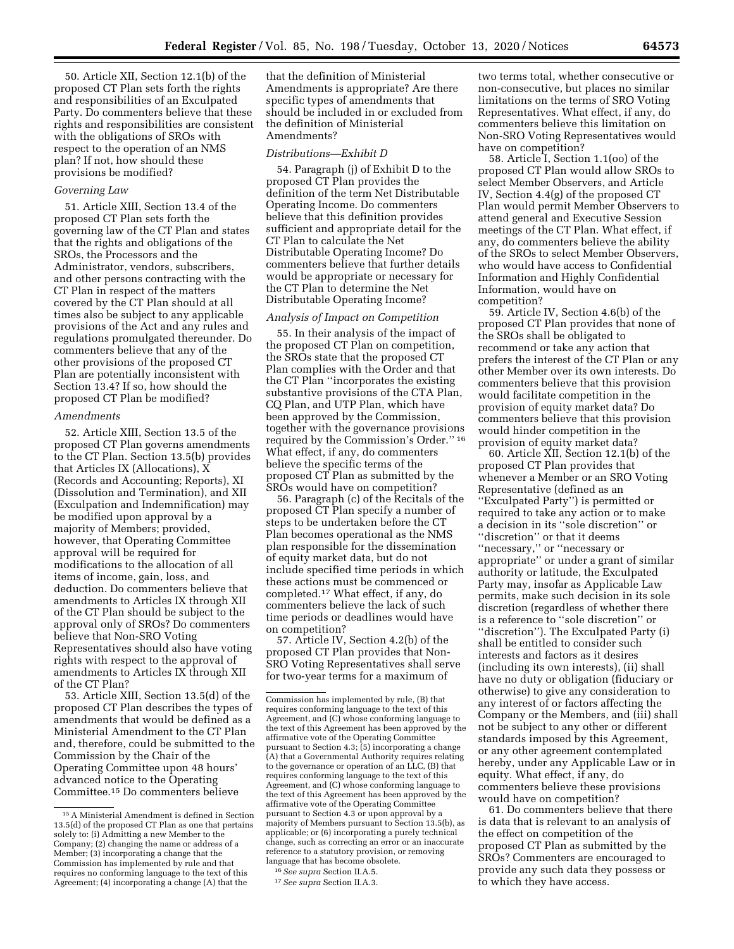50. Article XII, Section 12.1(b) of the proposed CT Plan sets forth the rights and responsibilities of an Exculpated Party. Do commenters believe that these rights and responsibilities are consistent with the obligations of SROs with respect to the operation of an NMS plan? If not, how should these provisions be modified?

#### *Governing Law*

51. Article XIII, Section 13.4 of the proposed CT Plan sets forth the governing law of the CT Plan and states that the rights and obligations of the SROs, the Processors and the Administrator, vendors, subscribers, and other persons contracting with the CT Plan in respect of the matters covered by the CT Plan should at all times also be subject to any applicable provisions of the Act and any rules and regulations promulgated thereunder. Do commenters believe that any of the other provisions of the proposed CT Plan are potentially inconsistent with Section 13.4? If so, how should the proposed CT Plan be modified?

#### *Amendments*

52. Article XIII, Section 13.5 of the proposed CT Plan governs amendments to the CT Plan. Section 13.5(b) provides that Articles IX (Allocations), X (Records and Accounting; Reports), XI (Dissolution and Termination), and XII (Exculpation and Indemnification) may be modified upon approval by a majority of Members; provided, however, that Operating Committee approval will be required for modifications to the allocation of all items of income, gain, loss, and deduction. Do commenters believe that amendments to Articles IX through XII of the CT Plan should be subject to the approval only of SROs? Do commenters believe that Non-SRO Voting Representatives should also have voting rights with respect to the approval of amendments to Articles IX through XII of the CT Plan?

53. Article XIII, Section 13.5(d) of the proposed CT Plan describes the types of amendments that would be defined as a Ministerial Amendment to the CT Plan and, therefore, could be submitted to the Commission by the Chair of the Operating Committee upon 48 hours' advanced notice to the Operating Committee.15 Do commenters believe

that the definition of Ministerial Amendments is appropriate? Are there specific types of amendments that should be included in or excluded from the definition of Ministerial Amendments?

#### *Distributions—Exhibit D*

54. Paragraph (j) of Exhibit D to the proposed CT Plan provides the definition of the term Net Distributable Operating Income. Do commenters believe that this definition provides sufficient and appropriate detail for the CT Plan to calculate the Net Distributable Operating Income? Do commenters believe that further details would be appropriate or necessary for the CT Plan to determine the Net Distributable Operating Income?

#### *Analysis of Impact on Competition*

55. In their analysis of the impact of the proposed CT Plan on competition, the SROs state that the proposed CT Plan complies with the Order and that the CT Plan ''incorporates the existing substantive provisions of the CTA Plan, CQ Plan, and UTP Plan, which have been approved by the Commission, together with the governance provisions required by the Commission's Order.'' 16 What effect, if any, do commenters believe the specific terms of the proposed CT Plan as submitted by the SROs would have on competition?

56. Paragraph (c) of the Recitals of the proposed CT Plan specify a number of steps to be undertaken before the CT Plan becomes operational as the NMS plan responsible for the dissemination of equity market data, but do not include specified time periods in which these actions must be commenced or completed.17 What effect, if any, do commenters believe the lack of such time periods or deadlines would have on competition?

57. Article IV, Section 4.2(b) of the proposed CT Plan provides that Non-SRO Voting Representatives shall serve for two-year terms for a maximum of

two terms total, whether consecutive or non-consecutive, but places no similar limitations on the terms of SRO Voting Representatives. What effect, if any, do commenters believe this limitation on Non-SRO Voting Representatives would have on competition?

58. Article I, Section 1.1(oo) of the proposed CT Plan would allow SROs to select Member Observers, and Article IV, Section 4.4(g) of the proposed CT Plan would permit Member Observers to attend general and Executive Session meetings of the CT Plan. What effect, if any, do commenters believe the ability of the SROs to select Member Observers, who would have access to Confidential Information and Highly Confidential Information, would have on competition?

59. Article IV, Section 4.6(b) of the proposed CT Plan provides that none of the SROs shall be obligated to recommend or take any action that prefers the interest of the CT Plan or any other Member over its own interests. Do commenters believe that this provision would facilitate competition in the provision of equity market data? Do commenters believe that this provision would hinder competition in the provision of equity market data?

60. Article XII, Section 12.1(b) of the proposed CT Plan provides that whenever a Member or an SRO Voting Representative (defined as an ''Exculpated Party'') is permitted or required to take any action or to make a decision in its ''sole discretion'' or ''discretion'' or that it deems ''necessary,'' or ''necessary or appropriate'' or under a grant of similar authority or latitude, the Exculpated Party may, insofar as Applicable Law permits, make such decision in its sole discretion (regardless of whether there is a reference to ''sole discretion'' or ''discretion''). The Exculpated Party (i) shall be entitled to consider such interests and factors as it desires (including its own interests), (ii) shall have no duty or obligation (fiduciary or otherwise) to give any consideration to any interest of or factors affecting the Company or the Members, and (iii) shall not be subject to any other or different standards imposed by this Agreement, or any other agreement contemplated hereby, under any Applicable Law or in equity. What effect, if any, do commenters believe these provisions would have on competition?

61. Do commenters believe that there is data that is relevant to an analysis of the effect on competition of the proposed CT Plan as submitted by the SROs? Commenters are encouraged to provide any such data they possess or to which they have access.

<sup>15</sup>A Ministerial Amendment is defined in Section 13.5(d) of the proposed CT Plan as one that pertains solely to: (i) Admitting a new Member to the Company; (2) changing the name or address of a Member; (3) incorporating a change that the Commission has implemented by rule and that requires no conforming language to the text of this Agreement; (4) incorporating a change (A) that the

Commission has implemented by rule, (B) that requires conforming language to the text of this Agreement, and (C) whose conforming language to the text of this Agreement has been approved by the affirmative vote of the Operating Committee pursuant to Section 4.3; (5) incorporating a change (A) that a Governmental Authority requires relating to the governance or operation of an LLC, (B) that requires conforming language to the text of this Agreement, and (C) whose conforming language to the text of this Agreement has been approved by the affirmative vote of the Operating Committee pursuant to Section 4.3 or upon approval by a majority of Members pursuant to Section 13.5(b), as applicable; or (6) incorporating a purely technical change, such as correcting an error or an inaccurate reference to a statutory provision, or removing language that has become obsolete.

<sup>16</sup>*See supra* Section II.A.5.

<sup>17</sup>*See supra* Section II.A.3.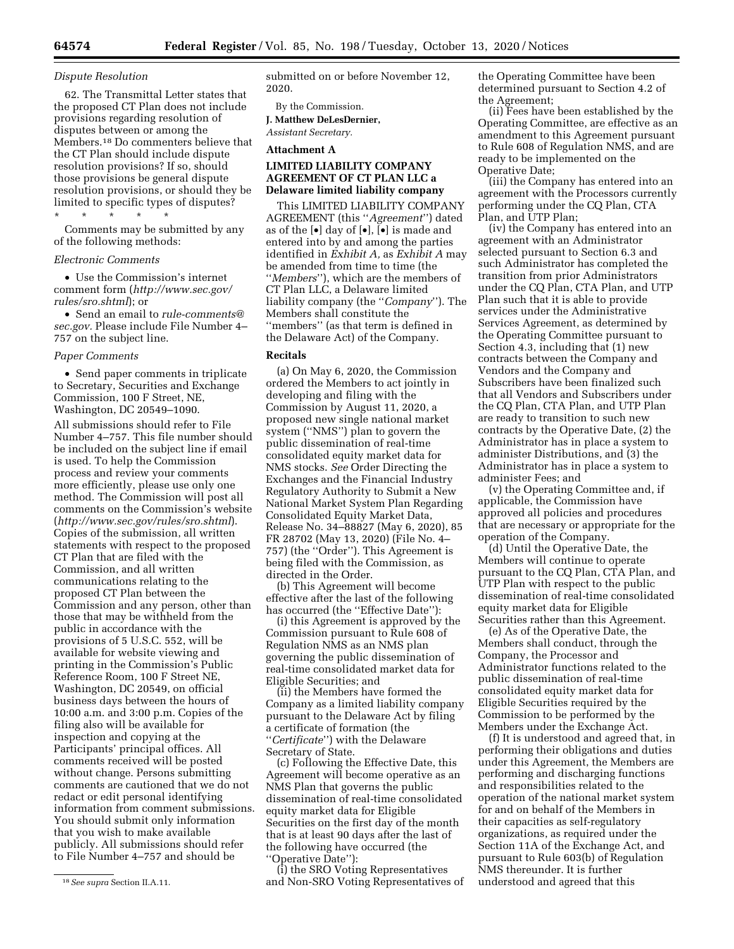#### *Dispute Resolution*

62. The Transmittal Letter states that the proposed CT Plan does not include provisions regarding resolution of disputes between or among the Members.18 Do commenters believe that the CT Plan should include dispute resolution provisions? If so, should those provisions be general dispute resolution provisions, or should they be limited to specific types of disputes? \* \* \* \* \*

Comments may be submitted by any of the following methods:

#### *Electronic Comments*

• Use the Commission's internet comment form (*[http://www.sec.gov/](http://www.sec.gov/rules/sro.shtml)  [rules/sro.shtml](http://www.sec.gov/rules/sro.shtml)*); or

• Send an email to *[rule-comments@](mailto:rule-comments@sec.gov) [sec.gov.](mailto:rule-comments@sec.gov)* Please include File Number 4– 757 on the subject line.

#### *Paper Comments*

• Send paper comments in triplicate to Secretary, Securities and Exchange Commission, 100 F Street, NE, Washington, DC 20549–1090.

All submissions should refer to File Number 4–757. This file number should be included on the subject line if email is used. To help the Commission process and review your comments more efficiently, please use only one method. The Commission will post all comments on the Commission's website (*<http://www.sec.gov/rules/sro.shtml>*). Copies of the submission, all written statements with respect to the proposed CT Plan that are filed with the Commission, and all written communications relating to the proposed CT Plan between the Commission and any person, other than those that may be withheld from the public in accordance with the provisions of 5 U.S.C. 552, will be available for website viewing and printing in the Commission's Public Reference Room, 100 F Street NE, Washington, DC 20549, on official business days between the hours of 10:00 a.m. and 3:00 p.m. Copies of the filing also will be available for inspection and copying at the Participants' principal offices. All comments received will be posted without change. Persons submitting comments are cautioned that we do not redact or edit personal identifying information from comment submissions. You should submit only information that you wish to make available publicly. All submissions should refer to File Number 4–757 and should be

18*See supra* Section II.A.11.

submitted on or before November 12, 2020.

By the Commission.

**J. Matthew DeLesDernier,**  *Assistant Secretary.* 

**Attachment A** 

# **LIMITED LIABILITY COMPANY AGREEMENT OF CT PLAN LLC a Delaware limited liability company**

This LIMITED LIABILITY COMPANY AGREEMENT (this ''*Agreement*'') dated as of the  $\left[\bullet\right]$  day of  $\left[\bullet\right]$ ,  $\left[\bullet\right]$  is made and entered into by and among the parties identified in *Exhibit A,* as *Exhibit A* may be amended from time to time (the ''*Members*''), which are the members of CT Plan LLC, a Delaware limited liability company (the ''*Company*''). The Members shall constitute the ''members'' (as that term is defined in the Delaware Act) of the Company.

#### **Recitals**

(a) On May 6, 2020, the Commission ordered the Members to act jointly in developing and filing with the Commission by August 11, 2020, a proposed new single national market system (''NMS'') plan to govern the public dissemination of real-time consolidated equity market data for NMS stocks. *See* Order Directing the Exchanges and the Financial Industry Regulatory Authority to Submit a New National Market System Plan Regarding Consolidated Equity Market Data, Release No. 34–88827 (May 6, 2020), 85 FR 28702 (May 13, 2020) (File No. 4– 757) (the ''Order''). This Agreement is being filed with the Commission, as directed in the Order.

(b) This Agreement will become effective after the last of the following has occurred (the "Effective Date"):

(i) this Agreement is approved by the Commission pursuant to Rule 608 of Regulation NMS as an NMS plan governing the public dissemination of real-time consolidated market data for Eligible Securities; and

(ii) the Members have formed the Company as a limited liability company pursuant to the Delaware Act by filing a certificate of formation (the ''*Certificate*'') with the Delaware Secretary of State.

(c) Following the Effective Date, this Agreement will become operative as an NMS Plan that governs the public dissemination of real-time consolidated equity market data for Eligible Securities on the first day of the month that is at least 90 days after the last of the following have occurred (the ''Operative Date''):

(i) the SRO Voting Representatives and Non-SRO Voting Representatives of the Operating Committee have been determined pursuant to Section 4.2 of the Agreement;

(ii) Fees have been established by the Operating Committee, are effective as an amendment to this Agreement pursuant to Rule 608 of Regulation NMS, and are ready to be implemented on the Operative Date;

(iii) the Company has entered into an agreement with the Processors currently performing under the CQ Plan, CTA Plan, and UTP Plan;

(iv) the Company has entered into an agreement with an Administrator selected pursuant to Section 6.3 and such Administrator has completed the transition from prior Administrators under the CQ Plan, CTA Plan, and UTP Plan such that it is able to provide services under the Administrative Services Agreement, as determined by the Operating Committee pursuant to Section 4.3, including that (1) new contracts between the Company and Vendors and the Company and Subscribers have been finalized such that all Vendors and Subscribers under the CQ Plan, CTA Plan, and UTP Plan are ready to transition to such new contracts by the Operative Date, (2) the Administrator has in place a system to administer Distributions, and (3) the Administrator has in place a system to administer Fees; and

(v) the Operating Committee and, if applicable, the Commission have approved all policies and procedures that are necessary or appropriate for the operation of the Company.

(d) Until the Operative Date, the Members will continue to operate pursuant to the CQ Plan, CTA Plan, and UTP Plan with respect to the public dissemination of real-time consolidated equity market data for Eligible Securities rather than this Agreement.

(e) As of the Operative Date, the Members shall conduct, through the Company, the Processor and Administrator functions related to the public dissemination of real-time consolidated equity market data for Eligible Securities required by the Commission to be performed by the Members under the Exchange Act.

(f) It is understood and agreed that, in performing their obligations and duties under this Agreement, the Members are performing and discharging functions and responsibilities related to the operation of the national market system for and on behalf of the Members in their capacities as self-regulatory organizations, as required under the Section 11A of the Exchange Act, and pursuant to Rule 603(b) of Regulation NMS thereunder. It is further understood and agreed that this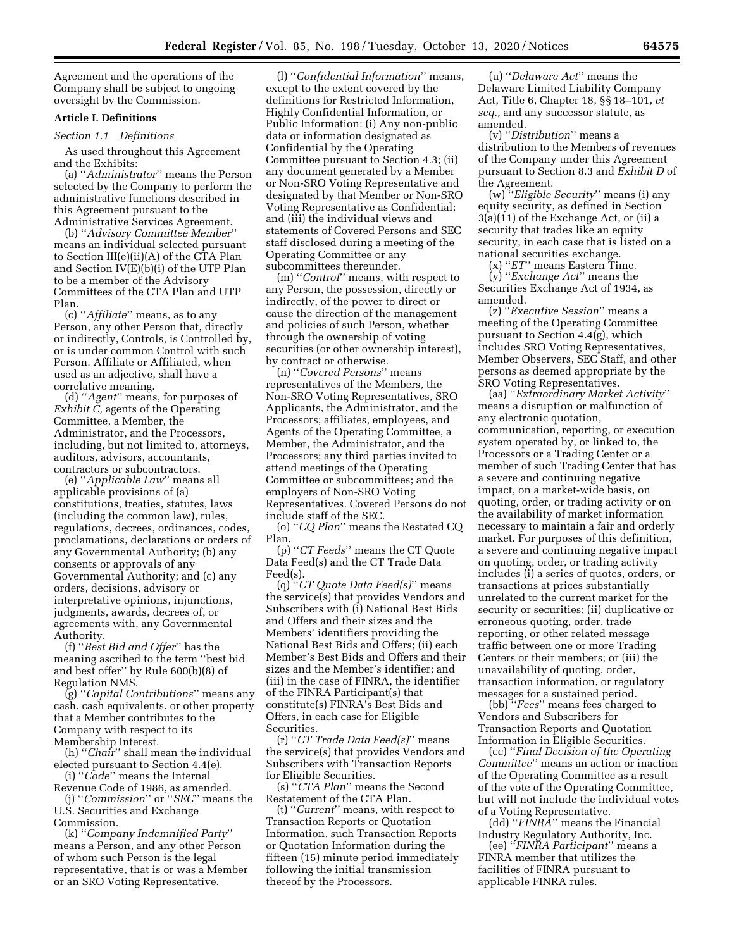Agreement and the operations of the Company shall be subject to ongoing oversight by the Commission.

### **Article I. Definitions**

*Section 1.1 Definitions* 

As used throughout this Agreement and the Exhibits:

(a) ''*Administrator*'' means the Person selected by the Company to perform the administrative functions described in this Agreement pursuant to the Administrative Services Agreement.

(b) ''*Advisory Committee Member*'' means an individual selected pursuant to Section III(e)(ii)(A) of the CTA Plan and Section IV(E)(b)(i) of the UTP Plan to be a member of the Advisory Committees of the CTA Plan and UTP Plan.

(c) ''*Affiliate*'' means, as to any Person, any other Person that, directly or indirectly, Controls, is Controlled by, or is under common Control with such Person. Affiliate or Affiliated, when used as an adjective, shall have a correlative meaning.

(d) ''*Agent*'' means, for purposes of *Exhibit C,* agents of the Operating Committee, a Member, the Administrator, and the Processors, including, but not limited to, attorneys, auditors, advisors, accountants, contractors or subcontractors.

(e) ''*Applicable Law*'' means all applicable provisions of (a) constitutions, treaties, statutes, laws (including the common law), rules, regulations, decrees, ordinances, codes, proclamations, declarations or orders of any Governmental Authority; (b) any consents or approvals of any Governmental Authority; and (c) any orders, decisions, advisory or interpretative opinions, injunctions, judgments, awards, decrees of, or agreements with, any Governmental Authority.

(f) ''*Best Bid and Offer*'' has the meaning ascribed to the term ''best bid and best offer'' by Rule 600(b)(8) of Regulation NMS.

(g) ''*Capital Contributions*'' means any cash, cash equivalents, or other property that a Member contributes to the Company with respect to its Membership Interest.

(h) ''*Chair*'' shall mean the individual elected pursuant to Section 4.4(e). (i) ''*Code*'' means the Internal

Revenue Code of 1986, as amended.

(j) ''*Commission*'' or ''*SEC*'' means the U.S. Securities and Exchange Commission.

(k) ''*Company Indemnified Party*'' means a Person, and any other Person of whom such Person is the legal representative, that is or was a Member or an SRO Voting Representative.

(l) ''*Confidential Information*'' means, except to the extent covered by the definitions for Restricted Information, Highly Confidential Information, or Public Information: (i) Any non-public data or information designated as Confidential by the Operating Committee pursuant to Section 4.3; (ii) any document generated by a Member or Non-SRO Voting Representative and designated by that Member or Non-SRO Voting Representative as Confidential; and (iii) the individual views and statements of Covered Persons and SEC staff disclosed during a meeting of the Operating Committee or any subcommittees thereunder.

(m) ''*Control*'' means, with respect to any Person, the possession, directly or indirectly, of the power to direct or cause the direction of the management and policies of such Person, whether through the ownership of voting securities (or other ownership interest), by contract or otherwise.

(n) ''*Covered Persons*'' means representatives of the Members, the Non-SRO Voting Representatives, SRO Applicants, the Administrator, and the Processors; affiliates, employees, and Agents of the Operating Committee, a Member, the Administrator, and the Processors; any third parties invited to attend meetings of the Operating Committee or subcommittees; and the employers of Non-SRO Voting Representatives. Covered Persons do not include staff of the SEC.

(o) ''*CQ Plan*'' means the Restated CQ Plan.

(p) ''*CT Feeds*'' means the CT Quote Data Feed(s) and the CT Trade Data Feed(s).

(q) ''*CT Quote Data Feed(s)*'' means the service(s) that provides Vendors and Subscribers with (i) National Best Bids and Offers and their sizes and the Members' identifiers providing the National Best Bids and Offers; (ii) each Member's Best Bids and Offers and their sizes and the Member's identifier; and (iii) in the case of FINRA, the identifier of the FINRA Participant(s) that constitute(s) FINRA's Best Bids and Offers, in each case for Eligible Securities.

(r) ''*CT Trade Data Feed(s)*'' means the service(s) that provides Vendors and Subscribers with Transaction Reports for Eligible Securities.

(s) ''*CTA Plan*'' means the Second Restatement of the CTA Plan.

(t) ''*Current*'' means, with respect to Transaction Reports or Quotation Information, such Transaction Reports or Quotation Information during the fifteen (15) minute period immediately following the initial transmission thereof by the Processors.

(u) ''*Delaware Act*'' means the Delaware Limited Liability Company Act, Title 6, Chapter 18, §§ 18–101, *et seq.,* and any successor statute, as amended.

(v) ''*Distribution*'' means a distribution to the Members of revenues of the Company under this Agreement pursuant to Section 8.3 and *Exhibit D* of the Agreement.

(w) ''*Eligible Security*'' means (i) any equity security, as defined in Section 3(a)(11) of the Exchange Act, or (ii) a security that trades like an equity security, in each case that is listed on a national securities exchange.

(x) ''*ET*'' means Eastern Time.

(y) ''*Exchange Act*'' means the Securities Exchange Act of 1934, as amended.

(z) ''*Executive Session*'' means a meeting of the Operating Committee pursuant to Section 4.4(g), which includes SRO Voting Representatives, Member Observers, SEC Staff, and other persons as deemed appropriate by the SRO Voting Representatives.

(aa) ''*Extraordinary Market Activity*'' means a disruption or malfunction of any electronic quotation, communication, reporting, or execution system operated by, or linked to, the Processors or a Trading Center or a member of such Trading Center that has a severe and continuing negative impact, on a market-wide basis, on quoting, order, or trading activity or on the availability of market information necessary to maintain a fair and orderly market. For purposes of this definition, a severe and continuing negative impact on quoting, order, or trading activity includes (i) a series of quotes, orders, or transactions at prices substantially unrelated to the current market for the security or securities; (ii) duplicative or erroneous quoting, order, trade reporting, or other related message traffic between one or more Trading Centers or their members; or (iii) the unavailability of quoting, order, transaction information, or regulatory messages for a sustained period.

(bb) ''*Fees*'' means fees charged to Vendors and Subscribers for Transaction Reports and Quotation Information in Eligible Securities.

(cc) ''*Final Decision of the Operating Committee*'' means an action or inaction of the Operating Committee as a result of the vote of the Operating Committee, but will not include the individual votes of a Voting Representative.

(dd) ''*FINRA*'' means the Financial Industry Regulatory Authority, Inc.

(ee) ''*FINRA Participant*'' means a FINRA member that utilizes the facilities of FINRA pursuant to applicable FINRA rules.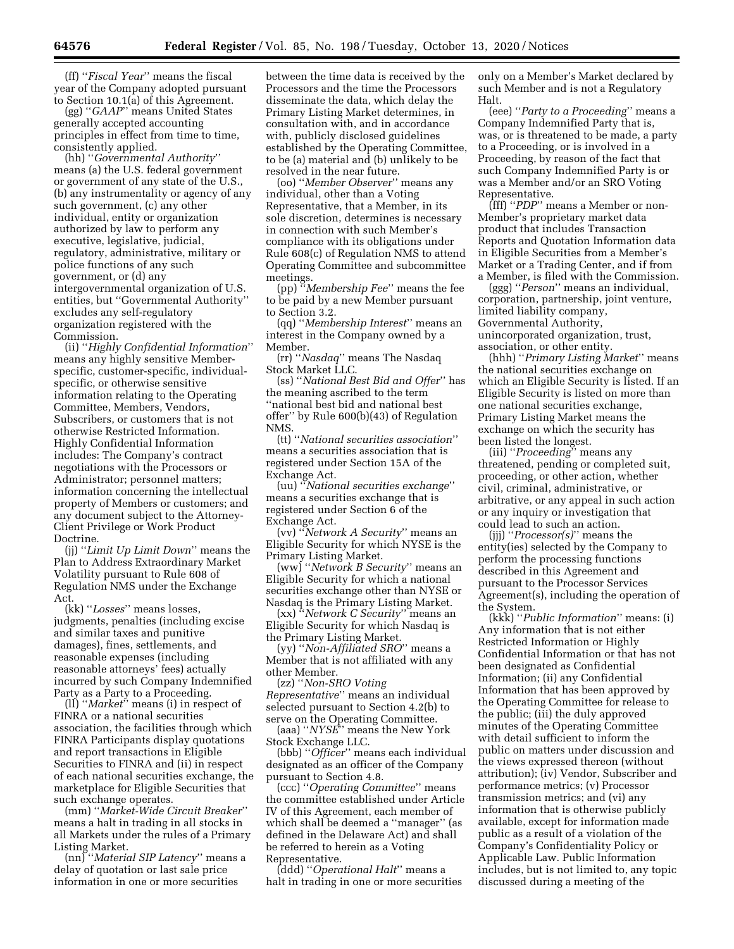(ff) ''*Fiscal Year*'' means the fiscal year of the Company adopted pursuant to Section 10.1(a) of this Agreement.

(gg) ''*GAAP*'' means United States generally accepted accounting principles in effect from time to time, consistently applied.

(hh) ''*Governmental Authority*'' means (a) the U.S. federal government or government of any state of the U.S., (b) any instrumentality or agency of any such government, (c) any other individual, entity or organization authorized by law to perform any executive, legislative, judicial, regulatory, administrative, military or police functions of any such government, or (d) any intergovernmental organization of U.S. entities, but ''Governmental Authority'' excludes any self-regulatory organization registered with the Commission.

(ii) ''*Highly Confidential Information*'' means any highly sensitive Memberspecific, customer-specific, individualspecific, or otherwise sensitive information relating to the Operating Committee, Members, Vendors, Subscribers, or customers that is not otherwise Restricted Information. Highly Confidential Information includes: The Company's contract negotiations with the Processors or Administrator; personnel matters; information concerning the intellectual property of Members or customers; and any document subject to the Attorney-Client Privilege or Work Product Doctrine.

(jj) ''*Limit Up Limit Down*'' means the Plan to Address Extraordinary Market Volatility pursuant to Rule 608 of Regulation NMS under the Exchange Act.

(kk) ''*Losses*'' means losses, judgments, penalties (including excise and similar taxes and punitive damages), fines, settlements, and reasonable expenses (including reasonable attorneys' fees) actually incurred by such Company Indemnified Party as a Party to a Proceeding.

(ll) ''*Market*'' means (i) in respect of FINRA or a national securities association, the facilities through which FINRA Participants display quotations and report transactions in Eligible Securities to FINRA and (ii) in respect of each national securities exchange, the marketplace for Eligible Securities that such exchange operates.

(mm) ''*Market-Wide Circuit Breaker*'' means a halt in trading in all stocks in all Markets under the rules of a Primary Listing Market.

(nn) ''*Material SIP Latency*'' means a delay of quotation or last sale price information in one or more securities

between the time data is received by the Processors and the time the Processors disseminate the data, which delay the Primary Listing Market determines, in consultation with, and in accordance with, publicly disclosed guidelines established by the Operating Committee, to be (a) material and (b) unlikely to be resolved in the near future.

(oo) ''*Member Observer*'' means any individual, other than a Voting Representative, that a Member, in its sole discretion, determines is necessary in connection with such Member's compliance with its obligations under Rule 608(c) of Regulation NMS to attend Operating Committee and subcommittee meetings.

(pp) ''*Membership Fee*'' means the fee to be paid by a new Member pursuant to Section 3.2.

(qq) ''*Membership Interest*'' means an interest in the Company owned by a Member.

(rr) ''*Nasdaq*'' means The Nasdaq Stock Market LLC.

(ss) ''*National Best Bid and Offer*'' has the meaning ascribed to the term ''national best bid and national best offer'' by Rule 600(b)(43) of Regulation NMS.

(tt) ''*National securities association*'' means a securities association that is registered under Section 15A of the Exchange Act.

(uu) ''*National securities exchange*'' means a securities exchange that is registered under Section 6 of the Exchange Act.

(vv) ''*Network A Security*'' means an Eligible Security for which NYSE is the Primary Listing Market.

(ww) ''*Network B Security*'' means an Eligible Security for which a national securities exchange other than NYSE or Nasdaq is the Primary Listing Market.

(xx) ''*Network C Security*'' means an Eligible Security for which Nasdaq is the Primary Listing Market.

(yy) ''*Non-Affiliated SRO*'' means a Member that is not affiliated with any other Member.

(zz) ''*Non-SRO Voting Representative*'' means an individual selected pursuant to Section 4.2(b) to serve on the Operating Committee.

(aaa) ''*NYSE*'' means the New York Stock Exchange LLC.

(bbb) ''*Officer*'' means each individual designated as an officer of the Company pursuant to Section 4.8.

(ccc) ''*Operating Committee*'' means the committee established under Article IV of this Agreement, each member of which shall be deemed a ''manager'' (as defined in the Delaware Act) and shall be referred to herein as a Voting Representative.

(ddd) ''*Operational Halt*'' means a halt in trading in one or more securities only on a Member's Market declared by such Member and is not a Regulatory Halt.

(eee) ''*Party to a Proceeding*'' means a Company Indemnified Party that is, was, or is threatened to be made, a party to a Proceeding, or is involved in a Proceeding, by reason of the fact that such Company Indemnified Party is or was a Member and/or an SRO Voting Representative.

(fff) ''*PDP*'' means a Member or non-Member's proprietary market data product that includes Transaction Reports and Quotation Information data in Eligible Securities from a Member's Market or a Trading Center, and if from a Member, is filed with the Commission.

(ggg) ''*Person*'' means an individual, corporation, partnership, joint venture, limited liability company, Governmental Authority, unincorporated organization, trust, association, or other entity.

(hhh) ''*Primary Listing Market*'' means the national securities exchange on which an Eligible Security is listed. If an Eligible Security is listed on more than one national securities exchange, Primary Listing Market means the exchange on which the security has been listed the longest.

(iii) ''*Proceeding*'' means any threatened, pending or completed suit, proceeding, or other action, whether civil, criminal, administrative, or arbitrative, or any appeal in such action or any inquiry or investigation that could lead to such an action.

(jjj) ''*Processor(s)*'' means the entity(ies) selected by the Company to perform the processing functions described in this Agreement and pursuant to the Processor Services Agreement(s), including the operation of the System.

(kkk) ''*Public Information*'' means: (i) Any information that is not either Restricted Information or Highly Confidential Information or that has not been designated as Confidential Information; (ii) any Confidential Information that has been approved by the Operating Committee for release to the public; (iii) the duly approved minutes of the Operating Committee with detail sufficient to inform the public on matters under discussion and the views expressed thereon (without attribution); (iv) Vendor, Subscriber and performance metrics; (v) Processor transmission metrics; and (vi) any information that is otherwise publicly available, except for information made public as a result of a violation of the Company's Confidentiality Policy or Applicable Law. Public Information includes, but is not limited to, any topic discussed during a meeting of the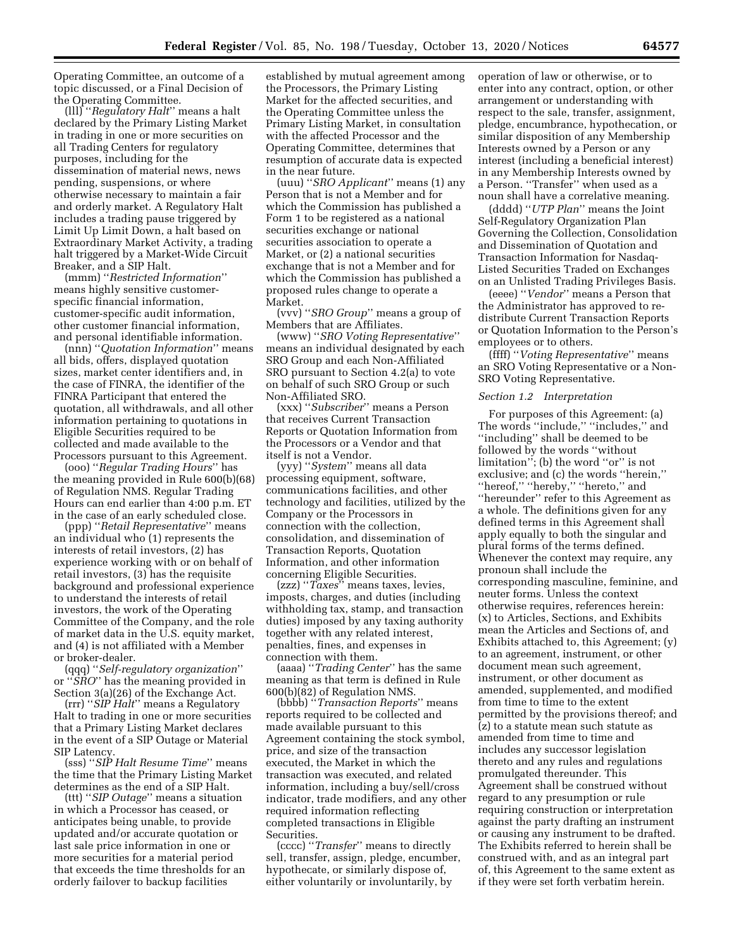Operating Committee, an outcome of a topic discussed, or a Final Decision of the Operating Committee.

(lll) ''*Regulatory Halt*'' means a halt declared by the Primary Listing Market in trading in one or more securities on all Trading Centers for regulatory purposes, including for the dissemination of material news, news pending, suspensions, or where otherwise necessary to maintain a fair and orderly market. A Regulatory Halt includes a trading pause triggered by Limit Up Limit Down, a halt based on Extraordinary Market Activity, a trading halt triggered by a Market-Wide Circuit Breaker, and a SIP Halt.

(mmm) ''*Restricted Information*'' means highly sensitive customerspecific financial information, customer-specific audit information, other customer financial information, and personal identifiable information.

(nnn) ''*Quotation Information*'' means all bids, offers, displayed quotation sizes, market center identifiers and, in the case of FINRA, the identifier of the FINRA Participant that entered the quotation, all withdrawals, and all other information pertaining to quotations in Eligible Securities required to be collected and made available to the Processors pursuant to this Agreement.

(ooo) ''*Regular Trading Hours*'' has the meaning provided in Rule 600(b)(68) of Regulation NMS. Regular Trading Hours can end earlier than 4:00 p.m. ET in the case of an early scheduled close.

(ppp) ''*Retail Representative*'' means an individual who (1) represents the interests of retail investors, (2) has experience working with or on behalf of retail investors, (3) has the requisite background and professional experience to understand the interests of retail investors, the work of the Operating Committee of the Company, and the role of market data in the U.S. equity market, and (4) is not affiliated with a Member or broker-dealer.

(qqq) ''*Self-regulatory organization*'' or ''*SRO*'' has the meaning provided in Section 3(a)(26) of the Exchange Act.

(rrr) ''*SIP Halt*'' means a Regulatory Halt to trading in one or more securities that a Primary Listing Market declares in the event of a SIP Outage or Material SIP Latency.

(sss) ''*SIP Halt Resume Time*'' means the time that the Primary Listing Market determines as the end of a SIP Halt.

(ttt) ''*SIP Outage*'' means a situation in which a Processor has ceased, or anticipates being unable, to provide updated and/or accurate quotation or last sale price information in one or more securities for a material period that exceeds the time thresholds for an orderly failover to backup facilities

established by mutual agreement among the Processors, the Primary Listing Market for the affected securities, and the Operating Committee unless the Primary Listing Market, in consultation with the affected Processor and the Operating Committee, determines that resumption of accurate data is expected in the near future.

(uuu) ''*SRO Applicant*'' means (1) any Person that is not a Member and for which the Commission has published a Form 1 to be registered as a national securities exchange or national securities association to operate a Market, or (2) a national securities exchange that is not a Member and for which the Commission has published a proposed rules change to operate a Market.

(vvv) ''*SRO Group*'' means a group of Members that are Affiliates.

(www) ''*SRO Voting Representative*'' means an individual designated by each SRO Group and each Non-Affiliated SRO pursuant to Section 4.2(a) to vote on behalf of such SRO Group or such Non-Affiliated SRO.

(xxx) ''*Subscriber*'' means a Person that receives Current Transaction Reports or Quotation Information from the Processors or a Vendor and that itself is not a Vendor.

(yyy) ''*System*'' means all data processing equipment, software, communications facilities, and other technology and facilities, utilized by the Company or the Processors in connection with the collection, consolidation, and dissemination of Transaction Reports, Quotation Information, and other information concerning Eligible Securities.

(zzz) ''*Taxes*'' means taxes, levies, imposts, charges, and duties (including withholding tax, stamp, and transaction duties) imposed by any taxing authority together with any related interest, penalties, fines, and expenses in connection with them.

(aaaa) ''*Trading Center*'' has the same meaning as that term is defined in Rule 600(b)(82) of Regulation NMS.

(bbbb) ''*Transaction Reports*'' means reports required to be collected and made available pursuant to this Agreement containing the stock symbol, price, and size of the transaction executed, the Market in which the transaction was executed, and related information, including a buy/sell/cross indicator, trade modifiers, and any other required information reflecting completed transactions in Eligible Securities.

(cccc) ''*Transfer*'' means to directly sell, transfer, assign, pledge, encumber, hypothecate, or similarly dispose of, either voluntarily or involuntarily, by

operation of law or otherwise, or to enter into any contract, option, or other arrangement or understanding with respect to the sale, transfer, assignment, pledge, encumbrance, hypothecation, or similar disposition of any Membership Interests owned by a Person or any interest (including a beneficial interest) in any Membership Interests owned by a Person. ''Transfer'' when used as a noun shall have a correlative meaning.

(dddd) ''*UTP Plan*'' means the Joint Self-Regulatory Organization Plan Governing the Collection, Consolidation and Dissemination of Quotation and Transaction Information for Nasdaq-Listed Securities Traded on Exchanges on an Unlisted Trading Privileges Basis.

(eeee) ''*Vendor*'' means a Person that the Administrator has approved to redistribute Current Transaction Reports or Quotation Information to the Person's employees or to others.

(ffff) ''*Voting Representative*'' means an SRO Voting Representative or a Non-SRO Voting Representative.

#### *Section 1.2 Interpretation*

For purposes of this Agreement: (a) The words "include," "includes," and ''including'' shall be deemed to be followed by the words ''without limitation''; (b) the word ''or'' is not exclusive; and (c) the words ''herein,'' ''hereof,'' ''hereby,'' ''hereto,'' and ''hereunder'' refer to this Agreement as a whole. The definitions given for any defined terms in this Agreement shall apply equally to both the singular and plural forms of the terms defined. Whenever the context may require, any pronoun shall include the corresponding masculine, feminine, and neuter forms. Unless the context otherwise requires, references herein: (x) to Articles, Sections, and Exhibits mean the Articles and Sections of, and Exhibits attached to, this Agreement; (y) to an agreement, instrument, or other document mean such agreement, instrument, or other document as amended, supplemented, and modified from time to time to the extent permitted by the provisions thereof; and (z) to a statute mean such statute as amended from time to time and includes any successor legislation thereto and any rules and regulations promulgated thereunder. This Agreement shall be construed without regard to any presumption or rule requiring construction or interpretation against the party drafting an instrument or causing any instrument to be drafted. The Exhibits referred to herein shall be construed with, and as an integral part of, this Agreement to the same extent as if they were set forth verbatim herein.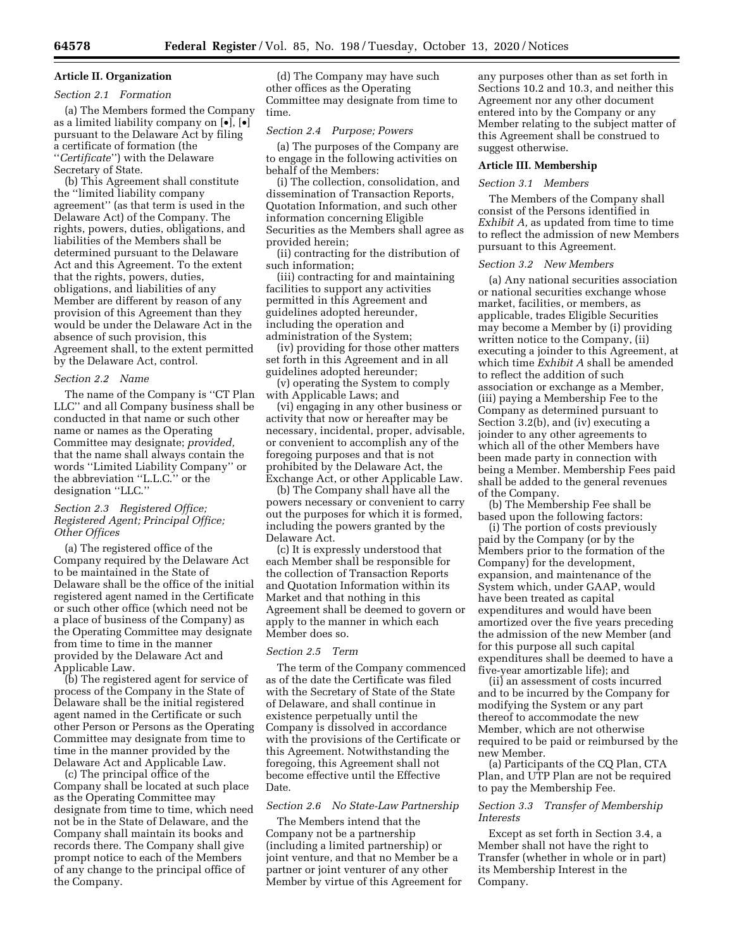# **Article II. Organization**  *Section 2.1 Formation*

(a) The Members formed the Company as a limited liability company on [•], [•] pursuant to the Delaware Act by filing a certificate of formation (the ''*Certificate*'') with the Delaware Secretary of State.

(b) This Agreement shall constitute the ''limited liability company agreement'' (as that term is used in the Delaware Act) of the Company. The rights, powers, duties, obligations, and liabilities of the Members shall be determined pursuant to the Delaware Act and this Agreement. To the extent that the rights, powers, duties, obligations, and liabilities of any Member are different by reason of any provision of this Agreement than they would be under the Delaware Act in the absence of such provision, this Agreement shall, to the extent permitted by the Delaware Act, control.

#### *Section 2.2 Name*

The name of the Company is ''CT Plan LLC'' and all Company business shall be conducted in that name or such other name or names as the Operating Committee may designate; *provided,*  that the name shall always contain the words ''Limited Liability Company'' or the abbreviation ''L.L.C.'' or the designation ''LLC.''

### *Section 2.3 Registered Office; Registered Agent; Principal Office; Other Offices*

(a) The registered office of the Company required by the Delaware Act to be maintained in the State of Delaware shall be the office of the initial registered agent named in the Certificate or such other office (which need not be a place of business of the Company) as the Operating Committee may designate from time to time in the manner provided by the Delaware Act and Applicable Law.

(b) The registered agent for service of process of the Company in the State of Delaware shall be the initial registered agent named in the Certificate or such other Person or Persons as the Operating Committee may designate from time to time in the manner provided by the Delaware Act and Applicable Law.

(c) The principal office of the Company shall be located at such place as the Operating Committee may designate from time to time, which need not be in the State of Delaware, and the Company shall maintain its books and records there. The Company shall give prompt notice to each of the Members of any change to the principal office of the Company.

(d) The Company may have such other offices as the Operating Committee may designate from time to time.

# *Section 2.4 Purpose; Powers*

(a) The purposes of the Company are to engage in the following activities on behalf of the Members:

(i) The collection, consolidation, and dissemination of Transaction Reports, Quotation Information, and such other information concerning Eligible Securities as the Members shall agree as provided herein;

(ii) contracting for the distribution of such information;

(iii) contracting for and maintaining facilities to support any activities permitted in this Agreement and guidelines adopted hereunder, including the operation and administration of the System;

(iv) providing for those other matters set forth in this Agreement and in all guidelines adopted hereunder;

(v) operating the System to comply with Applicable Laws; and

(vi) engaging in any other business or activity that now or hereafter may be necessary, incidental, proper, advisable, or convenient to accomplish any of the foregoing purposes and that is not prohibited by the Delaware Act, the Exchange Act, or other Applicable Law.

(b) The Company shall have all the powers necessary or convenient to carry out the purposes for which it is formed, including the powers granted by the Delaware Act.

(c) It is expressly understood that each Member shall be responsible for the collection of Transaction Reports and Quotation Information within its Market and that nothing in this Agreement shall be deemed to govern or apply to the manner in which each Member does so.

# *Section 2.5 Term*

The term of the Company commenced as of the date the Certificate was filed with the Secretary of State of the State of Delaware, and shall continue in existence perpetually until the Company is dissolved in accordance with the provisions of the Certificate or this Agreement. Notwithstanding the foregoing, this Agreement shall not become effective until the Effective Date.

#### *Section 2.6 No State-Law Partnership*

The Members intend that the Company not be a partnership (including a limited partnership) or joint venture, and that no Member be a partner or joint venturer of any other Member by virtue of this Agreement for

any purposes other than as set forth in Sections 10.2 and 10.3, and neither this Agreement nor any other document entered into by the Company or any Member relating to the subject matter of this Agreement shall be construed to suggest otherwise.

#### **Article III. Membership**

#### *Section 3.1 Members*

The Members of the Company shall consist of the Persons identified in *Exhibit A,* as updated from time to time to reflect the admission of new Members pursuant to this Agreement.

#### *Section 3.2 New Members*

(a) Any national securities association or national securities exchange whose market, facilities, or members, as applicable, trades Eligible Securities may become a Member by (i) providing written notice to the Company, (ii) executing a joinder to this Agreement, at which time *Exhibit A* shall be amended to reflect the addition of such association or exchange as a Member, (iii) paying a Membership Fee to the Company as determined pursuant to Section 3.2(b), and (iv) executing a joinder to any other agreements to which all of the other Members have been made party in connection with being a Member. Membership Fees paid shall be added to the general revenues of the Company.

(b) The Membership Fee shall be based upon the following factors:

(i) The portion of costs previously paid by the Company (or by the Members prior to the formation of the Company) for the development, expansion, and maintenance of the System which, under GAAP, would have been treated as capital expenditures and would have been amortized over the five years preceding the admission of the new Member (and for this purpose all such capital expenditures shall be deemed to have a five-year amortizable life); and

(ii) an assessment of costs incurred and to be incurred by the Company for modifying the System or any part thereof to accommodate the new Member, which are not otherwise required to be paid or reimbursed by the new Member.

(a) Participants of the CQ Plan, CTA Plan, and UTP Plan are not be required to pay the Membership Fee.

### *Section 3.3 Transfer of Membership Interests*

Except as set forth in Section 3.4, a Member shall not have the right to Transfer (whether in whole or in part) its Membership Interest in the Company.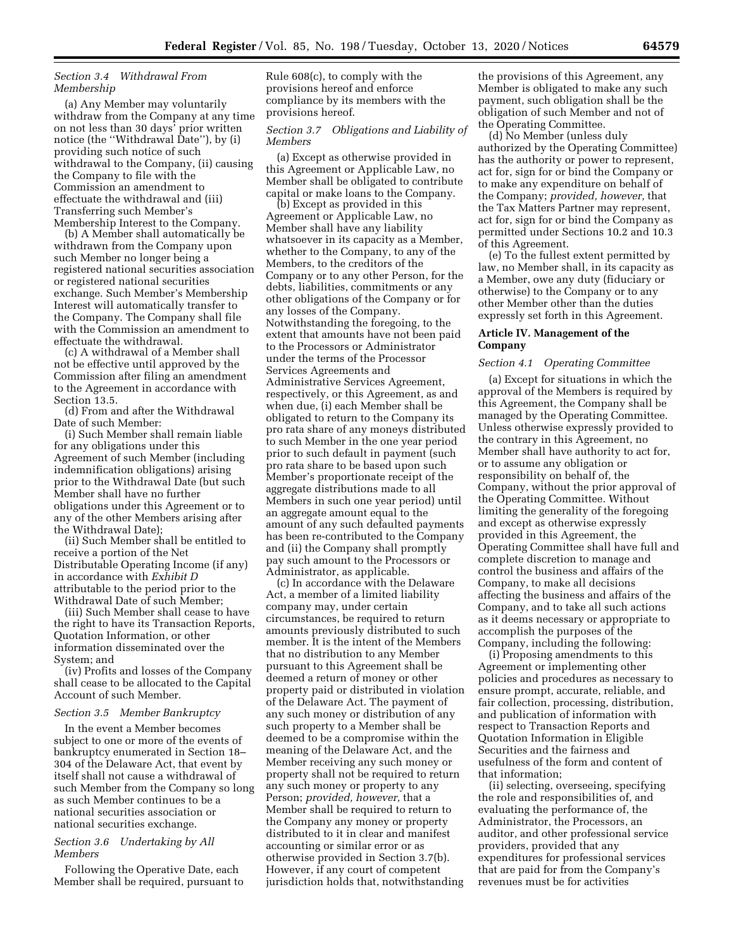### *Section 3.4 Withdrawal From Membership*

(a) Any Member may voluntarily withdraw from the Company at any time on not less than 30 days' prior written notice (the ''Withdrawal Date''), by (i) providing such notice of such withdrawal to the Company, (ii) causing the Company to file with the Commission an amendment to effectuate the withdrawal and (iii) Transferring such Member's Membership Interest to the Company.

(b) A Member shall automatically be withdrawn from the Company upon such Member no longer being a registered national securities association or registered national securities exchange. Such Member's Membership Interest will automatically transfer to the Company. The Company shall file with the Commission an amendment to effectuate the withdrawal.

(c) A withdrawal of a Member shall not be effective until approved by the Commission after filing an amendment to the Agreement in accordance with Section 13.5.

(d) From and after the Withdrawal Date of such Member:

(i) Such Member shall remain liable for any obligations under this Agreement of such Member (including indemnification obligations) arising prior to the Withdrawal Date (but such Member shall have no further obligations under this Agreement or to any of the other Members arising after the Withdrawal Date);

(ii) Such Member shall be entitled to receive a portion of the Net Distributable Operating Income (if any) in accordance with *Exhibit D*  attributable to the period prior to the Withdrawal Date of such Member;

(iii) Such Member shall cease to have the right to have its Transaction Reports, Quotation Information, or other information disseminated over the System; and

(iv) Profits and losses of the Company shall cease to be allocated to the Capital Account of such Member.

#### *Section 3.5 Member Bankruptcy*

In the event a Member becomes subject to one or more of the events of bankruptcy enumerated in Section 18– 304 of the Delaware Act, that event by itself shall not cause a withdrawal of such Member from the Company so long as such Member continues to be a national securities association or national securities exchange.

#### *Section 3.6 Undertaking by All Members*

Following the Operative Date, each Member shall be required, pursuant to Rule 608(c), to comply with the provisions hereof and enforce compliance by its members with the provisions hereof.

#### *Section 3.7 Obligations and Liability of Members*

(a) Except as otherwise provided in this Agreement or Applicable Law, no Member shall be obligated to contribute capital or make loans to the Company.

(b) Except as provided in this Agreement or Applicable Law, no Member shall have any liability whatsoever in its capacity as a Member, whether to the Company, to any of the Members, to the creditors of the Company or to any other Person, for the debts, liabilities, commitments or any other obligations of the Company or for any losses of the Company. Notwithstanding the foregoing, to the extent that amounts have not been paid to the Processors or Administrator under the terms of the Processor Services Agreements and Administrative Services Agreement, respectively, or this Agreement, as and when due, (i) each Member shall be obligated to return to the Company its pro rata share of any moneys distributed to such Member in the one year period prior to such default in payment (such pro rata share to be based upon such Member's proportionate receipt of the aggregate distributions made to all Members in such one year period) until an aggregate amount equal to the amount of any such defaulted payments has been re-contributed to the Company and (ii) the Company shall promptly pay such amount to the Processors or Administrator, as applicable.

(c) In accordance with the Delaware Act, a member of a limited liability company may, under certain circumstances, be required to return amounts previously distributed to such member. It is the intent of the Members that no distribution to any Member pursuant to this Agreement shall be deemed a return of money or other property paid or distributed in violation of the Delaware Act. The payment of any such money or distribution of any such property to a Member shall be deemed to be a compromise within the meaning of the Delaware Act, and the Member receiving any such money or property shall not be required to return any such money or property to any Person; *provided, however,* that a Member shall be required to return to the Company any money or property distributed to it in clear and manifest accounting or similar error or as otherwise provided in Section 3.7(b). However, if any court of competent jurisdiction holds that, notwithstanding

the provisions of this Agreement, any Member is obligated to make any such payment, such obligation shall be the obligation of such Member and not of the Operating Committee.

(d) No Member (unless duly authorized by the Operating Committee) has the authority or power to represent, act for, sign for or bind the Company or to make any expenditure on behalf of the Company; *provided, however,* that the Tax Matters Partner may represent, act for, sign for or bind the Company as permitted under Sections 10.2 and 10.3 of this Agreement.

(e) To the fullest extent permitted by law, no Member shall, in its capacity as a Member, owe any duty (fiduciary or otherwise) to the Company or to any other Member other than the duties expressly set forth in this Agreement.

### **Article IV. Management of the Company**

#### *Section 4.1 Operating Committee*

(a) Except for situations in which the approval of the Members is required by this Agreement, the Company shall be managed by the Operating Committee. Unless otherwise expressly provided to the contrary in this Agreement, no Member shall have authority to act for, or to assume any obligation or responsibility on behalf of, the Company, without the prior approval of the Operating Committee. Without limiting the generality of the foregoing and except as otherwise expressly provided in this Agreement, the Operating Committee shall have full and complete discretion to manage and control the business and affairs of the Company, to make all decisions affecting the business and affairs of the Company, and to take all such actions as it deems necessary or appropriate to accomplish the purposes of the Company, including the following:

(i) Proposing amendments to this Agreement or implementing other policies and procedures as necessary to ensure prompt, accurate, reliable, and fair collection, processing, distribution, and publication of information with respect to Transaction Reports and Quotation Information in Eligible Securities and the fairness and usefulness of the form and content of that information;

(ii) selecting, overseeing, specifying the role and responsibilities of, and evaluating the performance of, the Administrator, the Processors, an auditor, and other professional service providers, provided that any expenditures for professional services that are paid for from the Company's revenues must be for activities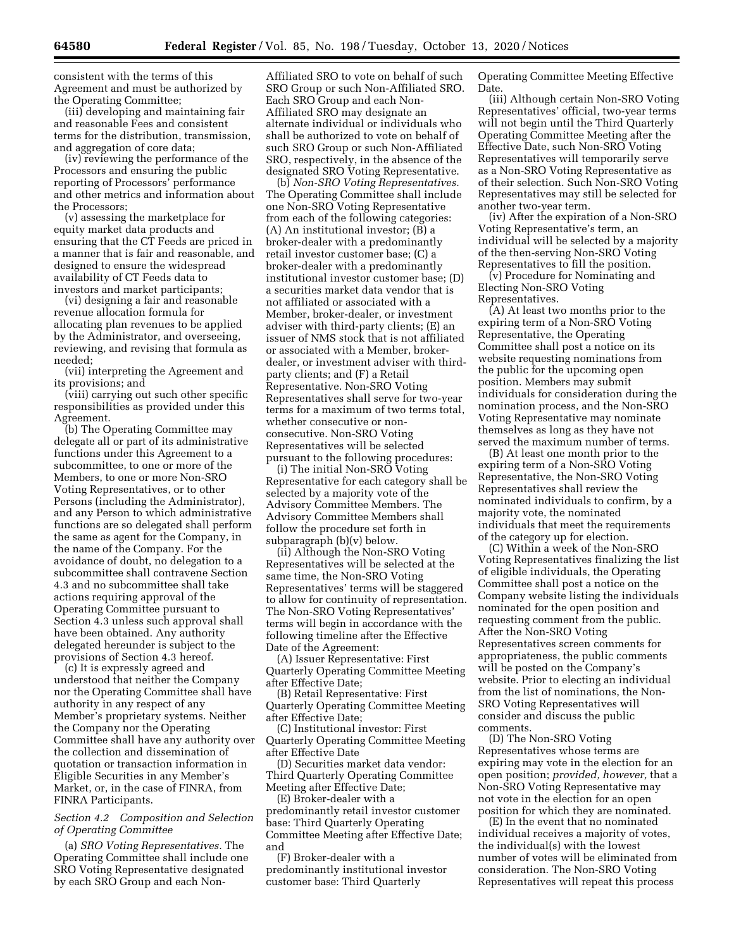consistent with the terms of this Agreement and must be authorized by the Operating Committee;

(iii) developing and maintaining fair and reasonable Fees and consistent terms for the distribution, transmission, and aggregation of core data;

(iv) reviewing the performance of the Processors and ensuring the public reporting of Processors' performance and other metrics and information about the Processors;

(v) assessing the marketplace for equity market data products and ensuring that the CT Feeds are priced in a manner that is fair and reasonable, and designed to ensure the widespread availability of CT Feeds data to investors and market participants;

(vi) designing a fair and reasonable revenue allocation formula for allocating plan revenues to be applied by the Administrator, and overseeing, reviewing, and revising that formula as needed;

(vii) interpreting the Agreement and its provisions; and

(viii) carrying out such other specific responsibilities as provided under this Agreement.

(b) The Operating Committee may delegate all or part of its administrative functions under this Agreement to a subcommittee, to one or more of the Members, to one or more Non-SRO Voting Representatives, or to other Persons (including the Administrator), and any Person to which administrative functions are so delegated shall perform the same as agent for the Company, in the name of the Company. For the avoidance of doubt, no delegation to a subcommittee shall contravene Section 4.3 and no subcommittee shall take actions requiring approval of the Operating Committee pursuant to Section 4.3 unless such approval shall have been obtained. Any authority delegated hereunder is subject to the provisions of Section 4.3 hereof.

(c) It is expressly agreed and understood that neither the Company nor the Operating Committee shall have authority in any respect of any Member's proprietary systems. Neither the Company nor the Operating Committee shall have any authority over the collection and dissemination of quotation or transaction information in Eligible Securities in any Member's Market, or, in the case of FINRA, from FINRA Participants.

### *Section 4.2 Composition and Selection of Operating Committee*

(a) *SRO Voting Representatives.* The Operating Committee shall include one SRO Voting Representative designated by each SRO Group and each NonAffiliated SRO to vote on behalf of such SRO Group or such Non-Affiliated SRO. Each SRO Group and each Non-Affiliated SRO may designate an alternate individual or individuals who shall be authorized to vote on behalf of such SRO Group or such Non-Affiliated SRO, respectively, in the absence of the designated SRO Voting Representative.

(b) *Non-SRO Voting Representatives.*  The Operating Committee shall include one Non-SRO Voting Representative from each of the following categories: (A) An institutional investor; (B) a broker-dealer with a predominantly retail investor customer base; (C) a broker-dealer with a predominantly institutional investor customer base; (D) a securities market data vendor that is not affiliated or associated with a Member, broker-dealer, or investment adviser with third-party clients; (E) an issuer of NMS stock that is not affiliated or associated with a Member, brokerdealer, or investment adviser with thirdparty clients; and (F) a Retail Representative. Non-SRO Voting Representatives shall serve for two-year terms for a maximum of two terms total, whether consecutive or nonconsecutive. Non-SRO Voting Representatives will be selected pursuant to the following procedures:

(i) The initial Non-SRO Voting Representative for each category shall be selected by a majority vote of the Advisory Committee Members. The Advisory Committee Members shall follow the procedure set forth in subparagraph (b)(v) below.

(ii) Although the Non-SRO Voting Representatives will be selected at the same time, the Non-SRO Voting Representatives' terms will be staggered to allow for continuity of representation. The Non-SRO Voting Representatives' terms will begin in accordance with the following timeline after the Effective Date of the Agreement:

(A) Issuer Representative: First Quarterly Operating Committee Meeting after Effective Date;

(B) Retail Representative: First Quarterly Operating Committee Meeting after Effective Date;

(C) Institutional investor: First Quarterly Operating Committee Meeting after Effective Date

(D) Securities market data vendor: Third Quarterly Operating Committee Meeting after Effective Date;

(E) Broker-dealer with a predominantly retail investor customer base: Third Quarterly Operating Committee Meeting after Effective Date; and

(F) Broker-dealer with a predominantly institutional investor customer base: Third Quarterly

Operating Committee Meeting Effective Date.

(iii) Although certain Non-SRO Voting Representatives' official, two-year terms will not begin until the Third Quarterly Operating Committee Meeting after the Effective Date, such Non-SRO Voting Representatives will temporarily serve as a Non-SRO Voting Representative as of their selection. Such Non-SRO Voting Representatives may still be selected for another two-year term.

(iv) After the expiration of a Non-SRO Voting Representative's term, an individual will be selected by a majority of the then-serving Non-SRO Voting Representatives to fill the position.

(v) Procedure for Nominating and Electing Non-SRO Voting Representatives.

(A) At least two months prior to the expiring term of a Non-SRO Voting Representative, the Operating Committee shall post a notice on its website requesting nominations from the public for the upcoming open position. Members may submit individuals for consideration during the nomination process, and the Non-SRO Voting Representative may nominate themselves as long as they have not served the maximum number of terms.

(B) At least one month prior to the expiring term of a Non-SRO Voting Representative, the Non-SRO Voting Representatives shall review the nominated individuals to confirm, by a majority vote, the nominated individuals that meet the requirements of the category up for election.

(C) Within a week of the Non-SRO Voting Representatives finalizing the list of eligible individuals, the Operating Committee shall post a notice on the Company website listing the individuals nominated for the open position and requesting comment from the public. After the Non-SRO Voting Representatives screen comments for appropriateness, the public comments will be posted on the Company's website. Prior to electing an individual from the list of nominations, the Non-SRO Voting Representatives will consider and discuss the public comments.

(D) The Non-SRO Voting Representatives whose terms are expiring may vote in the election for an open position; *provided, however,* that a Non-SRO Voting Representative may not vote in the election for an open position for which they are nominated.

(E) In the event that no nominated individual receives a majority of votes, the individual(s) with the lowest number of votes will be eliminated from consideration. The Non-SRO Voting Representatives will repeat this process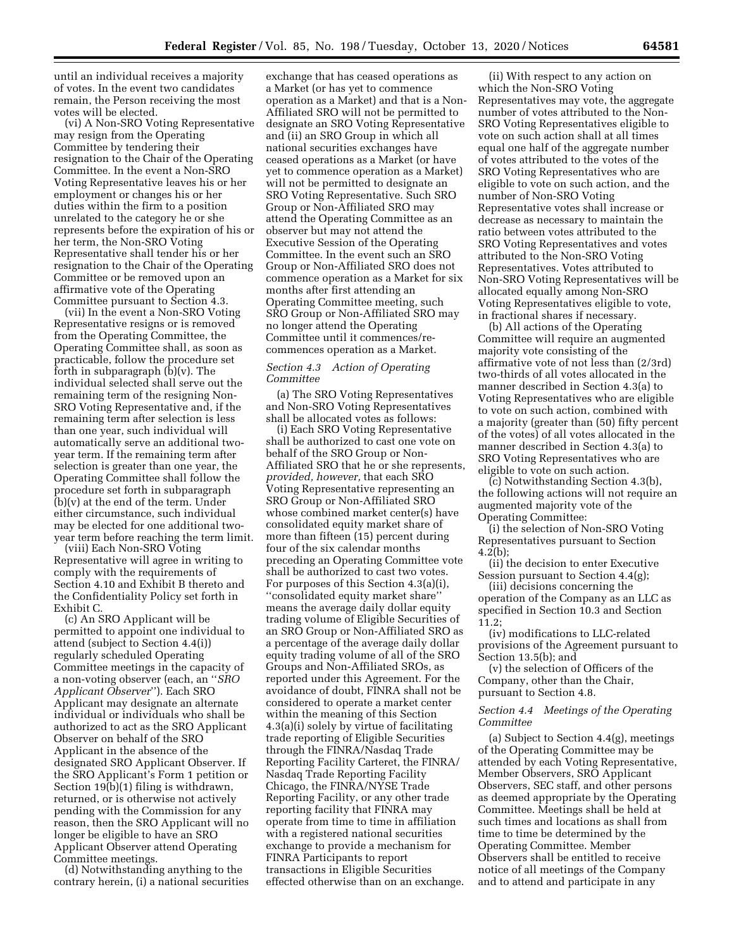until an individual receives a majority of votes. In the event two candidates remain, the Person receiving the most votes will be elected.

(vi) A Non-SRO Voting Representative may resign from the Operating Committee by tendering their resignation to the Chair of the Operating Committee. In the event a Non-SRO Voting Representative leaves his or her employment or changes his or her duties within the firm to a position unrelated to the category he or she represents before the expiration of his or her term, the Non-SRO Voting Representative shall tender his or her resignation to the Chair of the Operating Committee or be removed upon an affirmative vote of the Operating Committee pursuant to Section 4.3.

(vii) In the event a Non-SRO Voting Representative resigns or is removed from the Operating Committee, the Operating Committee shall, as soon as practicable, follow the procedure set forth in subparagraph (b)(v). The individual selected shall serve out the remaining term of the resigning Non-SRO Voting Representative and, if the remaining term after selection is less than one year, such individual will automatically serve an additional twoyear term. If the remaining term after selection is greater than one year, the Operating Committee shall follow the procedure set forth in subparagraph (b)(v) at the end of the term. Under either circumstance, such individual may be elected for one additional twoyear term before reaching the term limit.

(viii) Each Non-SRO Voting Representative will agree in writing to comply with the requirements of Section 4.10 and Exhibit B thereto and the Confidentiality Policy set forth in Exhibit C.

(c) An SRO Applicant will be permitted to appoint one individual to attend (subject to Section 4.4(i)) regularly scheduled Operating Committee meetings in the capacity of a non-voting observer (each, an ''*SRO Applicant Observer*''). Each SRO Applicant may designate an alternate individual or individuals who shall be authorized to act as the SRO Applicant Observer on behalf of the SRO Applicant in the absence of the designated SRO Applicant Observer. If the SRO Applicant's Form 1 petition or Section 19(b)(1) filing is withdrawn, returned, or is otherwise not actively pending with the Commission for any reason, then the SRO Applicant will no longer be eligible to have an SRO Applicant Observer attend Operating Committee meetings.

(d) Notwithstanding anything to the contrary herein, (i) a national securities

exchange that has ceased operations as a Market (or has yet to commence operation as a Market) and that is a Non-Affiliated SRO will not be permitted to designate an SRO Voting Representative and (ii) an SRO Group in which all national securities exchanges have ceased operations as a Market (or have yet to commence operation as a Market) will not be permitted to designate an SRO Voting Representative. Such SRO Group or Non-Affiliated SRO may attend the Operating Committee as an observer but may not attend the Executive Session of the Operating Committee. In the event such an SRO Group or Non-Affiliated SRO does not commence operation as a Market for six months after first attending an Operating Committee meeting, such SRO Group or Non-Affiliated SRO may no longer attend the Operating Committee until it commences/recommences operation as a Market.

### *Section 4.3 Action of Operating Committee*

(a) The SRO Voting Representatives and Non-SRO Voting Representatives shall be allocated votes as follows:

(i) Each SRO Voting Representative shall be authorized to cast one vote on behalf of the SRO Group or Non-Affiliated SRO that he or she represents, *provided, however,* that each SRO Voting Representative representing an SRO Group or Non-Affiliated SRO whose combined market center(s) have consolidated equity market share of more than fifteen (15) percent during four of the six calendar months preceding an Operating Committee vote shall be authorized to cast two votes. For purposes of this Section 4.3(a)(i), ''consolidated equity market share'' means the average daily dollar equity trading volume of Eligible Securities of an SRO Group or Non-Affiliated SRO as a percentage of the average daily dollar equity trading volume of all of the SRO Groups and Non-Affiliated SROs, as reported under this Agreement. For the avoidance of doubt, FINRA shall not be considered to operate a market center within the meaning of this Section 4.3(a)(i) solely by virtue of facilitating trade reporting of Eligible Securities through the FINRA/Nasdaq Trade Reporting Facility Carteret, the FINRA/ Nasdaq Trade Reporting Facility Chicago, the FINRA/NYSE Trade Reporting Facility, or any other trade reporting facility that FINRA may operate from time to time in affiliation with a registered national securities exchange to provide a mechanism for FINRA Participants to report transactions in Eligible Securities effected otherwise than on an exchange.

(ii) With respect to any action on which the Non-SRO Voting Representatives may vote, the aggregate number of votes attributed to the Non-SRO Voting Representatives eligible to vote on such action shall at all times equal one half of the aggregate number of votes attributed to the votes of the SRO Voting Representatives who are eligible to vote on such action, and the number of Non-SRO Voting Representative votes shall increase or decrease as necessary to maintain the ratio between votes attributed to the SRO Voting Representatives and votes attributed to the Non-SRO Voting Representatives. Votes attributed to Non-SRO Voting Representatives will be allocated equally among Non-SRO Voting Representatives eligible to vote, in fractional shares if necessary.

(b) All actions of the Operating Committee will require an augmented majority vote consisting of the affirmative vote of not less than (2/3rd) two-thirds of all votes allocated in the manner described in Section 4.3(a) to Voting Representatives who are eligible to vote on such action, combined with a majority (greater than (50) fifty percent of the votes) of all votes allocated in the manner described in Section 4.3(a) to SRO Voting Representatives who are eligible to vote on such action.

(c) Notwithstanding Section 4.3(b), the following actions will not require an augmented majority vote of the Operating Committee:

(i) the selection of Non-SRO Voting Representatives pursuant to Section 4.2(b);

(ii) the decision to enter Executive Session pursuant to Section 4.4(g);

(iii) decisions concerning the operation of the Company as an LLC as specified in Section 10.3 and Section 11.2;

(iv) modifications to LLC-related provisions of the Agreement pursuant to Section 13.5(b); and

(v) the selection of Officers of the Company, other than the Chair, pursuant to Section 4.8.

### *Section 4.4 Meetings of the Operating Committee*

(a) Subject to Section 4.4(g), meetings of the Operating Committee may be attended by each Voting Representative, Member Observers, SRO Applicant Observers, SEC staff, and other persons as deemed appropriate by the Operating Committee. Meetings shall be held at such times and locations as shall from time to time be determined by the Operating Committee. Member Observers shall be entitled to receive notice of all meetings of the Company and to attend and participate in any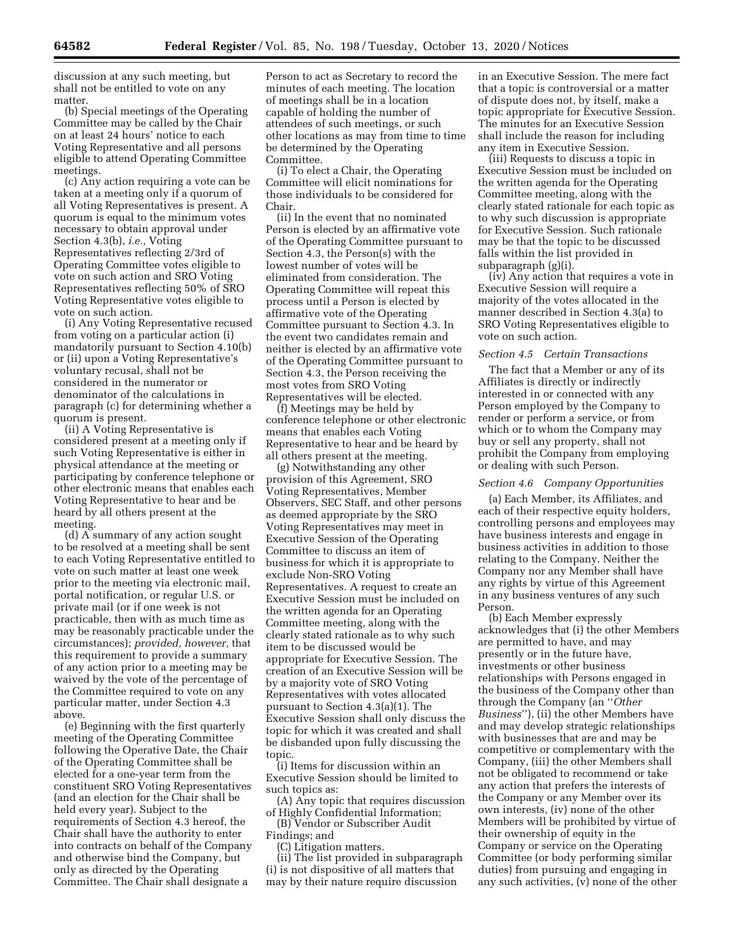discussion at any such meeting, but shall not be entitled to vote on any matter.

(b) Special meetings of the Operating Committee may be called by the Chair on at least 24 hours' notice to each Voting Representative and all persons eligible to attend Operating Committee meetings.

(c) Any action requiring a vote can be taken at a meeting only if a quorum of all Voting Representatives is present. A quorum is equal to the minimum votes necessary to obtain approval under Section 4.3(b), *i.e.,* Voting Representatives reflecting 2/3rd of Operating Committee votes eligible to vote on such action and SRO Voting Representatives reflecting 50% of SRO Voting Representative votes eligible to vote on such action.

(i) Any Voting Representative recused from voting on a particular action (i) mandatorily pursuant to Section 4.10(b) or (ii) upon a Voting Representative's voluntary recusal, shall not be considered in the numerator or denominator of the calculations in paragraph (c) for determining whether a quorum is present.

(ii) A Voting Representative is considered present at a meeting only if such Voting Representative is either in physical attendance at the meeting or participating by conference telephone or other electronic means that enables each Voting Representative to hear and be heard by all others present at the meeting.

(d) A summary of any action sought to be resolved at a meeting shall be sent to each Voting Representative entitled to vote on such matter at least one week prior to the meeting via electronic mail, portal notification, or regular U.S. or private mail (or if one week is not practicable, then with as much time as may be reasonably practicable under the circumstances); *provided, however,* that this requirement to provide a summary of any action prior to a meeting may be waived by the vote of the percentage of the Committee required to vote on any particular matter, under Section 4.3 above.

(e) Beginning with the first quarterly meeting of the Operating Committee following the Operative Date, the Chair of the Operating Committee shall be elected for a one-year term from the constituent SRO Voting Representatives (and an election for the Chair shall be held every year). Subject to the requirements of Section 4.3 hereof, the Chair shall have the authority to enter into contracts on behalf of the Company and otherwise bind the Company, but only as directed by the Operating Committee. The Chair shall designate a

Person to act as Secretary to record the minutes of each meeting. The location of meetings shall be in a location capable of holding the number of attendees of such meetings, or such other locations as may from time to time be determined by the Operating Committee.

(i) To elect a Chair, the Operating Committee will elicit nominations for those individuals to be considered for Chair.

(ii) In the event that no nominated Person is elected by an affirmative vote of the Operating Committee pursuant to Section 4.3, the Person(s) with the lowest number of votes will be eliminated from consideration. The Operating Committee will repeat this process until a Person is elected by affirmative vote of the Operating Committee pursuant to Section 4.3. In the event two candidates remain and neither is elected by an affirmative vote of the Operating Committee pursuant to Section 4.3, the Person receiving the most votes from SRO Voting Representatives will be elected.

(f) Meetings may be held by conference telephone or other electronic means that enables each Voting Representative to hear and be heard by all others present at the meeting.

(g) Notwithstanding any other provision of this Agreement, SRO Voting Representatives, Member Observers, SEC Staff, and other persons as deemed appropriate by the SRO Voting Representatives may meet in Executive Session of the Operating Committee to discuss an item of business for which it is appropriate to exclude Non-SRO Voting Representatives. A request to create an Executive Session must be included on the written agenda for an Operating Committee meeting, along with the clearly stated rationale as to why such item to be discussed would be appropriate for Executive Session. The creation of an Executive Session will be by a majority vote of SRO Voting Representatives with votes allocated pursuant to Section 4.3(a)(1). The Executive Session shall only discuss the topic for which it was created and shall be disbanded upon fully discussing the topic.

(i) Items for discussion within an Executive Session should be limited to such topics as:

(A) Any topic that requires discussion of Highly Confidential Information;

(B) Vendor or Subscriber Audit

Findings; and

(C) Litigation matters. (ii) The list provided in subparagraph (i) is not dispositive of all matters that may by their nature require discussion

in an Executive Session. The mere fact that a topic is controversial or a matter of dispute does not, by itself, make a topic appropriate for Executive Session. The minutes for an Executive Session shall include the reason for including any item in Executive Session.

(iii) Requests to discuss a topic in Executive Session must be included on the written agenda for the Operating Committee meeting, along with the clearly stated rationale for each topic as to why such discussion is appropriate for Executive Session. Such rationale may be that the topic to be discussed falls within the list provided in subparagraph (g)(i).

(iv) Any action that requires a vote in Executive Session will require a majority of the votes allocated in the manner described in Section 4.3(a) to SRO Voting Representatives eligible to vote on such action.

#### *Section 4.5 Certain Transactions*

The fact that a Member or any of its Affiliates is directly or indirectly interested in or connected with any Person employed by the Company to render or perform a service, or from which or to whom the Company may buy or sell any property, shall not prohibit the Company from employing or dealing with such Person.

#### *Section 4.6 Company Opportunities*

(a) Each Member, its Affiliates, and each of their respective equity holders, controlling persons and employees may have business interests and engage in business activities in addition to those relating to the Company. Neither the Company nor any Member shall have any rights by virtue of this Agreement in any business ventures of any such Person.

(b) Each Member expressly acknowledges that (i) the other Members are permitted to have, and may presently or in the future have, investments or other business relationships with Persons engaged in the business of the Company other than through the Company (an ''*Other Business*''), (ii) the other Members have and may develop strategic relationships with businesses that are and may be competitive or complementary with the Company, (iii) the other Members shall not be obligated to recommend or take any action that prefers the interests of the Company or any Member over its own interests, (iv) none of the other Members will be prohibited by virtue of their ownership of equity in the Company or service on the Operating Committee (or body performing similar duties) from pursuing and engaging in any such activities, (v) none of the other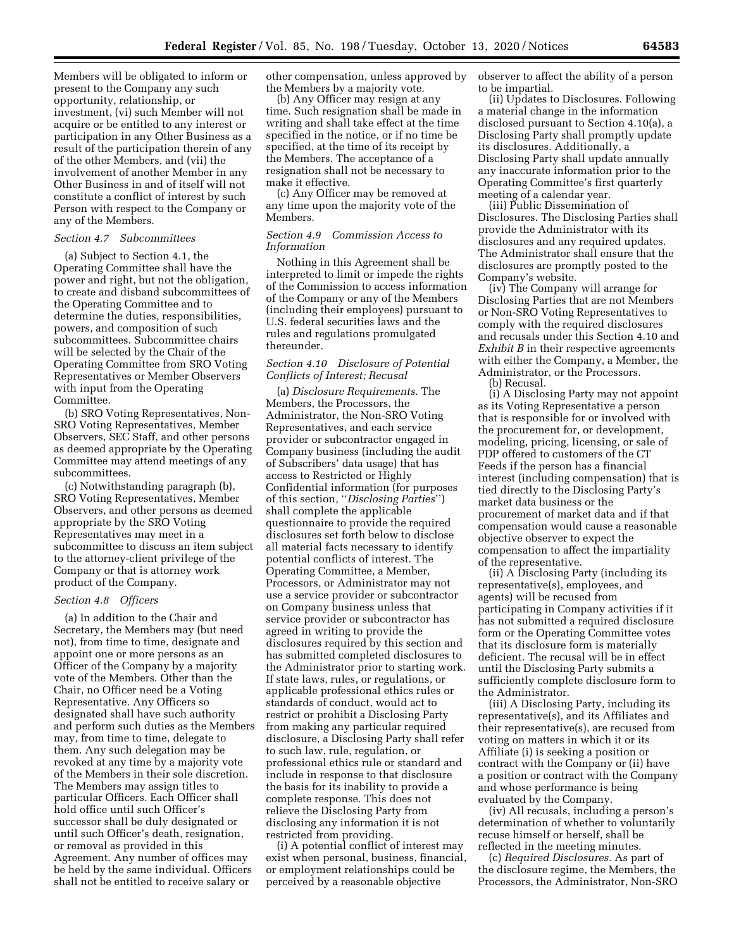Members will be obligated to inform or present to the Company any such opportunity, relationship, or investment, (vi) such Member will not acquire or be entitled to any interest or participation in any Other Business as a result of the participation therein of any of the other Members, and (vii) the involvement of another Member in any Other Business in and of itself will not constitute a conflict of interest by such Person with respect to the Company or any of the Members.

#### *Section 4.7 Subcommittees*

(a) Subject to Section 4.1, the Operating Committee shall have the power and right, but not the obligation, to create and disband subcommittees of the Operating Committee and to determine the duties, responsibilities, powers, and composition of such subcommittees. Subcommittee chairs will be selected by the Chair of the Operating Committee from SRO Voting Representatives or Member Observers with input from the Operating Committee.

(b) SRO Voting Representatives, Non-SRO Voting Representatives, Member Observers, SEC Staff, and other persons as deemed appropriate by the Operating Committee may attend meetings of any subcommittees.

(c) Notwithstanding paragraph (b), SRO Voting Representatives, Member Observers, and other persons as deemed appropriate by the SRO Voting Representatives may meet in a subcommittee to discuss an item subject to the attorney-client privilege of the Company or that is attorney work product of the Company.

#### *Section 4.8 Officers*

(a) In addition to the Chair and Secretary, the Members may (but need not), from time to time, designate and appoint one or more persons as an Officer of the Company by a majority vote of the Members. Other than the Chair, no Officer need be a Voting Representative. Any Officers so designated shall have such authority and perform such duties as the Members may, from time to time, delegate to them. Any such delegation may be revoked at any time by a majority vote of the Members in their sole discretion. The Members may assign titles to particular Officers. Each Officer shall hold office until such Officer's successor shall be duly designated or until such Officer's death, resignation, or removal as provided in this Agreement. Any number of offices may be held by the same individual. Officers shall not be entitled to receive salary or

other compensation, unless approved by the Members by a majority vote.

(b) Any Officer may resign at any time. Such resignation shall be made in writing and shall take effect at the time specified in the notice, or if no time be specified, at the time of its receipt by the Members. The acceptance of a resignation shall not be necessary to make it effective.

(c) Any Officer may be removed at any time upon the majority vote of the Members.

### *Section 4.9 Commission Access to Information*

Nothing in this Agreement shall be interpreted to limit or impede the rights of the Commission to access information of the Company or any of the Members (including their employees) pursuant to U.S. federal securities laws and the rules and regulations promulgated thereunder.

### *Section 4.10 Disclosure of Potential Conflicts of Interest; Recusal*

(a) *Disclosure Requirements.* The Members, the Processors, the Administrator, the Non-SRO Voting Representatives, and each service provider or subcontractor engaged in Company business (including the audit of Subscribers' data usage) that has access to Restricted or Highly Confidential information (for purposes of this section, ''*Disclosing Parties*'') shall complete the applicable questionnaire to provide the required disclosures set forth below to disclose all material facts necessary to identify potential conflicts of interest. The Operating Committee, a Member, Processors, or Administrator may not use a service provider or subcontractor on Company business unless that service provider or subcontractor has agreed in writing to provide the disclosures required by this section and has submitted completed disclosures to the Administrator prior to starting work. If state laws, rules, or regulations, or applicable professional ethics rules or standards of conduct, would act to restrict or prohibit a Disclosing Party from making any particular required disclosure, a Disclosing Party shall refer to such law, rule, regulation, or professional ethics rule or standard and include in response to that disclosure the basis for its inability to provide a complete response. This does not relieve the Disclosing Party from disclosing any information it is not restricted from providing.

(i) A potential conflict of interest may exist when personal, business, financial, or employment relationships could be perceived by a reasonable objective

observer to affect the ability of a person to be impartial.

(ii) Updates to Disclosures. Following a material change in the information disclosed pursuant to Section 4.10(a), a Disclosing Party shall promptly update its disclosures. Additionally, a Disclosing Party shall update annually any inaccurate information prior to the Operating Committee's first quarterly meeting of a calendar year.

(iii) Public Dissemination of Disclosures. The Disclosing Parties shall provide the Administrator with its disclosures and any required updates. The Administrator shall ensure that the disclosures are promptly posted to the Company's website.

(iv) The Company will arrange for Disclosing Parties that are not Members or Non-SRO Voting Representatives to comply with the required disclosures and recusals under this Section 4.10 and *Exhibit B* in their respective agreements with either the Company, a Member, the Administrator, or the Processors.

(b) Recusal.

(i) A Disclosing Party may not appoint as its Voting Representative a person that is responsible for or involved with the procurement for, or development, modeling, pricing, licensing, or sale of PDP offered to customers of the CT Feeds if the person has a financial interest (including compensation) that is tied directly to the Disclosing Party's market data business or the procurement of market data and if that compensation would cause a reasonable objective observer to expect the compensation to affect the impartiality of the representative.

(ii) A Disclosing Party (including its representative(s), employees, and agents) will be recused from participating in Company activities if it has not submitted a required disclosure form or the Operating Committee votes that its disclosure form is materially deficient. The recusal will be in effect until the Disclosing Party submits a sufficiently complete disclosure form to the Administrator.

(iii) A Disclosing Party, including its representative(s), and its Affiliates and their representative(s), are recused from voting on matters in which it or its Affiliate (i) is seeking a position or contract with the Company or (ii) have a position or contract with the Company and whose performance is being evaluated by the Company.

(iv) All recusals, including a person's determination of whether to voluntarily recuse himself or herself, shall be reflected in the meeting minutes.

(c) *Required Disclosures.* As part of the disclosure regime, the Members, the Processors, the Administrator, Non-SRO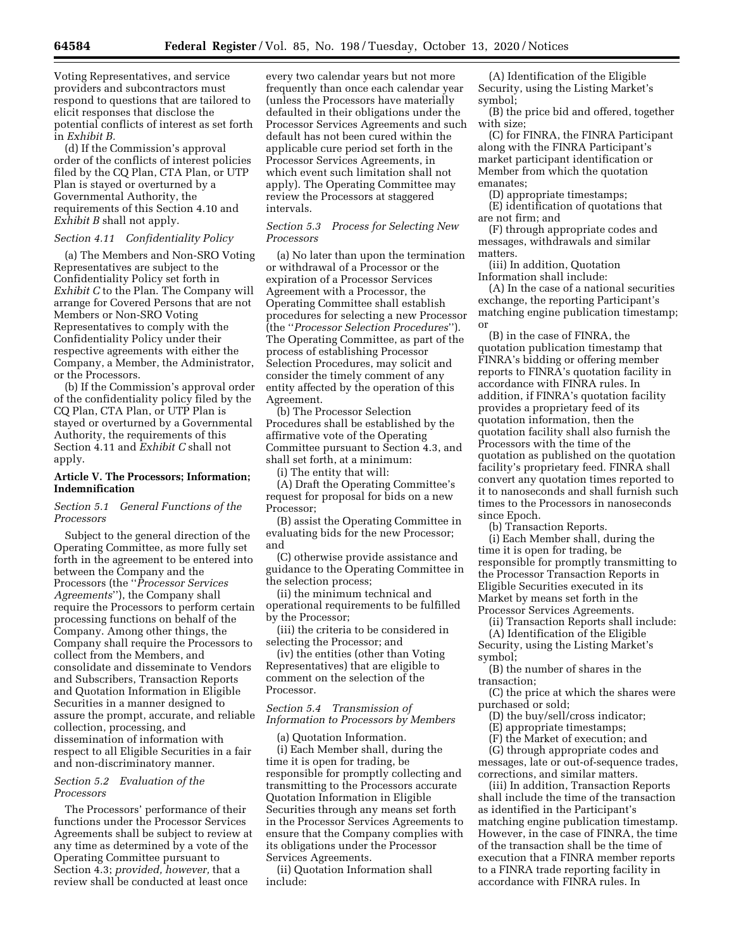Voting Representatives, and service providers and subcontractors must respond to questions that are tailored to elicit responses that disclose the potential conflicts of interest as set forth in *Exhibit B.* 

(d) If the Commission's approval order of the conflicts of interest policies filed by the CQ Plan, CTA Plan, or UTP Plan is stayed or overturned by a Governmental Authority, the requirements of this Section 4.10 and *Exhibit B* shall not apply.

#### *Section 4.11 Confidentiality Policy*

(a) The Members and Non-SRO Voting Representatives are subject to the Confidentiality Policy set forth in *Exhibit C* to the Plan. The Company will arrange for Covered Persons that are not Members or Non-SRO Voting Representatives to comply with the Confidentiality Policy under their respective agreements with either the Company, a Member, the Administrator, or the Processors.

(b) If the Commission's approval order of the confidentiality policy filed by the CQ Plan, CTA Plan, or UTP Plan is stayed or overturned by a Governmental Authority, the requirements of this Section 4.11 and *Exhibit C* shall not apply.

### **Article V. The Processors; Information; Indemnification**

### *Section 5.1 General Functions of the Processors*

Subject to the general direction of the Operating Committee, as more fully set forth in the agreement to be entered into between the Company and the Processors (the ''*Processor Services Agreements*''), the Company shall require the Processors to perform certain processing functions on behalf of the Company. Among other things, the Company shall require the Processors to collect from the Members, and consolidate and disseminate to Vendors and Subscribers, Transaction Reports and Quotation Information in Eligible Securities in a manner designed to assure the prompt, accurate, and reliable collection, processing, and dissemination of information with respect to all Eligible Securities in a fair and non-discriminatory manner.

### *Section 5.2 Evaluation of the Processors*

The Processors' performance of their functions under the Processor Services Agreements shall be subject to review at any time as determined by a vote of the Operating Committee pursuant to Section 4.3; *provided, however,* that a review shall be conducted at least once

every two calendar years but not more frequently than once each calendar year (unless the Processors have materially defaulted in their obligations under the Processor Services Agreements and such default has not been cured within the applicable cure period set forth in the Processor Services Agreements, in which event such limitation shall not apply). The Operating Committee may review the Processors at staggered intervals.

*Section 5.3 Process for Selecting New Processors* 

(a) No later than upon the termination or withdrawal of a Processor or the expiration of a Processor Services Agreement with a Processor, the Operating Committee shall establish procedures for selecting a new Processor (the ''*Processor Selection Procedures*''). The Operating Committee, as part of the process of establishing Processor Selection Procedures, may solicit and consider the timely comment of any entity affected by the operation of this Agreement.

(b) The Processor Selection Procedures shall be established by the affirmative vote of the Operating Committee pursuant to Section 4.3, and shall set forth, at a minimum:

(i) The entity that will:

(A) Draft the Operating Committee's request for proposal for bids on a new Processor;

(B) assist the Operating Committee in evaluating bids for the new Processor; and

(C) otherwise provide assistance and guidance to the Operating Committee in the selection process;

(ii) the minimum technical and operational requirements to be fulfilled by the Processor;

(iii) the criteria to be considered in selecting the Processor; and

(iv) the entities (other than Voting Representatives) that are eligible to comment on the selection of the Processor.

### *Section 5.4 Transmission of Information to Processors by Members*

(a) Quotation Information.

(i) Each Member shall, during the time it is open for trading, be responsible for promptly collecting and transmitting to the Processors accurate Quotation Information in Eligible Securities through any means set forth in the Processor Services Agreements to ensure that the Company complies with its obligations under the Processor Services Agreements.

(ii) Quotation Information shall include:

(A) Identification of the Eligible Security, using the Listing Market's symbol;

(B) the price bid and offered, together with size;

(C) for FINRA, the FINRA Participant along with the FINRA Participant's market participant identification or Member from which the quotation emanates;

(D) appropriate timestamps;

(E) identification of quotations that are not firm; and

(F) through appropriate codes and messages, withdrawals and similar matters.

(iii) In addition, Quotation Information shall include:

(A) In the case of a national securities exchange, the reporting Participant's matching engine publication timestamp; or

(B) in the case of FINRA, the quotation publication timestamp that FINRA's bidding or offering member reports to FINRA's quotation facility in accordance with FINRA rules. In addition, if FINRA's quotation facility provides a proprietary feed of its quotation information, then the quotation facility shall also furnish the Processors with the time of the quotation as published on the quotation facility's proprietary feed. FINRA shall convert any quotation times reported to it to nanoseconds and shall furnish such times to the Processors in nanoseconds since Epoch.

(b) Transaction Reports.

(i) Each Member shall, during the time it is open for trading, be responsible for promptly transmitting to the Processor Transaction Reports in Eligible Securities executed in its Market by means set forth in the Processor Services Agreements.

(ii) Transaction Reports shall include: (A) Identification of the Eligible Security, using the Listing Market's symbol;

(B) the number of shares in the transaction;

(C) the price at which the shares were purchased or sold;

(D) the buy/sell/cross indicator;

(E) appropriate timestamps;

(F) the Market of execution; and

(G) through appropriate codes and messages, late or out-of-sequence trades, corrections, and similar matters.

(iii) In addition, Transaction Reports shall include the time of the transaction as identified in the Participant's matching engine publication timestamp. However, in the case of FINRA, the time of the transaction shall be the time of execution that a FINRA member reports to a FINRA trade reporting facility in accordance with FINRA rules. In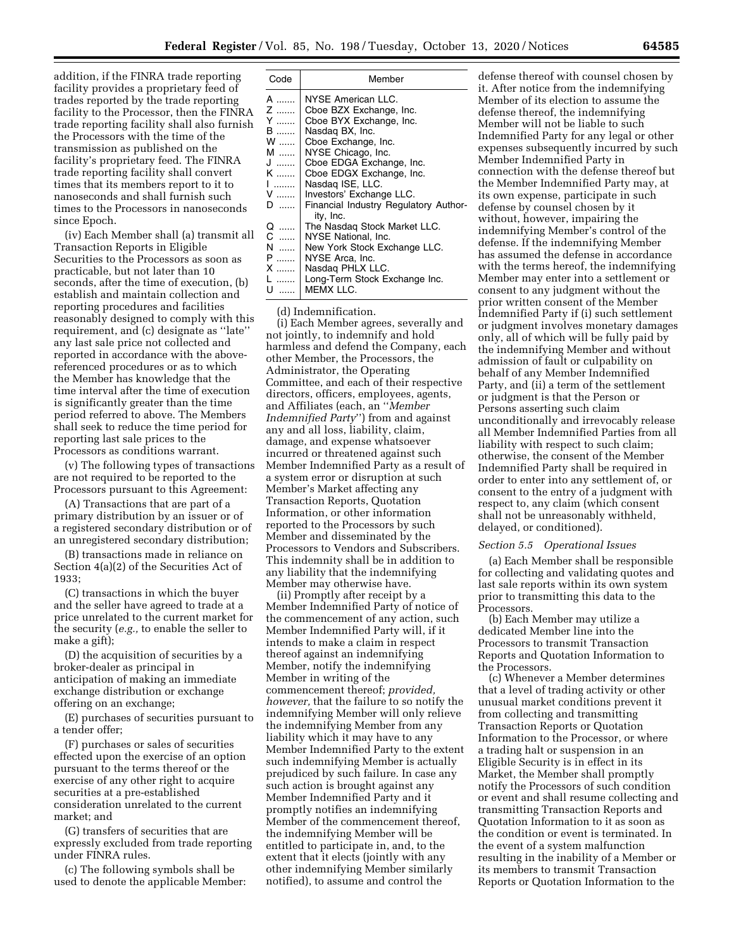addition, if the FINRA trade reporting facility provides a proprietary feed of trades reported by the trade reporting facility to the Processor, then the FINRA trade reporting facility shall also furnish the Processors with the time of the transmission as published on the facility's proprietary feed. The FINRA trade reporting facility shall convert times that its members report to it to nanoseconds and shall furnish such times to the Processors in nanoseconds since Epoch.

(iv) Each Member shall (a) transmit all Transaction Reports in Eligible Securities to the Processors as soon as practicable, but not later than 10 seconds, after the time of execution, (b) establish and maintain collection and reporting procedures and facilities reasonably designed to comply with this requirement, and (c) designate as ''late'' any last sale price not collected and reported in accordance with the abovereferenced procedures or as to which the Member has knowledge that the time interval after the time of execution is significantly greater than the time period referred to above. The Members shall seek to reduce the time period for reporting last sale prices to the Processors as conditions warrant.

(v) The following types of transactions are not required to be reported to the Processors pursuant to this Agreement:

(A) Transactions that are part of a primary distribution by an issuer or of a registered secondary distribution or of an unregistered secondary distribution;

(B) transactions made in reliance on Section 4(a)(2) of the Securities Act of 1933;

(C) transactions in which the buyer and the seller have agreed to trade at a price unrelated to the current market for the security (*e.g.,* to enable the seller to make a gift);

(D) the acquisition of securities by a broker-dealer as principal in anticipation of making an immediate exchange distribution or exchange offering on an exchange;

(E) purchases of securities pursuant to a tender offer;

(F) purchases or sales of securities effected upon the exercise of an option pursuant to the terms thereof or the exercise of any other right to acquire securities at a pre-established consideration unrelated to the current market; and

(G) transfers of securities that are expressly excluded from trade reporting under FINRA rules.

(c) The following symbols shall be used to denote the applicable Member:

| Code | Member                                |
|------|---------------------------------------|
| A    | NYSE American LLC.                    |
| Z    | Cboe BZX Exchange, Inc.               |
| Y    | Cboe BYX Exchange, Inc.               |
| B    | Nasdag BX, Inc.                       |
| w    | Cboe Exchange, Inc.                   |
| M    | NYSE Chicago, Inc.                    |
| ل    | Cboe EDGA Exchange, Inc.              |
| K    | Cboe EDGX Exchange, Inc.              |
| .    | Nasdag ISE, LLC.                      |
| v    | Investors' Exchange LLC.              |
| D    | Financial Industry Regulatory Author- |
|      | ity, Inc.                             |
| Q    | The Nasdag Stock Market LLC.          |
| C    | NYSE National, Inc.                   |
| N    | New York Stock Exchange LLC.          |
| P    | NYSE Arca, Inc.                       |
| X    | Nasdag PHLX LLC.                      |
| L    | Long-Term Stock Exchange Inc.         |
| U    | MEMX LLC.                             |

(d) Indemnification.

(i) Each Member agrees, severally and not jointly, to indemnify and hold harmless and defend the Company, each other Member, the Processors, the Administrator, the Operating Committee, and each of their respective directors, officers, employees, agents, and Affiliates (each, an ''*Member Indemnified Party*'') from and against any and all loss, liability, claim, damage, and expense whatsoever incurred or threatened against such Member Indemnified Party as a result of a system error or disruption at such Member's Market affecting any Transaction Reports, Quotation Information, or other information reported to the Processors by such Member and disseminated by the Processors to Vendors and Subscribers. This indemnity shall be in addition to any liability that the indemnifying Member may otherwise have.

(ii) Promptly after receipt by a Member Indemnified Party of notice of the commencement of any action, such Member Indemnified Party will, if it intends to make a claim in respect thereof against an indemnifying Member, notify the indemnifying Member in writing of the commencement thereof; *provided, however,* that the failure to so notify the indemnifying Member will only relieve the indemnifying Member from any liability which it may have to any Member Indemnified Party to the extent such indemnifying Member is actually prejudiced by such failure. In case any such action is brought against any Member Indemnified Party and it promptly notifies an indemnifying Member of the commencement thereof, the indemnifying Member will be entitled to participate in, and, to the extent that it elects (jointly with any other indemnifying Member similarly notified), to assume and control the

defense thereof with counsel chosen by it. After notice from the indemnifying Member of its election to assume the defense thereof, the indemnifying Member will not be liable to such Indemnified Party for any legal or other expenses subsequently incurred by such Member Indemnified Party in connection with the defense thereof but the Member Indemnified Party may, at its own expense, participate in such defense by counsel chosen by it without, however, impairing the indemnifying Member's control of the defense. If the indemnifying Member has assumed the defense in accordance with the terms hereof, the indemnifying Member may enter into a settlement or consent to any judgment without the prior written consent of the Member Indemnified Party if (i) such settlement or judgment involves monetary damages only, all of which will be fully paid by the indemnifying Member and without admission of fault or culpability on behalf of any Member Indemnified Party, and (ii) a term of the settlement or judgment is that the Person or Persons asserting such claim unconditionally and irrevocably release all Member Indemnified Parties from all liability with respect to such claim; otherwise, the consent of the Member Indemnified Party shall be required in order to enter into any settlement of, or consent to the entry of a judgment with respect to, any claim (which consent shall not be unreasonably withheld, delayed, or conditioned).

#### *Section 5.5 Operational Issues*

(a) Each Member shall be responsible for collecting and validating quotes and last sale reports within its own system prior to transmitting this data to the Processors.

(b) Each Member may utilize a dedicated Member line into the Processors to transmit Transaction Reports and Quotation Information to the Processors.

(c) Whenever a Member determines that a level of trading activity or other unusual market conditions prevent it from collecting and transmitting Transaction Reports or Quotation Information to the Processor, or where a trading halt or suspension in an Eligible Security is in effect in its Market, the Member shall promptly notify the Processors of such condition or event and shall resume collecting and transmitting Transaction Reports and Quotation Information to it as soon as the condition or event is terminated. In the event of a system malfunction resulting in the inability of a Member or its members to transmit Transaction Reports or Quotation Information to the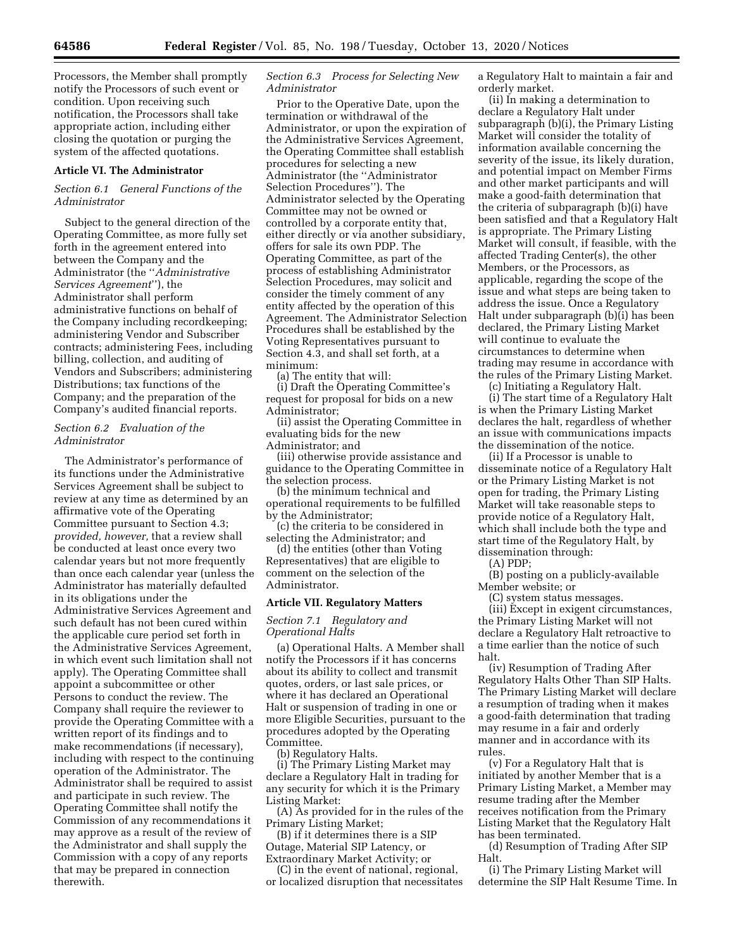Processors, the Member shall promptly notify the Processors of such event or condition. Upon receiving such notification, the Processors shall take appropriate action, including either closing the quotation or purging the system of the affected quotations.

#### **Article VI. The Administrator**

### *Section 6.1 General Functions of the Administrator*

Subject to the general direction of the Operating Committee, as more fully set forth in the agreement entered into between the Company and the Administrator (the ''*Administrative Services Agreement*''), the Administrator shall perform administrative functions on behalf of the Company including recordkeeping; administering Vendor and Subscriber contracts; administering Fees, including billing, collection, and auditing of Vendors and Subscribers; administering Distributions; tax functions of the Company; and the preparation of the Company's audited financial reports.

### *Section 6.2 Evaluation of the Administrator*

The Administrator's performance of its functions under the Administrative Services Agreement shall be subject to review at any time as determined by an affirmative vote of the Operating Committee pursuant to Section 4.3; *provided, however,* that a review shall be conducted at least once every two calendar years but not more frequently than once each calendar year (unless the Administrator has materially defaulted in its obligations under the Administrative Services Agreement and such default has not been cured within the applicable cure period set forth in the Administrative Services Agreement, in which event such limitation shall not apply). The Operating Committee shall appoint a subcommittee or other Persons to conduct the review. The Company shall require the reviewer to provide the Operating Committee with a written report of its findings and to make recommendations (if necessary), including with respect to the continuing operation of the Administrator. The Administrator shall be required to assist and participate in such review. The Operating Committee shall notify the Commission of any recommendations it may approve as a result of the review of the Administrator and shall supply the Commission with a copy of any reports that may be prepared in connection therewith.

### *Section 6.3 Process for Selecting New Administrator*

Prior to the Operative Date, upon the termination or withdrawal of the Administrator, or upon the expiration of the Administrative Services Agreement, the Operating Committee shall establish procedures for selecting a new Administrator (the ''Administrator Selection Procedures''). The Administrator selected by the Operating Committee may not be owned or controlled by a corporate entity that, either directly or via another subsidiary, offers for sale its own PDP. The Operating Committee, as part of the process of establishing Administrator Selection Procedures, may solicit and consider the timely comment of any entity affected by the operation of this Agreement. The Administrator Selection Procedures shall be established by the Voting Representatives pursuant to Section 4.3, and shall set forth, at a minimum:

(a) The entity that will:

(i) Draft the Operating Committee's request for proposal for bids on a new Administrator;

(ii) assist the Operating Committee in evaluating bids for the new Administrator; and

(iii) otherwise provide assistance and guidance to the Operating Committee in the selection process.

(b) the minimum technical and operational requirements to be fulfilled by the Administrator;

(c) the criteria to be considered in selecting the Administrator; and

(d) the entities (other than Voting Representatives) that are eligible to comment on the selection of the Administrator.

#### **Article VII. Regulatory Matters**

#### *Section 7.1 Regulatory and Operational Halts*

(a) Operational Halts. A Member shall notify the Processors if it has concerns about its ability to collect and transmit quotes, orders, or last sale prices, or where it has declared an Operational Halt or suspension of trading in one or more Eligible Securities, pursuant to the procedures adopted by the Operating Committee.

(b) Regulatory Halts.

(i) The Primary Listing Market may declare a Regulatory Halt in trading for any security for which it is the Primary Listing Market:

(A) As provided for in the rules of the Primary Listing Market;

(B) if it determines there is a SIP Outage, Material SIP Latency, or Extraordinary Market Activity; or

(C) in the event of national, regional, or localized disruption that necessitates a Regulatory Halt to maintain a fair and orderly market.

(ii) In making a determination to declare a Regulatory Halt under subparagraph (b)(i), the Primary Listing Market will consider the totality of information available concerning the severity of the issue, its likely duration, and potential impact on Member Firms and other market participants and will make a good-faith determination that the criteria of subparagraph (b)(i) have been satisfied and that a Regulatory Halt is appropriate. The Primary Listing Market will consult, if feasible, with the affected Trading Center(s), the other Members, or the Processors, as applicable, regarding the scope of the issue and what steps are being taken to address the issue. Once a Regulatory Halt under subparagraph (b)(i) has been declared, the Primary Listing Market will continue to evaluate the circumstances to determine when trading may resume in accordance with the rules of the Primary Listing Market.

(c) Initiating a Regulatory Halt. (i) The start time of a Regulatory Halt is when the Primary Listing Market declares the halt, regardless of whether an issue with communications impacts the dissemination of the notice.

(ii) If a Processor is unable to disseminate notice of a Regulatory Halt or the Primary Listing Market is not open for trading, the Primary Listing Market will take reasonable steps to provide notice of a Regulatory Halt, which shall include both the type and start time of the Regulatory Halt, by dissemination through:

(A) PDP;

(B) posting on a publicly-available Member website; or

(C) system status messages.

(iii) Except in exigent circumstances, the Primary Listing Market will not declare a Regulatory Halt retroactive to a time earlier than the notice of such halt.

(iv) Resumption of Trading After Regulatory Halts Other Than SIP Halts. The Primary Listing Market will declare a resumption of trading when it makes a good-faith determination that trading may resume in a fair and orderly manner and in accordance with its rules.

(v) For a Regulatory Halt that is initiated by another Member that is a Primary Listing Market, a Member may resume trading after the Member receives notification from the Primary Listing Market that the Regulatory Halt has been terminated.

(d) Resumption of Trading After SIP Halt.

(i) The Primary Listing Market will determine the SIP Halt Resume Time. In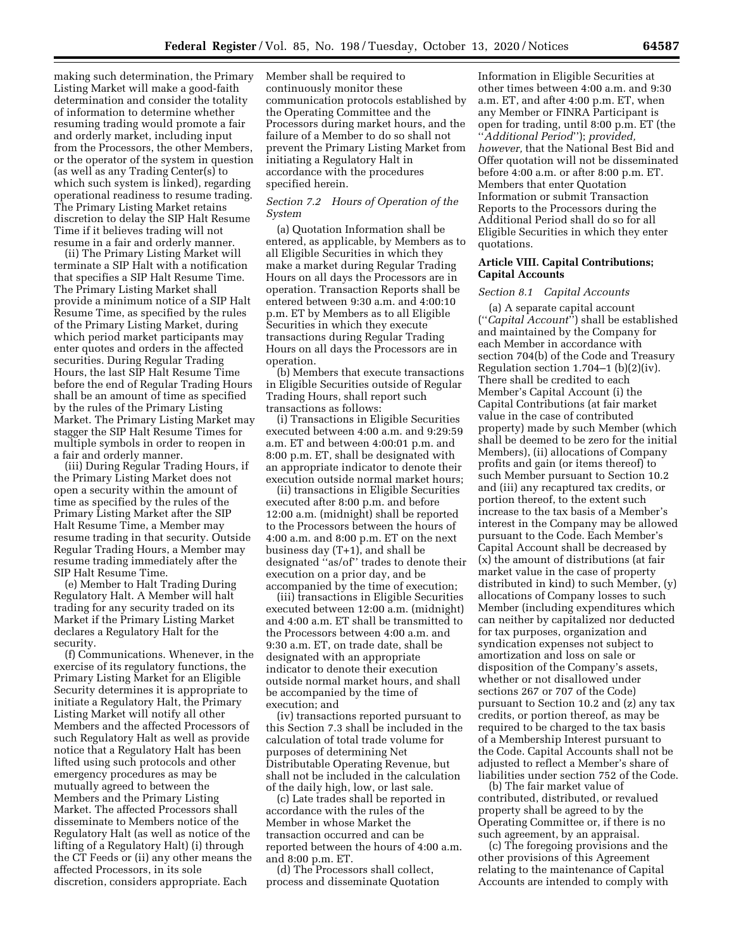making such determination, the Primary Listing Market will make a good-faith determination and consider the totality of information to determine whether resuming trading would promote a fair and orderly market, including input from the Processors, the other Members, or the operator of the system in question (as well as any Trading Center(s) to which such system is linked), regarding operational readiness to resume trading. The Primary Listing Market retains discretion to delay the SIP Halt Resume Time if it believes trading will not resume in a fair and orderly manner.

(ii) The Primary Listing Market will terminate a SIP Halt with a notification that specifies a SIP Halt Resume Time. The Primary Listing Market shall provide a minimum notice of a SIP Halt Resume Time, as specified by the rules of the Primary Listing Market, during which period market participants may enter quotes and orders in the affected securities. During Regular Trading Hours, the last SIP Halt Resume Time before the end of Regular Trading Hours shall be an amount of time as specified by the rules of the Primary Listing Market. The Primary Listing Market may stagger the SIP Halt Resume Times for multiple symbols in order to reopen in a fair and orderly manner.

(iii) During Regular Trading Hours, if the Primary Listing Market does not open a security within the amount of time as specified by the rules of the Primary Listing Market after the SIP Halt Resume Time, a Member may resume trading in that security. Outside Regular Trading Hours, a Member may resume trading immediately after the SIP Halt Resume Time.

(e) Member to Halt Trading During Regulatory Halt. A Member will halt trading for any security traded on its Market if the Primary Listing Market declares a Regulatory Halt for the security.

(f) Communications. Whenever, in the exercise of its regulatory functions, the Primary Listing Market for an Eligible Security determines it is appropriate to initiate a Regulatory Halt, the Primary Listing Market will notify all other Members and the affected Processors of such Regulatory Halt as well as provide notice that a Regulatory Halt has been lifted using such protocols and other emergency procedures as may be mutually agreed to between the Members and the Primary Listing Market. The affected Processors shall disseminate to Members notice of the Regulatory Halt (as well as notice of the lifting of a Regulatory Halt) (i) through the CT Feeds or (ii) any other means the affected Processors, in its sole discretion, considers appropriate. Each

Member shall be required to continuously monitor these communication protocols established by the Operating Committee and the Processors during market hours, and the failure of a Member to do so shall not prevent the Primary Listing Market from initiating a Regulatory Halt in accordance with the procedures specified herein.

#### *Section 7.2 Hours of Operation of the System*

(a) Quotation Information shall be entered, as applicable, by Members as to all Eligible Securities in which they make a market during Regular Trading Hours on all days the Processors are in operation. Transaction Reports shall be entered between 9:30 a.m. and 4:00:10 p.m. ET by Members as to all Eligible Securities in which they execute transactions during Regular Trading Hours on all days the Processors are in operation.

(b) Members that execute transactions in Eligible Securities outside of Regular Trading Hours, shall report such transactions as follows:

(i) Transactions in Eligible Securities executed between 4:00 a.m. and 9:29:59 a.m. ET and between 4:00:01 p.m. and 8:00 p.m. ET, shall be designated with an appropriate indicator to denote their execution outside normal market hours;

(ii) transactions in Eligible Securities executed after 8:00 p.m. and before 12:00 a.m. (midnight) shall be reported to the Processors between the hours of 4:00 a.m. and 8:00 p.m. ET on the next business day (T+1), and shall be designated ''as/of'' trades to denote their execution on a prior day, and be accompanied by the time of execution;

(iii) transactions in Eligible Securities executed between 12:00 a.m. (midnight) and 4:00 a.m. ET shall be transmitted to the Processors between 4:00 a.m. and 9:30 a.m. ET, on trade date, shall be designated with an appropriate indicator to denote their execution outside normal market hours, and shall be accompanied by the time of execution; and

(iv) transactions reported pursuant to this Section 7.3 shall be included in the calculation of total trade volume for purposes of determining Net Distributable Operating Revenue, but shall not be included in the calculation of the daily high, low, or last sale.

(c) Late trades shall be reported in accordance with the rules of the Member in whose Market the transaction occurred and can be reported between the hours of 4:00 a.m. and 8:00 p.m. ET.

(d) The Processors shall collect, process and disseminate Quotation

Information in Eligible Securities at other times between 4:00 a.m. and 9:30 a.m. ET, and after 4:00 p.m. ET, when any Member or FINRA Participant is open for trading, until 8:00 p.m. ET (the ''*Additional Period*''); *provided, however,* that the National Best Bid and Offer quotation will not be disseminated before 4:00 a.m. or after 8:00 p.m. ET. Members that enter Quotation Information or submit Transaction Reports to the Processors during the Additional Period shall do so for all Eligible Securities in which they enter quotations.

### **Article VIII. Capital Contributions; Capital Accounts**

#### *Section 8.1 Capital Accounts*

(a) A separate capital account (''*Capital Account*'') shall be established and maintained by the Company for each Member in accordance with section 704(b) of the Code and Treasury Regulation section  $1.704-1$  (b) $(2)(iv)$ . There shall be credited to each Member's Capital Account (i) the Capital Contributions (at fair market value in the case of contributed property) made by such Member (which shall be deemed to be zero for the initial Members), (ii) allocations of Company profits and gain (or items thereof) to such Member pursuant to Section 10.2 and (iii) any recaptured tax credits, or portion thereof, to the extent such increase to the tax basis of a Member's interest in the Company may be allowed pursuant to the Code. Each Member's Capital Account shall be decreased by (x) the amount of distributions (at fair market value in the case of property distributed in kind) to such Member, (y) allocations of Company losses to such Member (including expenditures which can neither by capitalized nor deducted for tax purposes, organization and syndication expenses not subject to amortization and loss on sale or disposition of the Company's assets, whether or not disallowed under sections 267 or 707 of the Code) pursuant to Section 10.2 and (z) any tax credits, or portion thereof, as may be required to be charged to the tax basis of a Membership Interest pursuant to the Code. Capital Accounts shall not be adjusted to reflect a Member's share of liabilities under section 752 of the Code.

(b) The fair market value of contributed, distributed, or revalued property shall be agreed to by the Operating Committee or, if there is no such agreement, by an appraisal.

(c) The foregoing provisions and the other provisions of this Agreement relating to the maintenance of Capital Accounts are intended to comply with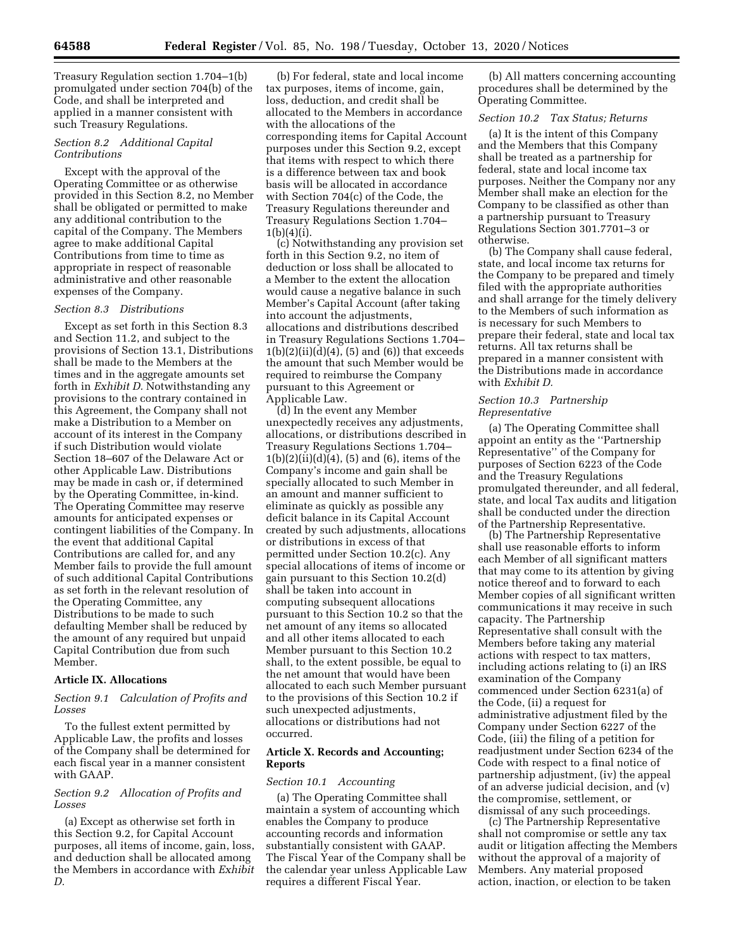Treasury Regulation section 1.704–1(b) promulgated under section 704(b) of the Code, and shall be interpreted and applied in a manner consistent with such Treasury Regulations.

### *Section 8.2 Additional Capital Contributions*

Except with the approval of the Operating Committee or as otherwise provided in this Section 8.2, no Member shall be obligated or permitted to make any additional contribution to the capital of the Company. The Members agree to make additional Capital Contributions from time to time as appropriate in respect of reasonable administrative and other reasonable expenses of the Company.

#### *Section 8.3 Distributions*

Except as set forth in this Section 8.3 and Section 11.2, and subject to the provisions of Section 13.1, Distributions shall be made to the Members at the times and in the aggregate amounts set forth in *Exhibit D.* Notwithstanding any provisions to the contrary contained in this Agreement, the Company shall not make a Distribution to a Member on account of its interest in the Company if such Distribution would violate Section 18–607 of the Delaware Act or other Applicable Law. Distributions may be made in cash or, if determined by the Operating Committee, in-kind. The Operating Committee may reserve amounts for anticipated expenses or contingent liabilities of the Company. In the event that additional Capital Contributions are called for, and any Member fails to provide the full amount of such additional Capital Contributions as set forth in the relevant resolution of the Operating Committee, any Distributions to be made to such defaulting Member shall be reduced by the amount of any required but unpaid Capital Contribution due from such Member.

#### **Article IX. Allocations**

### *Section 9.1 Calculation of Profits and Losses*

To the fullest extent permitted by Applicable Law, the profits and losses of the Company shall be determined for each fiscal year in a manner consistent with GAAP.

#### *Section 9.2 Allocation of Profits and Losses*

(a) Except as otherwise set forth in this Section 9.2, for Capital Account purposes, all items of income, gain, loss, and deduction shall be allocated among the Members in accordance with *Exhibit D.* 

(b) For federal, state and local income tax purposes, items of income, gain, loss, deduction, and credit shall be allocated to the Members in accordance with the allocations of the corresponding items for Capital Account purposes under this Section 9.2, except that items with respect to which there is a difference between tax and book basis will be allocated in accordance with Section 704(c) of the Code, the Treasury Regulations thereunder and Treasury Regulations Section 1.704–  $1(b)(4)(i)$ .

(c) Notwithstanding any provision set forth in this Section 9.2, no item of deduction or loss shall be allocated to a Member to the extent the allocation would cause a negative balance in such Member's Capital Account (after taking into account the adjustments, allocations and distributions described in Treasury Regulations Sections 1.704–  $1(b)(2)(ii)(d)(4)$ , (5) and (6)) that exceeds the amount that such Member would be required to reimburse the Company pursuant to this Agreement or Applicable Law.

(d) In the event any Member unexpectedly receives any adjustments, allocations, or distributions described in Treasury Regulations Sections 1.704–  $1(b)(2)(ii)(d)(4)$ , (5) and (6), items of the Company's income and gain shall be specially allocated to such Member in an amount and manner sufficient to eliminate as quickly as possible any deficit balance in its Capital Account created by such adjustments, allocations or distributions in excess of that permitted under Section 10.2(c). Any special allocations of items of income or gain pursuant to this Section 10.2(d) shall be taken into account in computing subsequent allocations pursuant to this Section 10.2 so that the net amount of any items so allocated and all other items allocated to each Member pursuant to this Section 10.2 shall, to the extent possible, be equal to the net amount that would have been allocated to each such Member pursuant to the provisions of this Section 10.2 if such unexpected adjustments, allocations or distributions had not occurred.

### **Article X. Records and Accounting; Reports**

#### *Section 10.1 Accounting*

(a) The Operating Committee shall maintain a system of accounting which enables the Company to produce accounting records and information substantially consistent with GAAP. The Fiscal Year of the Company shall be the calendar year unless Applicable Law requires a different Fiscal Year.

(b) All matters concerning accounting procedures shall be determined by the Operating Committee.

### *Section 10.2 Tax Status; Returns*

(a) It is the intent of this Company and the Members that this Company shall be treated as a partnership for federal, state and local income tax purposes. Neither the Company nor any Member shall make an election for the Company to be classified as other than a partnership pursuant to Treasury Regulations Section 301.7701–3 or otherwise.

(b) The Company shall cause federal, state, and local income tax returns for the Company to be prepared and timely filed with the appropriate authorities and shall arrange for the timely delivery to the Members of such information as is necessary for such Members to prepare their federal, state and local tax returns. All tax returns shall be prepared in a manner consistent with the Distributions made in accordance with *Exhibit D.* 

#### *Section 10.3 Partnership Representative*

(a) The Operating Committee shall appoint an entity as the ''Partnership Representative'' of the Company for purposes of Section 6223 of the Code and the Treasury Regulations promulgated thereunder, and all federal, state, and local Tax audits and litigation shall be conducted under the direction of the Partnership Representative.

(b) The Partnership Representative shall use reasonable efforts to inform each Member of all significant matters that may come to its attention by giving notice thereof and to forward to each Member copies of all significant written communications it may receive in such capacity. The Partnership Representative shall consult with the Members before taking any material actions with respect to tax matters, including actions relating to (i) an IRS examination of the Company commenced under Section 6231(a) of the Code, (ii) a request for administrative adjustment filed by the Company under Section 6227 of the Code, (iii) the filing of a petition for readjustment under Section 6234 of the Code with respect to a final notice of partnership adjustment, (iv) the appeal of an adverse judicial decision, and (v) the compromise, settlement, or dismissal of any such proceedings.

(c) The Partnership Representative shall not compromise or settle any tax audit or litigation affecting the Members without the approval of a majority of Members. Any material proposed action, inaction, or election to be taken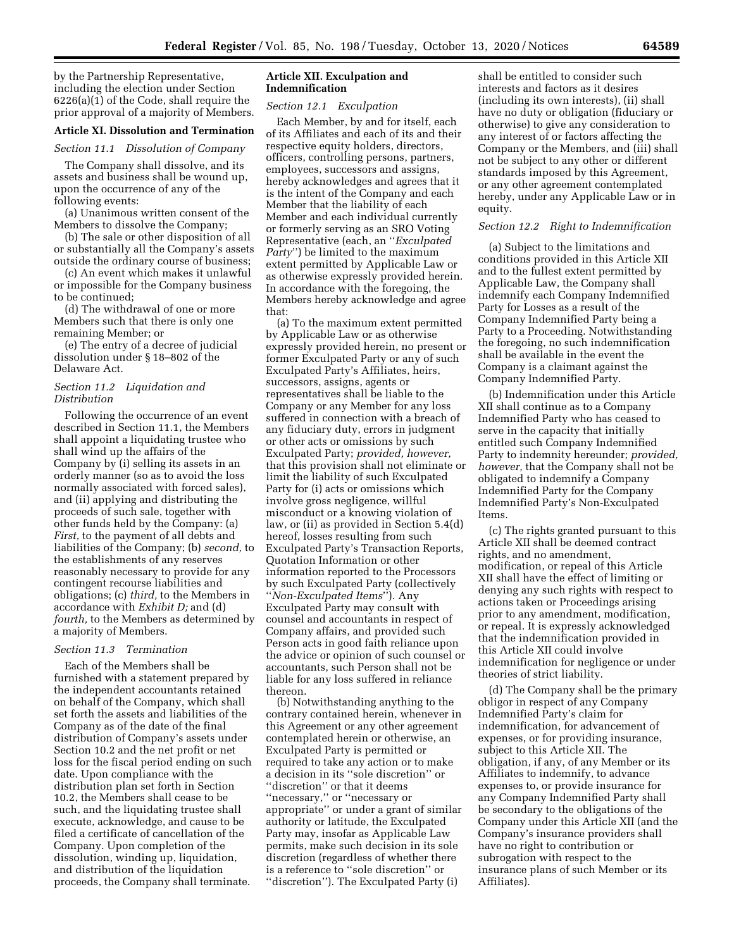by the Partnership Representative, including the election under Section 6226(a)(1) of the Code, shall require the prior approval of a majority of Members.

### **Article XI. Dissolution and Termination**

#### *Section 11.1 Dissolution of Company*

The Company shall dissolve, and its assets and business shall be wound up, upon the occurrence of any of the following events:

(a) Unanimous written consent of the Members to dissolve the Company;

(b) The sale or other disposition of all or substantially all the Company's assets outside the ordinary course of business;

(c) An event which makes it unlawful or impossible for the Company business to be continued;

(d) The withdrawal of one or more Members such that there is only one remaining Member; or

(e) The entry of a decree of judicial dissolution under § 18–802 of the Delaware Act.

### *Section 11.2 Liquidation and Distribution*

Following the occurrence of an event described in Section 11.1, the Members shall appoint a liquidating trustee who shall wind up the affairs of the Company by (i) selling its assets in an orderly manner (so as to avoid the loss normally associated with forced sales), and (ii) applying and distributing the proceeds of such sale, together with other funds held by the Company: (a) *First,* to the payment of all debts and liabilities of the Company; (b) *second,* to the establishments of any reserves reasonably necessary to provide for any contingent recourse liabilities and obligations; (c) *third,* to the Members in accordance with *Exhibit D;* and (d) *fourth,* to the Members as determined by a majority of Members.

#### *Section 11.3 Termination*

Each of the Members shall be furnished with a statement prepared by the independent accountants retained on behalf of the Company, which shall set forth the assets and liabilities of the Company as of the date of the final distribution of Company's assets under Section 10.2 and the net profit or net loss for the fiscal period ending on such date. Upon compliance with the distribution plan set forth in Section 10.2, the Members shall cease to be such, and the liquidating trustee shall execute, acknowledge, and cause to be filed a certificate of cancellation of the Company. Upon completion of the dissolution, winding up, liquidation, and distribution of the liquidation proceeds, the Company shall terminate.

#### **Article XII. Exculpation and Indemnification**

#### *Section 12.1 Exculpation*

Each Member, by and for itself, each of its Affiliates and each of its and their respective equity holders, directors, officers, controlling persons, partners, employees, successors and assigns, hereby acknowledges and agrees that it is the intent of the Company and each Member that the liability of each Member and each individual currently or formerly serving as an SRO Voting Representative (each, an ''*Exculpated Party*'') be limited to the maximum extent permitted by Applicable Law or as otherwise expressly provided herein. In accordance with the foregoing, the Members hereby acknowledge and agree that:

(a) To the maximum extent permitted by Applicable Law or as otherwise expressly provided herein, no present or former Exculpated Party or any of such Exculpated Party's Affiliates, heirs, successors, assigns, agents or representatives shall be liable to the Company or any Member for any loss suffered in connection with a breach of any fiduciary duty, errors in judgment or other acts or omissions by such Exculpated Party; *provided, however,*  that this provision shall not eliminate or limit the liability of such Exculpated Party for (i) acts or omissions which involve gross negligence, willful misconduct or a knowing violation of law, or (ii) as provided in Section 5.4(d) hereof, losses resulting from such Exculpated Party's Transaction Reports, Quotation Information or other information reported to the Processors by such Exculpated Party (collectively ''*Non-Exculpated Items*''). Any Exculpated Party may consult with counsel and accountants in respect of Company affairs, and provided such Person acts in good faith reliance upon the advice or opinion of such counsel or accountants, such Person shall not be liable for any loss suffered in reliance thereon.

(b) Notwithstanding anything to the contrary contained herein, whenever in this Agreement or any other agreement contemplated herein or otherwise, an Exculpated Party is permitted or required to take any action or to make a decision in its ''sole discretion'' or ''discretion'' or that it deems ''necessary,'' or ''necessary or appropriate'' or under a grant of similar authority or latitude, the Exculpated Party may, insofar as Applicable Law permits, make such decision in its sole discretion (regardless of whether there is a reference to ''sole discretion'' or ''discretion''). The Exculpated Party (i)

shall be entitled to consider such interests and factors as it desires (including its own interests), (ii) shall have no duty or obligation (fiduciary or otherwise) to give any consideration to any interest of or factors affecting the Company or the Members, and (iii) shall not be subject to any other or different standards imposed by this Agreement, or any other agreement contemplated hereby, under any Applicable Law or in equity.

#### *Section 12.2 Right to Indemnification*

(a) Subject to the limitations and conditions provided in this Article XII and to the fullest extent permitted by Applicable Law, the Company shall indemnify each Company Indemnified Party for Losses as a result of the Company Indemnified Party being a Party to a Proceeding. Notwithstanding the foregoing, no such indemnification shall be available in the event the Company is a claimant against the Company Indemnified Party.

(b) Indemnification under this Article XII shall continue as to a Company Indemnified Party who has ceased to serve in the capacity that initially entitled such Company Indemnified Party to indemnity hereunder; *provided, however,* that the Company shall not be obligated to indemnify a Company Indemnified Party for the Company Indemnified Party's Non-Exculpated Items.

(c) The rights granted pursuant to this Article XII shall be deemed contract rights, and no amendment, modification, or repeal of this Article XII shall have the effect of limiting or denying any such rights with respect to actions taken or Proceedings arising prior to any amendment, modification, or repeal. It is expressly acknowledged that the indemnification provided in this Article XII could involve indemnification for negligence or under theories of strict liability.

(d) The Company shall be the primary obligor in respect of any Company Indemnified Party's claim for indemnification, for advancement of expenses, or for providing insurance, subject to this Article XII. The obligation, if any, of any Member or its Affiliates to indemnify, to advance expenses to, or provide insurance for any Company Indemnified Party shall be secondary to the obligations of the Company under this Article XII (and the Company's insurance providers shall have no right to contribution or subrogation with respect to the insurance plans of such Member or its Affiliates).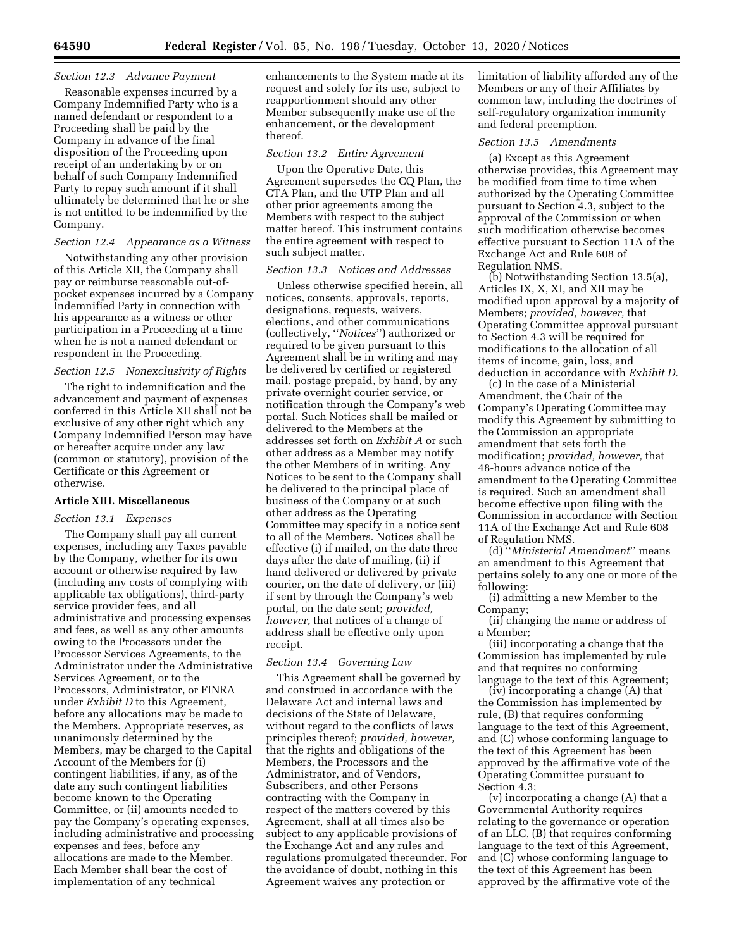### *Section 12.3 Advance Payment*

Reasonable expenses incurred by a Company Indemnified Party who is a named defendant or respondent to a Proceeding shall be paid by the Company in advance of the final disposition of the Proceeding upon receipt of an undertaking by or on behalf of such Company Indemnified Party to repay such amount if it shall ultimately be determined that he or she is not entitled to be indemnified by the Company.

#### *Section 12.4 Appearance as a Witness*

Notwithstanding any other provision of this Article XII, the Company shall pay or reimburse reasonable out-ofpocket expenses incurred by a Company Indemnified Party in connection with his appearance as a witness or other participation in a Proceeding at a time when he is not a named defendant or respondent in the Proceeding.

#### *Section 12.5 Nonexclusivity of Rights*

The right to indemnification and the advancement and payment of expenses conferred in this Article XII shall not be exclusive of any other right which any Company Indemnified Person may have or hereafter acquire under any law (common or statutory), provision of the Certificate or this Agreement or otherwise.

#### **Article XIII. Miscellaneous**

### *Section 13.1 Expenses*

The Company shall pay all current expenses, including any Taxes payable by the Company, whether for its own account or otherwise required by law (including any costs of complying with applicable tax obligations), third-party service provider fees, and all administrative and processing expenses and fees, as well as any other amounts owing to the Processors under the Processor Services Agreements, to the Administrator under the Administrative Services Agreement, or to the Processors, Administrator, or FINRA under *Exhibit D* to this Agreement, before any allocations may be made to the Members. Appropriate reserves, as unanimously determined by the Members, may be charged to the Capital Account of the Members for (i) contingent liabilities, if any, as of the date any such contingent liabilities become known to the Operating Committee, or (ii) amounts needed to pay the Company's operating expenses, including administrative and processing expenses and fees, before any allocations are made to the Member. Each Member shall bear the cost of implementation of any technical

enhancements to the System made at its request and solely for its use, subject to reapportionment should any other Member subsequently make use of the enhancement, or the development thereof.

#### *Section 13.2 Entire Agreement*

Upon the Operative Date, this Agreement supersedes the CQ Plan, the CTA Plan, and the UTP Plan and all other prior agreements among the Members with respect to the subject matter hereof. This instrument contains the entire agreement with respect to such subject matter.

#### *Section 13.3 Notices and Addresses*

Unless otherwise specified herein, all notices, consents, approvals, reports, designations, requests, waivers, elections, and other communications (collectively, ''*Notices*'') authorized or required to be given pursuant to this Agreement shall be in writing and may be delivered by certified or registered mail, postage prepaid, by hand, by any private overnight courier service, or notification through the Company's web portal. Such Notices shall be mailed or delivered to the Members at the addresses set forth on *Exhibit A* or such other address as a Member may notify the other Members of in writing. Any Notices to be sent to the Company shall be delivered to the principal place of business of the Company or at such other address as the Operating Committee may specify in a notice sent to all of the Members. Notices shall be effective (i) if mailed, on the date three days after the date of mailing, (ii) if hand delivered or delivered by private courier, on the date of delivery, or (iii) if sent by through the Company's web portal, on the date sent; *provided, however,* that notices of a change of address shall be effective only upon receipt.

#### *Section 13.4 Governing Law*

This Agreement shall be governed by and construed in accordance with the Delaware Act and internal laws and decisions of the State of Delaware, without regard to the conflicts of laws principles thereof; *provided, however,*  that the rights and obligations of the Members, the Processors and the Administrator, and of Vendors, Subscribers, and other Persons contracting with the Company in respect of the matters covered by this Agreement, shall at all times also be subject to any applicable provisions of the Exchange Act and any rules and regulations promulgated thereunder. For the avoidance of doubt, nothing in this Agreement waives any protection or

limitation of liability afforded any of the Members or any of their Affiliates by common law, including the doctrines of self-regulatory organization immunity and federal preemption.

#### *Section 13.5 Amendments*

(a) Except as this Agreement otherwise provides, this Agreement may be modified from time to time when authorized by the Operating Committee pursuant to Section 4.3, subject to the approval of the Commission or when such modification otherwise becomes effective pursuant to Section 11A of the Exchange Act and Rule 608 of Regulation NMS.

(b) Notwithstanding Section 13.5(a), Articles IX, X, XI, and XII may be modified upon approval by a majority of Members; *provided, however,* that Operating Committee approval pursuant to Section 4.3 will be required for modifications to the allocation of all items of income, gain, loss, and deduction in accordance with *Exhibit D.* 

(c) In the case of a Ministerial Amendment, the Chair of the Company's Operating Committee may modify this Agreement by submitting to the Commission an appropriate amendment that sets forth the modification; *provided, however,* that 48-hours advance notice of the amendment to the Operating Committee is required. Such an amendment shall become effective upon filing with the Commission in accordance with Section 11A of the Exchange Act and Rule 608 of Regulation NMS.

(d) ''*Ministerial Amendment*'' means an amendment to this Agreement that pertains solely to any one or more of the following:

(i) admitting a new Member to the Company;

(ii) changing the name or address of a Member;

(iii) incorporating a change that the Commission has implemented by rule and that requires no conforming language to the text of this Agreement;

(iv) incorporating a change (A) that the Commission has implemented by rule, (B) that requires conforming language to the text of this Agreement, and (C) whose conforming language to the text of this Agreement has been approved by the affirmative vote of the Operating Committee pursuant to Section 4.3;

(v) incorporating a change (A) that a Governmental Authority requires relating to the governance or operation of an LLC, (B) that requires conforming language to the text of this Agreement, and (C) whose conforming language to the text of this Agreement has been approved by the affirmative vote of the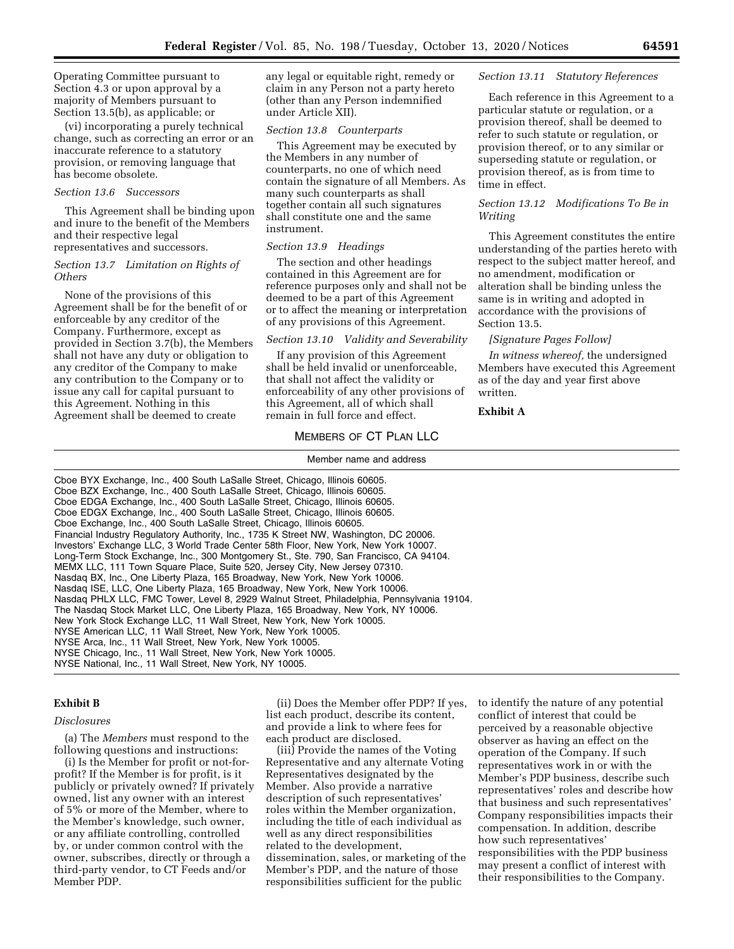Operating Committee pursuant to Section 4.3 or upon approval by a majority of Members pursuant to Section 13.5(b), as applicable; or

(vi) incorporating a purely technical change, such as correcting an error or an inaccurate reference to a statutory provision, or removing language that has become obsolete.

#### *Section 13.6 Successors*

This Agreement shall be binding upon and inure to the benefit of the Members and their respective legal representatives and successors.

#### *Section 13.7 Limitation on Rights of Others*

None of the provisions of this Agreement shall be for the benefit of or enforceable by any creditor of the Company. Furthermore, except as provided in Section 3.7(b), the Members shall not have any duty or obligation to any creditor of the Company to make any contribution to the Company or to issue any call for capital pursuant to this Agreement. Nothing in this Agreement shall be deemed to create

any legal or equitable right, remedy or claim in any Person not a party hereto (other than any Person indemnified under Article XII).

### *Section 13.8 Counterparts*

This Agreement may be executed by the Members in any number of counterparts, no one of which need contain the signature of all Members. As many such counterparts as shall together contain all such signatures shall constitute one and the same instrument.

#### *Section 13.9 Headings*

The section and other headings contained in this Agreement are for reference purposes only and shall not be deemed to be a part of this Agreement or to affect the meaning or interpretation of any provisions of this Agreement.

#### *Section 13.10 Validity and Severability*

If any provision of this Agreement shall be held invalid or unenforceable, that shall not affect the validity or enforceability of any other provisions of this Agreement, all of which shall remain in full force and effect.

# MEMBERS OF CT PLAN LLC Member name and address

### *Section 13.11 Statutory References*

Each reference in this Agreement to a particular statute or regulation, or a provision thereof, shall be deemed to refer to such statute or regulation, or provision thereof, or to any similar or superseding statute or regulation, or provision thereof, as is from time to time in effect.

### *Section 13.12 Modifications To Be in Writing*

This Agreement constitutes the entire understanding of the parties hereto with respect to the subject matter hereof, and no amendment, modification or alteration shall be binding unless the same is in writing and adopted in accordance with the provisions of Section 13.5.

#### *[Signature Pages Follow]*

*In witness whereof,* the undersigned Members have executed this Agreement as of the day and year first above written.

#### **Exhibit A**

Cboe BYX Exchange, Inc., 400 South LaSalle Street, Chicago, Illinois 60605. Cboe BZX Exchange, Inc., 400 South LaSalle Street, Chicago, Illinois 60605. Cboe EDGA Exchange, Inc., 400 South LaSalle Street, Chicago, Illinois 60605. Cboe EDGX Exchange, Inc., 400 South LaSalle Street, Chicago, Illinois 60605. Cboe Exchange, Inc., 400 South LaSalle Street, Chicago, Illinois 60605. Financial Industry Regulatory Authority, Inc., 1735 K Street NW, Washington, DC 20006. Investors' Exchange LLC, 3 World Trade Center 58th Floor, New York, New York 10007. Long-Term Stock Exchange, Inc., 300 Montgomery St., Ste. 790, San Francisco, CA 94104. MEMX LLC, 111 Town Square Place, Suite 520, Jersey City, New Jersey 07310. Nasdaq BX, Inc., One Liberty Plaza, 165 Broadway, New York, New York 10006. Nasdaq ISE, LLC, One Liberty Plaza, 165 Broadway, New York, New York 10006. Nasdaq PHLX LLC, FMC Tower, Level 8, 2929 Walnut Street, Philadelphia, Pennsylvania 19104. The Nasdaq Stock Market LLC, One Liberty Plaza, 165 Broadway, New York, NY 10006. New York Stock Exchange LLC, 11 Wall Street, New York, New York 10005. NYSE American LLC, 11 Wall Street, New York, New York 10005. NYSE Arca, Inc., 11 Wall Street, New York, New York 10005. NYSE Chicago, Inc., 11 Wall Street, New York, New York 10005. NYSE National, Inc., 11 Wall Street, New York, NY 10005.

#### **Exhibit B**

#### *Disclosures*

(a) The *Members* must respond to the following questions and instructions:

(i) Is the Member for profit or not-forprofit? If the Member is for profit, is it publicly or privately owned? If privately owned, list any owner with an interest of 5% or more of the Member, where to the Member's knowledge, such owner, or any affiliate controlling, controlled by, or under common control with the owner, subscribes, directly or through a third-party vendor, to CT Feeds and/or Member PDP.

(ii) Does the Member offer PDP? If yes, list each product, describe its content, and provide a link to where fees for each product are disclosed.

(iii) Provide the names of the Voting Representative and any alternate Voting Representatives designated by the Member. Also provide a narrative description of such representatives' roles within the Member organization, including the title of each individual as well as any direct responsibilities related to the development, dissemination, sales, or marketing of the Member's PDP, and the nature of those responsibilities sufficient for the public

to identify the nature of any potential conflict of interest that could be perceived by a reasonable objective observer as having an effect on the operation of the Company. If such representatives work in or with the Member's PDP business, describe such representatives' roles and describe how that business and such representatives' Company responsibilities impacts their compensation. In addition, describe how such representatives' responsibilities with the PDP business may present a conflict of interest with their responsibilities to the Company.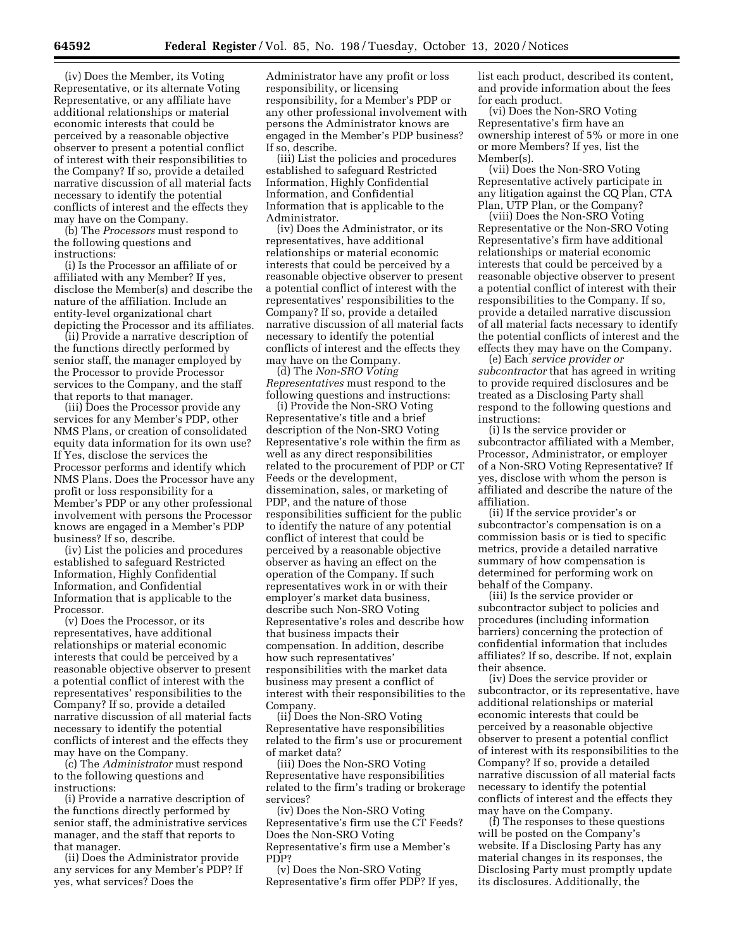(iv) Does the Member, its Voting Representative, or its alternate Voting Representative, or any affiliate have additional relationships or material economic interests that could be perceived by a reasonable objective observer to present a potential conflict of interest with their responsibilities to the Company? If so, provide a detailed narrative discussion of all material facts necessary to identify the potential conflicts of interest and the effects they may have on the Company.

(b) The *Processors* must respond to the following questions and instructions:

(i) Is the Processor an affiliate of or affiliated with any Member? If yes, disclose the Member(s) and describe the nature of the affiliation. Include an entity-level organizational chart depicting the Processor and its affiliates.

(ii) Provide a narrative description of the functions directly performed by senior staff, the manager employed by the Processor to provide Processor services to the Company, and the staff that reports to that manager.

(iii) Does the Processor provide any services for any Member's PDP, other NMS Plans, or creation of consolidated equity data information for its own use? If Yes, disclose the services the Processor performs and identify which NMS Plans. Does the Processor have any profit or loss responsibility for a Member's PDP or any other professional involvement with persons the Processor knows are engaged in a Member's PDP business? If so, describe.

(iv) List the policies and procedures established to safeguard Restricted Information, Highly Confidential Information, and Confidential Information that is applicable to the Processor.

(v) Does the Processor, or its representatives, have additional relationships or material economic interests that could be perceived by a reasonable objective observer to present a potential conflict of interest with the representatives' responsibilities to the Company? If so, provide a detailed narrative discussion of all material facts necessary to identify the potential conflicts of interest and the effects they may have on the Company.

(c) The *Administrator* must respond to the following questions and instructions:

(i) Provide a narrative description of the functions directly performed by senior staff, the administrative services manager, and the staff that reports to that manager.

(ii) Does the Administrator provide any services for any Member's PDP? If yes, what services? Does the

Administrator have any profit or loss responsibility, or licensing responsibility, for a Member's PDP or any other professional involvement with persons the Administrator knows are engaged in the Member's PDP business? If so, describe.

(iii) List the policies and procedures established to safeguard Restricted Information, Highly Confidential Information, and Confidential Information that is applicable to the Administrator.

(iv) Does the Administrator, or its representatives, have additional relationships or material economic interests that could be perceived by a reasonable objective observer to present a potential conflict of interest with the representatives' responsibilities to the Company? If so, provide a detailed narrative discussion of all material facts necessary to identify the potential conflicts of interest and the effects they may have on the Company.

(d) The *Non-SRO Voting Representatives* must respond to the following questions and instructions:

(i) Provide the Non-SRO Voting Representative's title and a brief description of the Non-SRO Voting Representative's role within the firm as well as any direct responsibilities related to the procurement of PDP or CT Feeds or the development, dissemination, sales, or marketing of PDP, and the nature of those responsibilities sufficient for the public to identify the nature of any potential conflict of interest that could be perceived by a reasonable objective observer as having an effect on the operation of the Company. If such representatives work in or with their employer's market data business, describe such Non-SRO Voting Representative's roles and describe how that business impacts their compensation. In addition, describe how such representatives' responsibilities with the market data business may present a conflict of interest with their responsibilities to the Company.

(ii) Does the Non-SRO Voting Representative have responsibilities related to the firm's use or procurement of market data?

(iii) Does the Non-SRO Voting Representative have responsibilities related to the firm's trading or brokerage services?

(iv) Does the Non-SRO Voting Representative's firm use the CT Feeds? Does the Non-SRO Voting Representative's firm use a Member's PDP?

(v) Does the Non-SRO Voting Representative's firm offer PDP? If yes, list each product, described its content, and provide information about the fees for each product.

(vi) Does the Non-SRO Voting Representative's firm have an ownership interest of 5% or more in one or more Members? If yes, list the Member(s).

(vii) Does the Non-SRO Voting Representative actively participate in any litigation against the CQ Plan, CTA Plan, UTP Plan, or the Company?

(viii) Does the Non-SRO Voting Representative or the Non-SRO Voting Representative's firm have additional relationships or material economic interests that could be perceived by a reasonable objective observer to present a potential conflict of interest with their responsibilities to the Company. If so, provide a detailed narrative discussion of all material facts necessary to identify the potential conflicts of interest and the effects they may have on the Company.

(e) Each *service provider or subcontractor* that has agreed in writing to provide required disclosures and be treated as a Disclosing Party shall respond to the following questions and instructions:

(i) Is the service provider or subcontractor affiliated with a Member, Processor, Administrator, or employer of a Non-SRO Voting Representative? If yes, disclose with whom the person is affiliated and describe the nature of the affiliation.

(ii) If the service provider's or subcontractor's compensation is on a commission basis or is tied to specific metrics, provide a detailed narrative summary of how compensation is determined for performing work on behalf of the Company.

(iii) Is the service provider or subcontractor subject to policies and procedures (including information barriers) concerning the protection of confidential information that includes affiliates? If so, describe. If not, explain their absence.

(iv) Does the service provider or subcontractor, or its representative, have additional relationships or material economic interests that could be perceived by a reasonable objective observer to present a potential conflict of interest with its responsibilities to the Company? If so, provide a detailed narrative discussion of all material facts necessary to identify the potential conflicts of interest and the effects they may have on the Company.

(f) The responses to these questions will be posted on the Company's website. If a Disclosing Party has any material changes in its responses, the Disclosing Party must promptly update its disclosures. Additionally, the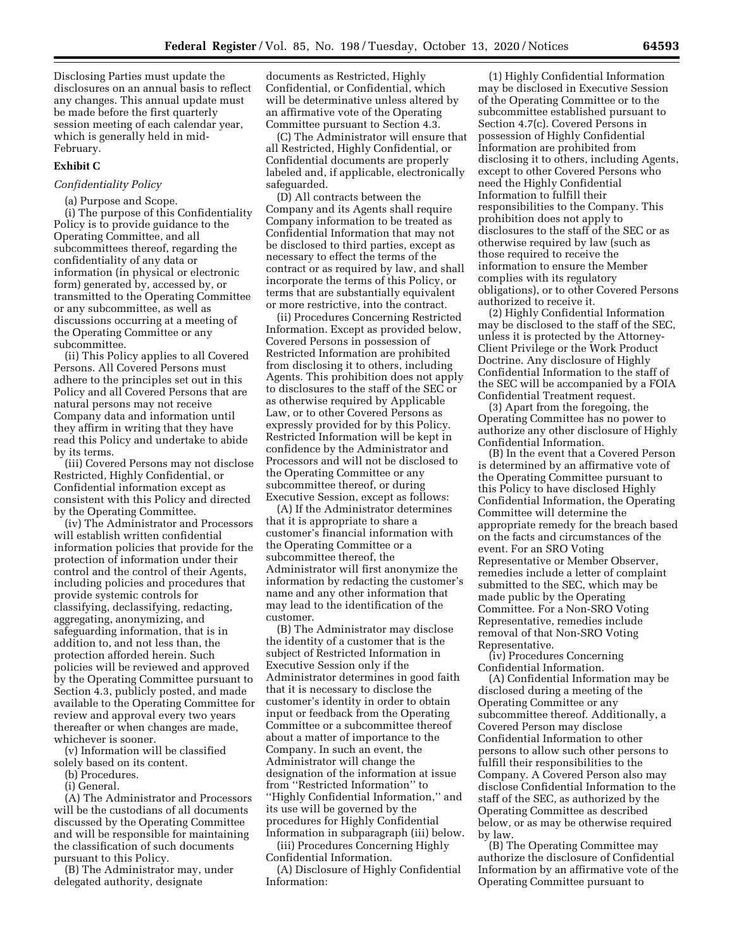Disclosing Parties must update the disclosures on an annual basis to reflect any changes. This annual update must be made before the first quarterly session meeting of each calendar year, which is generally held in mid-February.

#### **Exhibit C**

### *Confidentiality Policy*

(a) Purpose and Scope.

(i) The purpose of this Confidentiality Policy is to provide guidance to the Operating Committee, and all subcommittees thereof, regarding the confidentiality of any data or information (in physical or electronic form) generated by, accessed by, or transmitted to the Operating Committee or any subcommittee, as well as discussions occurring at a meeting of the Operating Committee or any subcommittee.

(ii) This Policy applies to all Covered Persons. All Covered Persons must adhere to the principles set out in this Policy and all Covered Persons that are natural persons may not receive Company data and information until they affirm in writing that they have read this Policy and undertake to abide by its terms.

(iii) Covered Persons may not disclose Restricted, Highly Confidential, or Confidential information except as consistent with this Policy and directed by the Operating Committee.

(iv) The Administrator and Processors will establish written confidential information policies that provide for the protection of information under their control and the control of their Agents, including policies and procedures that provide systemic controls for classifying, declassifying, redacting, aggregating, anonymizing, and safeguarding information, that is in addition to, and not less than, the protection afforded herein. Such policies will be reviewed and approved by the Operating Committee pursuant to Section 4.3, publicly posted, and made available to the Operating Committee for review and approval every two years thereafter or when changes are made, whichever is sooner.

(v) Information will be classified

solely based on its content.

(b) Procedures.

(i) General.

(A) The Administrator and Processors will be the custodians of all documents discussed by the Operating Committee and will be responsible for maintaining the classification of such documents pursuant to this Policy.

(B) The Administrator may, under delegated authority, designate

documents as Restricted, Highly Confidential, or Confidential, which will be determinative unless altered by an affirmative vote of the Operating Committee pursuant to Section 4.3.

(C) The Administrator will ensure that all Restricted, Highly Confidential, or Confidential documents are properly labeled and, if applicable, electronically safeguarded.

(D) All contracts between the Company and its Agents shall require Company information to be treated as Confidential Information that may not be disclosed to third parties, except as necessary to effect the terms of the contract or as required by law, and shall incorporate the terms of this Policy, or terms that are substantially equivalent or more restrictive, into the contract.

(ii) Procedures Concerning Restricted Information. Except as provided below, Covered Persons in possession of Restricted Information are prohibited from disclosing it to others, including Agents. This prohibition does not apply to disclosures to the staff of the SEC or as otherwise required by Applicable Law, or to other Covered Persons as expressly provided for by this Policy. Restricted Information will be kept in confidence by the Administrator and Processors and will not be disclosed to the Operating Committee or any subcommittee thereof, or during Executive Session, except as follows:

(A) If the Administrator determines that it is appropriate to share a customer's financial information with the Operating Committee or a subcommittee thereof, the Administrator will first anonymize the information by redacting the customer's name and any other information that may lead to the identification of the customer.

(B) The Administrator may disclose the identity of a customer that is the subject of Restricted Information in Executive Session only if the Administrator determines in good faith that it is necessary to disclose the customer's identity in order to obtain input or feedback from the Operating Committee or a subcommittee thereof about a matter of importance to the Company. In such an event, the Administrator will change the designation of the information at issue from ''Restricted Information'' to ''Highly Confidential Information,'' and its use will be governed by the procedures for Highly Confidential Information in subparagraph (iii) below.

(iii) Procedures Concerning Highly Confidential Information.

(A) Disclosure of Highly Confidential Information:

(1) Highly Confidential Information may be disclosed in Executive Session of the Operating Committee or to the subcommittee established pursuant to Section 4.7(c). Covered Persons in possession of Highly Confidential Information are prohibited from disclosing it to others, including Agents, except to other Covered Persons who need the Highly Confidential Information to fulfill their responsibilities to the Company. This prohibition does not apply to disclosures to the staff of the SEC or as otherwise required by law (such as those required to receive the information to ensure the Member complies with its regulatory obligations), or to other Covered Persons authorized to receive it.

(2) Highly Confidential Information may be disclosed to the staff of the SEC, unless it is protected by the Attorney-Client Privilege or the Work Product Doctrine. Any disclosure of Highly Confidential Information to the staff of the SEC will be accompanied by a FOIA Confidential Treatment request.

(3) Apart from the foregoing, the Operating Committee has no power to authorize any other disclosure of Highly Confidential Information.

(B) In the event that a Covered Person is determined by an affirmative vote of the Operating Committee pursuant to this Policy to have disclosed Highly Confidential Information, the Operating Committee will determine the appropriate remedy for the breach based on the facts and circumstances of the event. For an SRO Voting Representative or Member Observer, remedies include a letter of complaint submitted to the SEC, which may be made public by the Operating Committee. For a Non-SRO Voting Representative, remedies include removal of that Non-SRO Voting Representative.

(iv) Procedures Concerning Confidential Information.

(A) Confidential Information may be disclosed during a meeting of the Operating Committee or any subcommittee thereof. Additionally, a Covered Person may disclose Confidential Information to other persons to allow such other persons to fulfill their responsibilities to the Company. A Covered Person also may disclose Confidential Information to the staff of the SEC, as authorized by the Operating Committee as described below, or as may be otherwise required by law.

(B) The Operating Committee may authorize the disclosure of Confidential Information by an affirmative vote of the Operating Committee pursuant to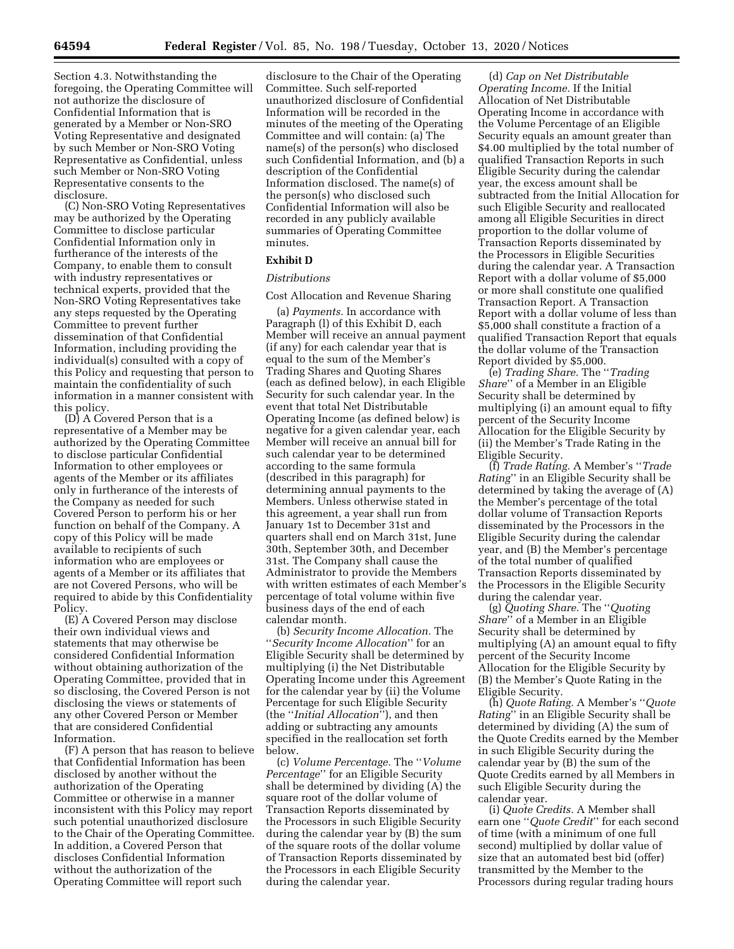Section 4.3. Notwithstanding the foregoing, the Operating Committee will not authorize the disclosure of Confidential Information that is generated by a Member or Non-SRO Voting Representative and designated by such Member or Non-SRO Voting Representative as Confidential, unless such Member or Non-SRO Voting Representative consents to the disclosure.

(C) Non-SRO Voting Representatives may be authorized by the Operating Committee to disclose particular Confidential Information only in furtherance of the interests of the Company, to enable them to consult with industry representatives or technical experts, provided that the Non-SRO Voting Representatives take any steps requested by the Operating Committee to prevent further dissemination of that Confidential Information, including providing the individual(s) consulted with a copy of this Policy and requesting that person to maintain the confidentiality of such information in a manner consistent with this policy.

(D) A Covered Person that is a representative of a Member may be authorized by the Operating Committee to disclose particular Confidential Information to other employees or agents of the Member or its affiliates only in furtherance of the interests of the Company as needed for such Covered Person to perform his or her function on behalf of the Company. A copy of this Policy will be made available to recipients of such information who are employees or agents of a Member or its affiliates that are not Covered Persons, who will be required to abide by this Confidentiality Policy.

(E) A Covered Person may disclose their own individual views and statements that may otherwise be considered Confidential Information without obtaining authorization of the Operating Committee, provided that in so disclosing, the Covered Person is not disclosing the views or statements of any other Covered Person or Member that are considered Confidential Information.

(F) A person that has reason to believe that Confidential Information has been disclosed by another without the authorization of the Operating Committee or otherwise in a manner inconsistent with this Policy may report such potential unauthorized disclosure to the Chair of the Operating Committee. In addition, a Covered Person that discloses Confidential Information without the authorization of the Operating Committee will report such

disclosure to the Chair of the Operating Committee. Such self-reported unauthorized disclosure of Confidential Information will be recorded in the minutes of the meeting of the Operating Committee and will contain: (a) The name(s) of the person(s) who disclosed such Confidential Information, and (b) a description of the Confidential Information disclosed. The name(s) of the person(s) who disclosed such Confidential Information will also be recorded in any publicly available summaries of Operating Committee minutes.

### **Exhibit D**

### *Distributions*

Cost Allocation and Revenue Sharing

(a) *Payments.* In accordance with Paragraph (l) of this Exhibit D, each Member will receive an annual payment (if any) for each calendar year that is equal to the sum of the Member's Trading Shares and Quoting Shares (each as defined below), in each Eligible Security for such calendar year. In the event that total Net Distributable Operating Income (as defined below) is negative for a given calendar year, each Member will receive an annual bill for such calendar year to be determined according to the same formula (described in this paragraph) for determining annual payments to the Members. Unless otherwise stated in this agreement, a year shall run from January 1st to December 31st and quarters shall end on March 31st, June 30th, September 30th, and December 31st. The Company shall cause the Administrator to provide the Members with written estimates of each Member's percentage of total volume within five business days of the end of each calendar month.

(b) *Security Income Allocation.* The ''*Security Income Allocation*'' for an Eligible Security shall be determined by multiplying (i) the Net Distributable Operating Income under this Agreement for the calendar year by (ii) the Volume Percentage for such Eligible Security (the ''*Initial Allocation*''), and then adding or subtracting any amounts specified in the reallocation set forth below.

(c) *Volume Percentage.* The ''*Volume Percentage*'' for an Eligible Security shall be determined by dividing (A) the square root of the dollar volume of Transaction Reports disseminated by the Processors in such Eligible Security during the calendar year by (B) the sum of the square roots of the dollar volume of Transaction Reports disseminated by the Processors in each Eligible Security during the calendar year.

(d) *Cap on Net Distributable Operating Income.* If the Initial Allocation of Net Distributable Operating Income in accordance with the Volume Percentage of an Eligible Security equals an amount greater than \$4.00 multiplied by the total number of qualified Transaction Reports in such Eligible Security during the calendar year, the excess amount shall be subtracted from the Initial Allocation for such Eligible Security and reallocated among all Eligible Securities in direct proportion to the dollar volume of Transaction Reports disseminated by the Processors in Eligible Securities during the calendar year. A Transaction Report with a dollar volume of \$5,000 or more shall constitute one qualified Transaction Report. A Transaction Report with a dollar volume of less than \$5,000 shall constitute a fraction of a qualified Transaction Report that equals the dollar volume of the Transaction Report divided by \$5,000.

(e) *Trading Share.* The ''*Trading Share*'' of a Member in an Eligible Security shall be determined by multiplying (i) an amount equal to fifty percent of the Security Income Allocation for the Eligible Security by (ii) the Member's Trade Rating in the Eligible Security.

(f) *Trade Rating.* A Member's ''*Trade Rating*'' in an Eligible Security shall be determined by taking the average of (A) the Member's percentage of the total dollar volume of Transaction Reports disseminated by the Processors in the Eligible Security during the calendar year, and (B) the Member's percentage of the total number of qualified Transaction Reports disseminated by the Processors in the Eligible Security during the calendar year.

(g) *Quoting Share.* The ''*Quoting Share*'' of a Member in an Eligible Security shall be determined by multiplying (A) an amount equal to fifty percent of the Security Income Allocation for the Eligible Security by (B) the Member's Quote Rating in the Eligible Security.

(h) *Quote Rating.* A Member's ''*Quote Rating*'' in an Eligible Security shall be determined by dividing (A) the sum of the Quote Credits earned by the Member in such Eligible Security during the calendar year by (B) the sum of the Quote Credits earned by all Members in such Eligible Security during the calendar year.

(i) *Quote Credits.* A Member shall earn one ''*Quote Credit*'' for each second of time (with a minimum of one full second) multiplied by dollar value of size that an automated best bid (offer) transmitted by the Member to the Processors during regular trading hours